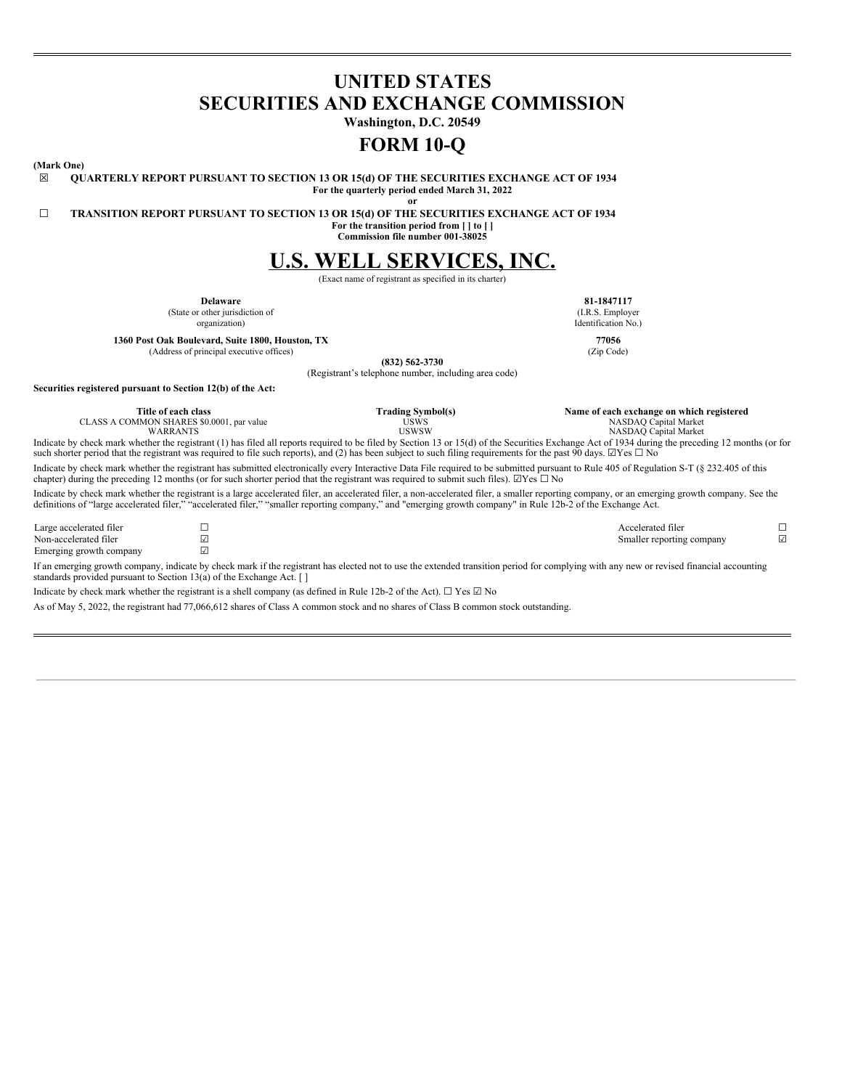# **UNITED STATES SECURITIES AND EXCHANGE COMMISSION**

**Washington, D.C. 20549**

# **FORM 10-Q**

**(Mark One)**

**☒ QUARTERLY REPORT PURSUANT TO SECTION 13 OR 15(d) OF THE SECURITIES EXCHANGE ACT OF 1934 For the quarterly period ended March 31, 2022**

**or**

**☐ TRANSITION REPORT PURSUANT TO SECTION 13 OR 15(d) OF THE SECURITIES EXCHANGE ACT OF 1934 For the transition period from [ ] to [ ]**

**Commission file number 001-38025**

# **U.S. WELL SERVICES, INC.**

(Exact name of registrant as specified in its charter)

**Delaware 81-1847117** other jurisdiction of **81-1847117** (I.R.S. Employer

(State or other jurisdiction of organization)

**1360 Post Oak Boulevard, Suite 1800, Houston, TX 77056** (Address of principal executive offices)

**(832) 562-3730**

(Registrant's telephone number, including area code)

**Securities registered pursuant to Section 12(b) of the Act:**

CLASS <sup>A</sup> COMMON SHARES \$0.0001, par value WARRANTS

USWS USWSW

**Title of each class Trading Symbol(s) Name of each exchange on which registered** NASDAQ Capital Market NASDAQ Capital Market

Identification No.)

Indicate by check mark whether the registrant (1) has filed all reports required to be filed by Section 13 or 15(d) of the Securities Exchange Act of 1934 during the preceding 12 months (or for such shorter period that the registrant was required to file such reports), and (2) has been subject to such filing requirements for the past 90 days.  $\Box$  Yes  $\Box$  No Indicate by check mark whether the registrant has submitted electronically every Interactive Data File required to be submitted pursuant to Rule 405 of Regulation S-T (§ 232.405 of this

chapter) during the preceding 12 months (or for such shorter period that the registrant was required to submit such files).  $\Box$  Yes  $\Box$  No

Indicate by check mark whether the registrant is a large accelerated filer, an accelerated filer, a non-accelerated filer, a smaller reporting company, or an emerging growth company. See the definitions of "large accelerated filer," "accelerated filer," "smaller reporting company," and "emerging growth company" in Rule 12b-2 of the Exchange Act.

Large accelerated filer ☐ Accelerated filer ☐ Non-accelerated filer ☑ Smaller reporting company ☑ Emerging growth company ☑

If an emerging growth company, indicate by check mark if the registrant has elected not to use the extended transition period for complying with any new or revised financial accounting standards provided pursuant to Section 13(a) of the Exchange Act. [ ]

Indicate by check mark whether the registrant is a shell company (as defined in Rule 12b-2 of the Act). ☐ Yes ☑ No

As of May 5, 2022, the registrant had 77,066,612 shares of Class A common stock and no shares of Class B common stock outstanding.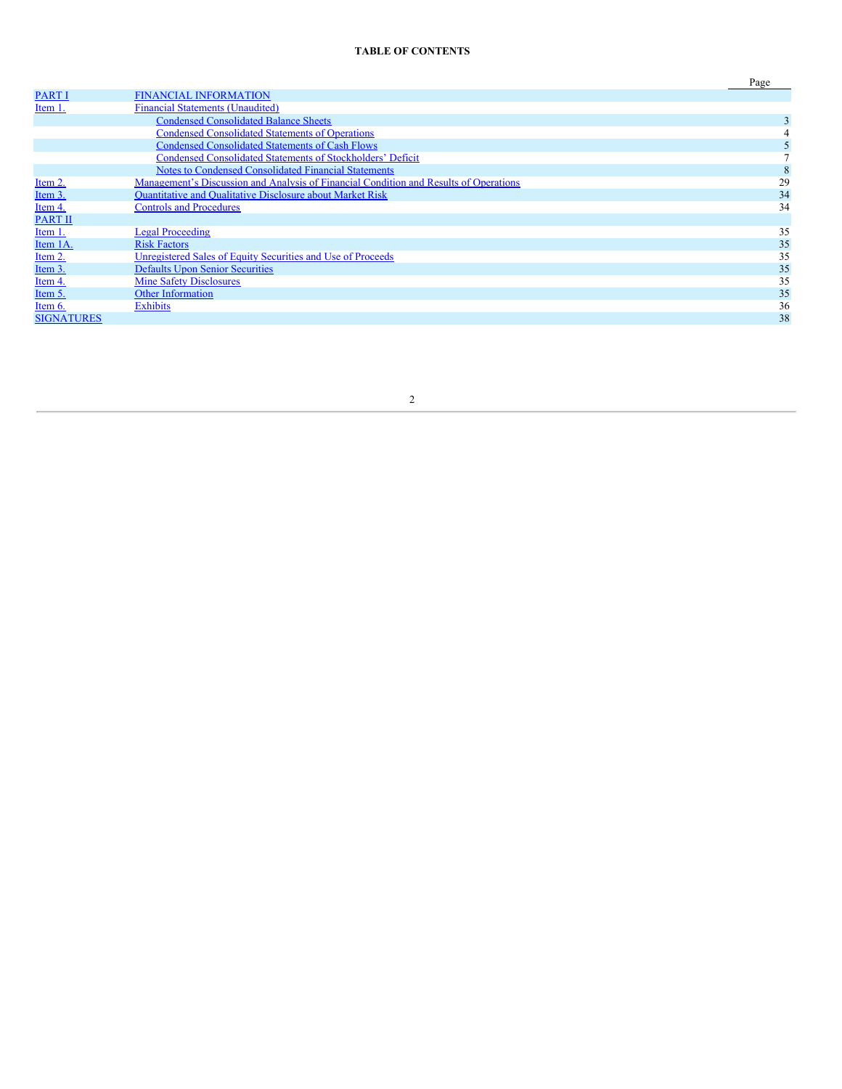# **TABLE OF CONTENTS**

|                   |                                                                                       | Page |
|-------------------|---------------------------------------------------------------------------------------|------|
| <b>PART I</b>     | <b>FINANCIAL INFORMATION</b>                                                          |      |
| Item 1.           | <b>Financial Statements (Unaudited)</b>                                               |      |
|                   | <b>Condensed Consolidated Balance Sheets</b>                                          |      |
|                   | <b>Condensed Consolidated Statements of Operations</b>                                |      |
|                   | <b>Condensed Consolidated Statements of Cash Flows</b>                                |      |
|                   | <b>Condensed Consolidated Statements of Stockholders' Deficit</b>                     |      |
|                   | <b>Notes to Condensed Consolidated Financial Statements</b>                           | 8    |
| Item 2.           | Management's Discussion and Analysis of Financial Condition and Results of Operations | 29   |
| Item 3.           | Quantitative and Qualitative Disclosure about Market Risk                             | 34   |
| Item 4.           | <b>Controls and Procedures</b>                                                        | 34   |
| <b>PART II</b>    |                                                                                       |      |
| Item 1.           | <b>Legal Proceeding</b>                                                               | 35   |
| Item 1A.          | <b>Risk Factors</b>                                                                   | 35   |
| Item 2.           | Unregistered Sales of Equity Securities and Use of Proceeds                           | 35   |
| Item 3.           | <b>Defaults Upon Senior Securities</b>                                                | 35   |
| Item 4.           | <b>Mine Safety Disclosures</b>                                                        | 35   |
| Item 5.           | <b>Other Information</b>                                                              | 35   |
| Item $6.$         | <b>Exhibits</b>                                                                       | 36   |
| <b>SIGNATURES</b> |                                                                                       | 38   |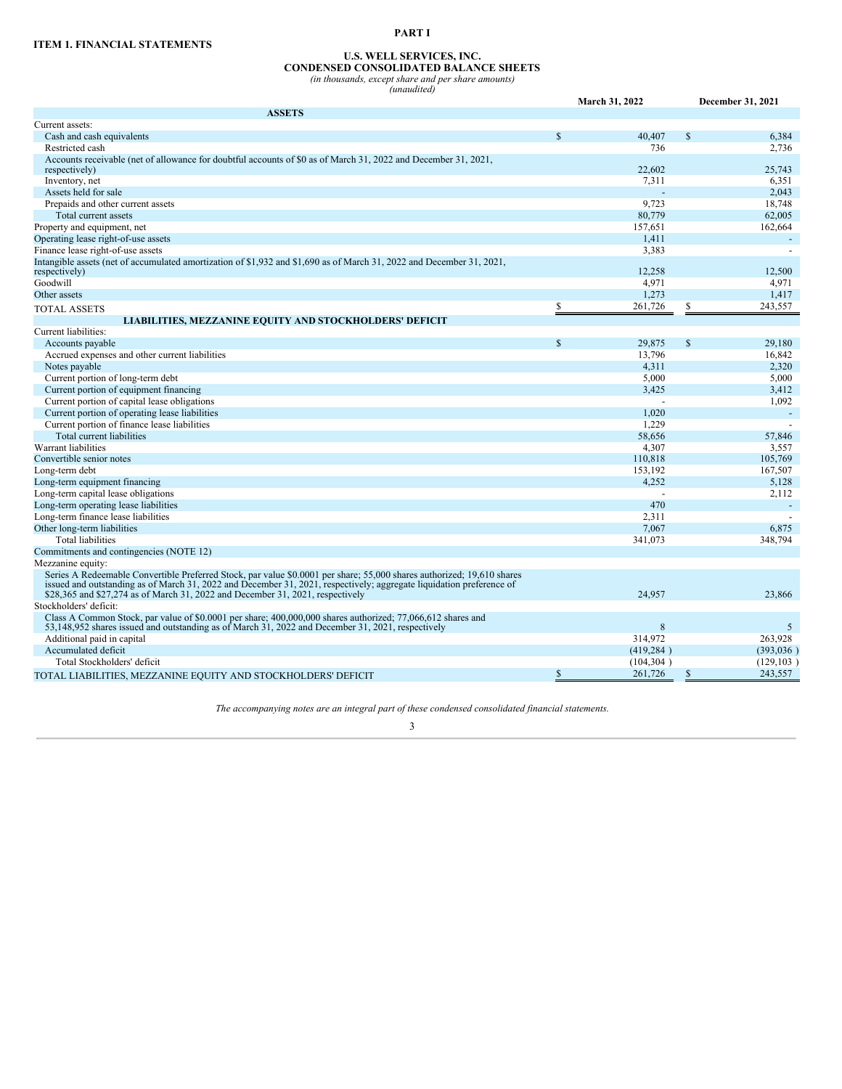## **PART I**

## **U.S. WELL SERVICES, INC.**

**CONDENSED CONSOLIDATED BALANCE SHEETS** *(in thousands, except share and per share amounts) (unaudited)*

<span id="page-2-0"></span>

| Current assets:<br>$\mathbb{S}$<br>$\mathbb{S}$<br>Cash and cash equivalents<br>40,407<br>6,384<br>2,736<br>Restricted cash<br>736<br>Accounts receivable (net of allowance for doubtful accounts of \$0 as of March 31, 2022 and December 31, 2021,<br>22,602<br>25,743<br>respectively)<br>7,311<br>6,351<br>Inventory, net<br>Assets held for sale<br>2,043<br>9,723<br>18,748<br>Prepaids and other current assets<br>62,005<br>Total current assets<br>80,779<br>Property and equipment, net<br>157,651<br>162,664<br>Operating lease right-of-use assets<br>1,411<br>Finance lease right-of-use assets<br>3,383<br>$\sim$<br>Intangible assets (net of accumulated amortization of \$1,932 and \$1,690 as of March 31, 2022 and December 31, 2021,<br>12,258<br>12,500<br>respectively)<br>Goodwill<br>4,971<br>4,971<br>Other assets<br>1,273<br>1,417<br>\$<br>\$<br>261,726<br>243,557<br><b>TOTAL ASSETS</b><br><b>LIABILITIES, MEZZANINE EQUITY AND STOCKHOLDERS' DEFICIT</b><br>Current liabilities:<br>\$<br>$\mathbb{S}$<br>Accounts payable<br>29,875<br>29,180<br>Accrued expenses and other current liabilities<br>13,796<br>16,842<br>2,320<br>Notes payable<br>4,311<br>Current portion of long-term debt<br>5,000<br>5,000<br>Current portion of equipment financing<br>3,425<br>3,412<br>Current portion of capital lease obligations<br>1.092<br>Current portion of operating lease liabilities<br>1,020<br>$\sim$<br>Current portion of finance lease liabilities<br>1,229<br>Total current liabilities<br>58,656<br>57,846<br>Warrant liabilities<br>4,307<br>3,557<br>Convertible senior notes<br>105,769<br>110,818<br>Long-term debt<br>167,507<br>153,192<br>4,252<br>5,128<br>Long-term equipment financing<br>2,112<br>Long-term capital lease obligations<br>Long-term operating lease liabilities<br>470<br>Long-term finance lease liabilities<br>2,311<br>Other long-term liabilities<br>6,875<br>7,067<br><b>Total liabilities</b><br>348,794<br>341,073<br>Commitments and contingencies (NOTE 12)<br>Mezzanine equity:<br>Series A Redeemable Convertible Preferred Stock, par value \$0.0001 per share; 55,000 shares authorized; 19,610 shares<br>issued and outstanding as of March 31, 2022 and December 31, 2021, respectively; aggregate liquidation preference of<br>24,957<br>\$28,365 and \$27,274 as of March 31, 2022 and December 31, 2021, respectively<br>23,866<br>Stockholders' deficit:<br>Class A Common Stock, par value of \$0.0001 per share; 400,000,000 shares authorized; 77,066,612 shares and<br>$\,8\,$<br>5<br>53,148,952 shares issued and outstanding as of March 31, 2022 and December 31, 2021, respectively<br>314,972<br>263,928<br>Additional paid in capital<br>Accumulated deficit<br>(419, 284)<br>(393,036)<br>Total Stockholders' deficit<br>(129, 103)<br>(104, 304)<br>\$<br>243,557<br>261,726<br>\$<br>TOTAL LIABILITIES, MEZZANINE EQUITY AND STOCKHOLDERS' DEFICIT |               | March 31, 2022 | December 31, 2021 |
|-------------------------------------------------------------------------------------------------------------------------------------------------------------------------------------------------------------------------------------------------------------------------------------------------------------------------------------------------------------------------------------------------------------------------------------------------------------------------------------------------------------------------------------------------------------------------------------------------------------------------------------------------------------------------------------------------------------------------------------------------------------------------------------------------------------------------------------------------------------------------------------------------------------------------------------------------------------------------------------------------------------------------------------------------------------------------------------------------------------------------------------------------------------------------------------------------------------------------------------------------------------------------------------------------------------------------------------------------------------------------------------------------------------------------------------------------------------------------------------------------------------------------------------------------------------------------------------------------------------------------------------------------------------------------------------------------------------------------------------------------------------------------------------------------------------------------------------------------------------------------------------------------------------------------------------------------------------------------------------------------------------------------------------------------------------------------------------------------------------------------------------------------------------------------------------------------------------------------------------------------------------------------------------------------------------------------------------------------------------------------------------------------------------------------------------------------------------------------------------------------------------------------------------------------------------------------------------------------------------------------------------------------------------------------------------------------------------------------------------------------------------------------------------------------------------------------------------------------------------------------------------------------------------------------------------------------------|---------------|----------------|-------------------|
|                                                                                                                                                                                                                                                                                                                                                                                                                                                                                                                                                                                                                                                                                                                                                                                                                                                                                                                                                                                                                                                                                                                                                                                                                                                                                                                                                                                                                                                                                                                                                                                                                                                                                                                                                                                                                                                                                                                                                                                                                                                                                                                                                                                                                                                                                                                                                                                                                                                                                                                                                                                                                                                                                                                                                                                                                                                                                                                                                       | <b>ASSETS</b> |                |                   |
|                                                                                                                                                                                                                                                                                                                                                                                                                                                                                                                                                                                                                                                                                                                                                                                                                                                                                                                                                                                                                                                                                                                                                                                                                                                                                                                                                                                                                                                                                                                                                                                                                                                                                                                                                                                                                                                                                                                                                                                                                                                                                                                                                                                                                                                                                                                                                                                                                                                                                                                                                                                                                                                                                                                                                                                                                                                                                                                                                       |               |                |                   |
|                                                                                                                                                                                                                                                                                                                                                                                                                                                                                                                                                                                                                                                                                                                                                                                                                                                                                                                                                                                                                                                                                                                                                                                                                                                                                                                                                                                                                                                                                                                                                                                                                                                                                                                                                                                                                                                                                                                                                                                                                                                                                                                                                                                                                                                                                                                                                                                                                                                                                                                                                                                                                                                                                                                                                                                                                                                                                                                                                       |               |                |                   |
|                                                                                                                                                                                                                                                                                                                                                                                                                                                                                                                                                                                                                                                                                                                                                                                                                                                                                                                                                                                                                                                                                                                                                                                                                                                                                                                                                                                                                                                                                                                                                                                                                                                                                                                                                                                                                                                                                                                                                                                                                                                                                                                                                                                                                                                                                                                                                                                                                                                                                                                                                                                                                                                                                                                                                                                                                                                                                                                                                       |               |                |                   |
|                                                                                                                                                                                                                                                                                                                                                                                                                                                                                                                                                                                                                                                                                                                                                                                                                                                                                                                                                                                                                                                                                                                                                                                                                                                                                                                                                                                                                                                                                                                                                                                                                                                                                                                                                                                                                                                                                                                                                                                                                                                                                                                                                                                                                                                                                                                                                                                                                                                                                                                                                                                                                                                                                                                                                                                                                                                                                                                                                       |               |                |                   |
|                                                                                                                                                                                                                                                                                                                                                                                                                                                                                                                                                                                                                                                                                                                                                                                                                                                                                                                                                                                                                                                                                                                                                                                                                                                                                                                                                                                                                                                                                                                                                                                                                                                                                                                                                                                                                                                                                                                                                                                                                                                                                                                                                                                                                                                                                                                                                                                                                                                                                                                                                                                                                                                                                                                                                                                                                                                                                                                                                       |               |                |                   |
|                                                                                                                                                                                                                                                                                                                                                                                                                                                                                                                                                                                                                                                                                                                                                                                                                                                                                                                                                                                                                                                                                                                                                                                                                                                                                                                                                                                                                                                                                                                                                                                                                                                                                                                                                                                                                                                                                                                                                                                                                                                                                                                                                                                                                                                                                                                                                                                                                                                                                                                                                                                                                                                                                                                                                                                                                                                                                                                                                       |               |                |                   |
|                                                                                                                                                                                                                                                                                                                                                                                                                                                                                                                                                                                                                                                                                                                                                                                                                                                                                                                                                                                                                                                                                                                                                                                                                                                                                                                                                                                                                                                                                                                                                                                                                                                                                                                                                                                                                                                                                                                                                                                                                                                                                                                                                                                                                                                                                                                                                                                                                                                                                                                                                                                                                                                                                                                                                                                                                                                                                                                                                       |               |                |                   |
|                                                                                                                                                                                                                                                                                                                                                                                                                                                                                                                                                                                                                                                                                                                                                                                                                                                                                                                                                                                                                                                                                                                                                                                                                                                                                                                                                                                                                                                                                                                                                                                                                                                                                                                                                                                                                                                                                                                                                                                                                                                                                                                                                                                                                                                                                                                                                                                                                                                                                                                                                                                                                                                                                                                                                                                                                                                                                                                                                       |               |                |                   |
|                                                                                                                                                                                                                                                                                                                                                                                                                                                                                                                                                                                                                                                                                                                                                                                                                                                                                                                                                                                                                                                                                                                                                                                                                                                                                                                                                                                                                                                                                                                                                                                                                                                                                                                                                                                                                                                                                                                                                                                                                                                                                                                                                                                                                                                                                                                                                                                                                                                                                                                                                                                                                                                                                                                                                                                                                                                                                                                                                       |               |                |                   |
|                                                                                                                                                                                                                                                                                                                                                                                                                                                                                                                                                                                                                                                                                                                                                                                                                                                                                                                                                                                                                                                                                                                                                                                                                                                                                                                                                                                                                                                                                                                                                                                                                                                                                                                                                                                                                                                                                                                                                                                                                                                                                                                                                                                                                                                                                                                                                                                                                                                                                                                                                                                                                                                                                                                                                                                                                                                                                                                                                       |               |                |                   |
|                                                                                                                                                                                                                                                                                                                                                                                                                                                                                                                                                                                                                                                                                                                                                                                                                                                                                                                                                                                                                                                                                                                                                                                                                                                                                                                                                                                                                                                                                                                                                                                                                                                                                                                                                                                                                                                                                                                                                                                                                                                                                                                                                                                                                                                                                                                                                                                                                                                                                                                                                                                                                                                                                                                                                                                                                                                                                                                                                       |               |                |                   |
|                                                                                                                                                                                                                                                                                                                                                                                                                                                                                                                                                                                                                                                                                                                                                                                                                                                                                                                                                                                                                                                                                                                                                                                                                                                                                                                                                                                                                                                                                                                                                                                                                                                                                                                                                                                                                                                                                                                                                                                                                                                                                                                                                                                                                                                                                                                                                                                                                                                                                                                                                                                                                                                                                                                                                                                                                                                                                                                                                       |               |                |                   |
|                                                                                                                                                                                                                                                                                                                                                                                                                                                                                                                                                                                                                                                                                                                                                                                                                                                                                                                                                                                                                                                                                                                                                                                                                                                                                                                                                                                                                                                                                                                                                                                                                                                                                                                                                                                                                                                                                                                                                                                                                                                                                                                                                                                                                                                                                                                                                                                                                                                                                                                                                                                                                                                                                                                                                                                                                                                                                                                                                       |               |                |                   |
|                                                                                                                                                                                                                                                                                                                                                                                                                                                                                                                                                                                                                                                                                                                                                                                                                                                                                                                                                                                                                                                                                                                                                                                                                                                                                                                                                                                                                                                                                                                                                                                                                                                                                                                                                                                                                                                                                                                                                                                                                                                                                                                                                                                                                                                                                                                                                                                                                                                                                                                                                                                                                                                                                                                                                                                                                                                                                                                                                       |               |                |                   |
|                                                                                                                                                                                                                                                                                                                                                                                                                                                                                                                                                                                                                                                                                                                                                                                                                                                                                                                                                                                                                                                                                                                                                                                                                                                                                                                                                                                                                                                                                                                                                                                                                                                                                                                                                                                                                                                                                                                                                                                                                                                                                                                                                                                                                                                                                                                                                                                                                                                                                                                                                                                                                                                                                                                                                                                                                                                                                                                                                       |               |                |                   |
|                                                                                                                                                                                                                                                                                                                                                                                                                                                                                                                                                                                                                                                                                                                                                                                                                                                                                                                                                                                                                                                                                                                                                                                                                                                                                                                                                                                                                                                                                                                                                                                                                                                                                                                                                                                                                                                                                                                                                                                                                                                                                                                                                                                                                                                                                                                                                                                                                                                                                                                                                                                                                                                                                                                                                                                                                                                                                                                                                       |               |                |                   |
|                                                                                                                                                                                                                                                                                                                                                                                                                                                                                                                                                                                                                                                                                                                                                                                                                                                                                                                                                                                                                                                                                                                                                                                                                                                                                                                                                                                                                                                                                                                                                                                                                                                                                                                                                                                                                                                                                                                                                                                                                                                                                                                                                                                                                                                                                                                                                                                                                                                                                                                                                                                                                                                                                                                                                                                                                                                                                                                                                       |               |                |                   |
|                                                                                                                                                                                                                                                                                                                                                                                                                                                                                                                                                                                                                                                                                                                                                                                                                                                                                                                                                                                                                                                                                                                                                                                                                                                                                                                                                                                                                                                                                                                                                                                                                                                                                                                                                                                                                                                                                                                                                                                                                                                                                                                                                                                                                                                                                                                                                                                                                                                                                                                                                                                                                                                                                                                                                                                                                                                                                                                                                       |               |                |                   |
|                                                                                                                                                                                                                                                                                                                                                                                                                                                                                                                                                                                                                                                                                                                                                                                                                                                                                                                                                                                                                                                                                                                                                                                                                                                                                                                                                                                                                                                                                                                                                                                                                                                                                                                                                                                                                                                                                                                                                                                                                                                                                                                                                                                                                                                                                                                                                                                                                                                                                                                                                                                                                                                                                                                                                                                                                                                                                                                                                       |               |                |                   |
|                                                                                                                                                                                                                                                                                                                                                                                                                                                                                                                                                                                                                                                                                                                                                                                                                                                                                                                                                                                                                                                                                                                                                                                                                                                                                                                                                                                                                                                                                                                                                                                                                                                                                                                                                                                                                                                                                                                                                                                                                                                                                                                                                                                                                                                                                                                                                                                                                                                                                                                                                                                                                                                                                                                                                                                                                                                                                                                                                       |               |                |                   |
|                                                                                                                                                                                                                                                                                                                                                                                                                                                                                                                                                                                                                                                                                                                                                                                                                                                                                                                                                                                                                                                                                                                                                                                                                                                                                                                                                                                                                                                                                                                                                                                                                                                                                                                                                                                                                                                                                                                                                                                                                                                                                                                                                                                                                                                                                                                                                                                                                                                                                                                                                                                                                                                                                                                                                                                                                                                                                                                                                       |               |                |                   |
|                                                                                                                                                                                                                                                                                                                                                                                                                                                                                                                                                                                                                                                                                                                                                                                                                                                                                                                                                                                                                                                                                                                                                                                                                                                                                                                                                                                                                                                                                                                                                                                                                                                                                                                                                                                                                                                                                                                                                                                                                                                                                                                                                                                                                                                                                                                                                                                                                                                                                                                                                                                                                                                                                                                                                                                                                                                                                                                                                       |               |                |                   |
|                                                                                                                                                                                                                                                                                                                                                                                                                                                                                                                                                                                                                                                                                                                                                                                                                                                                                                                                                                                                                                                                                                                                                                                                                                                                                                                                                                                                                                                                                                                                                                                                                                                                                                                                                                                                                                                                                                                                                                                                                                                                                                                                                                                                                                                                                                                                                                                                                                                                                                                                                                                                                                                                                                                                                                                                                                                                                                                                                       |               |                |                   |
|                                                                                                                                                                                                                                                                                                                                                                                                                                                                                                                                                                                                                                                                                                                                                                                                                                                                                                                                                                                                                                                                                                                                                                                                                                                                                                                                                                                                                                                                                                                                                                                                                                                                                                                                                                                                                                                                                                                                                                                                                                                                                                                                                                                                                                                                                                                                                                                                                                                                                                                                                                                                                                                                                                                                                                                                                                                                                                                                                       |               |                |                   |
|                                                                                                                                                                                                                                                                                                                                                                                                                                                                                                                                                                                                                                                                                                                                                                                                                                                                                                                                                                                                                                                                                                                                                                                                                                                                                                                                                                                                                                                                                                                                                                                                                                                                                                                                                                                                                                                                                                                                                                                                                                                                                                                                                                                                                                                                                                                                                                                                                                                                                                                                                                                                                                                                                                                                                                                                                                                                                                                                                       |               |                |                   |
|                                                                                                                                                                                                                                                                                                                                                                                                                                                                                                                                                                                                                                                                                                                                                                                                                                                                                                                                                                                                                                                                                                                                                                                                                                                                                                                                                                                                                                                                                                                                                                                                                                                                                                                                                                                                                                                                                                                                                                                                                                                                                                                                                                                                                                                                                                                                                                                                                                                                                                                                                                                                                                                                                                                                                                                                                                                                                                                                                       |               |                |                   |
|                                                                                                                                                                                                                                                                                                                                                                                                                                                                                                                                                                                                                                                                                                                                                                                                                                                                                                                                                                                                                                                                                                                                                                                                                                                                                                                                                                                                                                                                                                                                                                                                                                                                                                                                                                                                                                                                                                                                                                                                                                                                                                                                                                                                                                                                                                                                                                                                                                                                                                                                                                                                                                                                                                                                                                                                                                                                                                                                                       |               |                |                   |
|                                                                                                                                                                                                                                                                                                                                                                                                                                                                                                                                                                                                                                                                                                                                                                                                                                                                                                                                                                                                                                                                                                                                                                                                                                                                                                                                                                                                                                                                                                                                                                                                                                                                                                                                                                                                                                                                                                                                                                                                                                                                                                                                                                                                                                                                                                                                                                                                                                                                                                                                                                                                                                                                                                                                                                                                                                                                                                                                                       |               |                |                   |
|                                                                                                                                                                                                                                                                                                                                                                                                                                                                                                                                                                                                                                                                                                                                                                                                                                                                                                                                                                                                                                                                                                                                                                                                                                                                                                                                                                                                                                                                                                                                                                                                                                                                                                                                                                                                                                                                                                                                                                                                                                                                                                                                                                                                                                                                                                                                                                                                                                                                                                                                                                                                                                                                                                                                                                                                                                                                                                                                                       |               |                |                   |
|                                                                                                                                                                                                                                                                                                                                                                                                                                                                                                                                                                                                                                                                                                                                                                                                                                                                                                                                                                                                                                                                                                                                                                                                                                                                                                                                                                                                                                                                                                                                                                                                                                                                                                                                                                                                                                                                                                                                                                                                                                                                                                                                                                                                                                                                                                                                                                                                                                                                                                                                                                                                                                                                                                                                                                                                                                                                                                                                                       |               |                |                   |
|                                                                                                                                                                                                                                                                                                                                                                                                                                                                                                                                                                                                                                                                                                                                                                                                                                                                                                                                                                                                                                                                                                                                                                                                                                                                                                                                                                                                                                                                                                                                                                                                                                                                                                                                                                                                                                                                                                                                                                                                                                                                                                                                                                                                                                                                                                                                                                                                                                                                                                                                                                                                                                                                                                                                                                                                                                                                                                                                                       |               |                |                   |
|                                                                                                                                                                                                                                                                                                                                                                                                                                                                                                                                                                                                                                                                                                                                                                                                                                                                                                                                                                                                                                                                                                                                                                                                                                                                                                                                                                                                                                                                                                                                                                                                                                                                                                                                                                                                                                                                                                                                                                                                                                                                                                                                                                                                                                                                                                                                                                                                                                                                                                                                                                                                                                                                                                                                                                                                                                                                                                                                                       |               |                |                   |
|                                                                                                                                                                                                                                                                                                                                                                                                                                                                                                                                                                                                                                                                                                                                                                                                                                                                                                                                                                                                                                                                                                                                                                                                                                                                                                                                                                                                                                                                                                                                                                                                                                                                                                                                                                                                                                                                                                                                                                                                                                                                                                                                                                                                                                                                                                                                                                                                                                                                                                                                                                                                                                                                                                                                                                                                                                                                                                                                                       |               |                |                   |
|                                                                                                                                                                                                                                                                                                                                                                                                                                                                                                                                                                                                                                                                                                                                                                                                                                                                                                                                                                                                                                                                                                                                                                                                                                                                                                                                                                                                                                                                                                                                                                                                                                                                                                                                                                                                                                                                                                                                                                                                                                                                                                                                                                                                                                                                                                                                                                                                                                                                                                                                                                                                                                                                                                                                                                                                                                                                                                                                                       |               |                |                   |
|                                                                                                                                                                                                                                                                                                                                                                                                                                                                                                                                                                                                                                                                                                                                                                                                                                                                                                                                                                                                                                                                                                                                                                                                                                                                                                                                                                                                                                                                                                                                                                                                                                                                                                                                                                                                                                                                                                                                                                                                                                                                                                                                                                                                                                                                                                                                                                                                                                                                                                                                                                                                                                                                                                                                                                                                                                                                                                                                                       |               |                |                   |
|                                                                                                                                                                                                                                                                                                                                                                                                                                                                                                                                                                                                                                                                                                                                                                                                                                                                                                                                                                                                                                                                                                                                                                                                                                                                                                                                                                                                                                                                                                                                                                                                                                                                                                                                                                                                                                                                                                                                                                                                                                                                                                                                                                                                                                                                                                                                                                                                                                                                                                                                                                                                                                                                                                                                                                                                                                                                                                                                                       |               |                |                   |
|                                                                                                                                                                                                                                                                                                                                                                                                                                                                                                                                                                                                                                                                                                                                                                                                                                                                                                                                                                                                                                                                                                                                                                                                                                                                                                                                                                                                                                                                                                                                                                                                                                                                                                                                                                                                                                                                                                                                                                                                                                                                                                                                                                                                                                                                                                                                                                                                                                                                                                                                                                                                                                                                                                                                                                                                                                                                                                                                                       |               |                |                   |
|                                                                                                                                                                                                                                                                                                                                                                                                                                                                                                                                                                                                                                                                                                                                                                                                                                                                                                                                                                                                                                                                                                                                                                                                                                                                                                                                                                                                                                                                                                                                                                                                                                                                                                                                                                                                                                                                                                                                                                                                                                                                                                                                                                                                                                                                                                                                                                                                                                                                                                                                                                                                                                                                                                                                                                                                                                                                                                                                                       |               |                |                   |
|                                                                                                                                                                                                                                                                                                                                                                                                                                                                                                                                                                                                                                                                                                                                                                                                                                                                                                                                                                                                                                                                                                                                                                                                                                                                                                                                                                                                                                                                                                                                                                                                                                                                                                                                                                                                                                                                                                                                                                                                                                                                                                                                                                                                                                                                                                                                                                                                                                                                                                                                                                                                                                                                                                                                                                                                                                                                                                                                                       |               |                |                   |
|                                                                                                                                                                                                                                                                                                                                                                                                                                                                                                                                                                                                                                                                                                                                                                                                                                                                                                                                                                                                                                                                                                                                                                                                                                                                                                                                                                                                                                                                                                                                                                                                                                                                                                                                                                                                                                                                                                                                                                                                                                                                                                                                                                                                                                                                                                                                                                                                                                                                                                                                                                                                                                                                                                                                                                                                                                                                                                                                                       |               |                |                   |
|                                                                                                                                                                                                                                                                                                                                                                                                                                                                                                                                                                                                                                                                                                                                                                                                                                                                                                                                                                                                                                                                                                                                                                                                                                                                                                                                                                                                                                                                                                                                                                                                                                                                                                                                                                                                                                                                                                                                                                                                                                                                                                                                                                                                                                                                                                                                                                                                                                                                                                                                                                                                                                                                                                                                                                                                                                                                                                                                                       |               |                |                   |
|                                                                                                                                                                                                                                                                                                                                                                                                                                                                                                                                                                                                                                                                                                                                                                                                                                                                                                                                                                                                                                                                                                                                                                                                                                                                                                                                                                                                                                                                                                                                                                                                                                                                                                                                                                                                                                                                                                                                                                                                                                                                                                                                                                                                                                                                                                                                                                                                                                                                                                                                                                                                                                                                                                                                                                                                                                                                                                                                                       |               |                |                   |
|                                                                                                                                                                                                                                                                                                                                                                                                                                                                                                                                                                                                                                                                                                                                                                                                                                                                                                                                                                                                                                                                                                                                                                                                                                                                                                                                                                                                                                                                                                                                                                                                                                                                                                                                                                                                                                                                                                                                                                                                                                                                                                                                                                                                                                                                                                                                                                                                                                                                                                                                                                                                                                                                                                                                                                                                                                                                                                                                                       |               |                |                   |
|                                                                                                                                                                                                                                                                                                                                                                                                                                                                                                                                                                                                                                                                                                                                                                                                                                                                                                                                                                                                                                                                                                                                                                                                                                                                                                                                                                                                                                                                                                                                                                                                                                                                                                                                                                                                                                                                                                                                                                                                                                                                                                                                                                                                                                                                                                                                                                                                                                                                                                                                                                                                                                                                                                                                                                                                                                                                                                                                                       |               |                |                   |
|                                                                                                                                                                                                                                                                                                                                                                                                                                                                                                                                                                                                                                                                                                                                                                                                                                                                                                                                                                                                                                                                                                                                                                                                                                                                                                                                                                                                                                                                                                                                                                                                                                                                                                                                                                                                                                                                                                                                                                                                                                                                                                                                                                                                                                                                                                                                                                                                                                                                                                                                                                                                                                                                                                                                                                                                                                                                                                                                                       |               |                |                   |
|                                                                                                                                                                                                                                                                                                                                                                                                                                                                                                                                                                                                                                                                                                                                                                                                                                                                                                                                                                                                                                                                                                                                                                                                                                                                                                                                                                                                                                                                                                                                                                                                                                                                                                                                                                                                                                                                                                                                                                                                                                                                                                                                                                                                                                                                                                                                                                                                                                                                                                                                                                                                                                                                                                                                                                                                                                                                                                                                                       |               |                |                   |

*The accompanying notes are an integral part of these condensed consolidated financial statements.*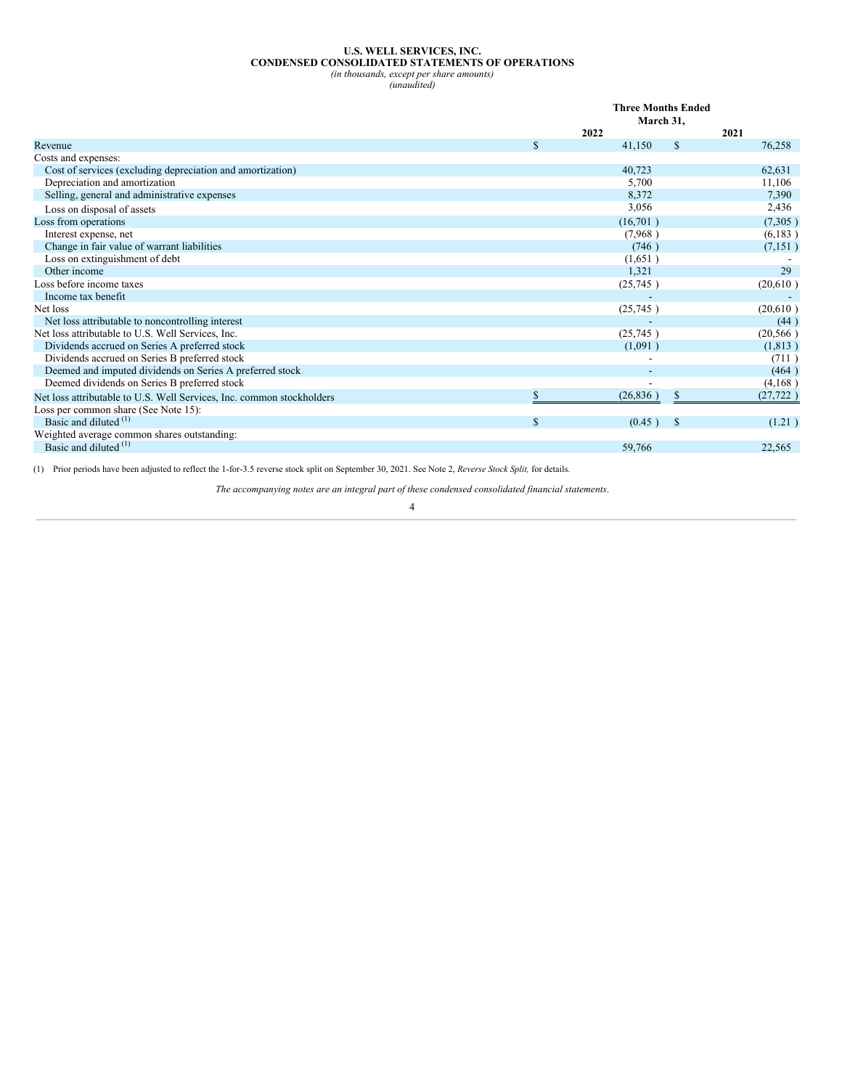# **U.S. WELL SERVICES, INC. CONDENSED CONSOLIDATED STATEMENTS OF OPERATIONS** *(in thousands, except per share amounts) (unaudited)*

<span id="page-3-0"></span>

|                                                                       | 2022 | <b>Three Months Ended</b><br>March 31, | 2021      |
|-----------------------------------------------------------------------|------|----------------------------------------|-----------|
| Revenue                                                               | \$   | 41,150<br><sup>\$</sup>                | 76,258    |
| Costs and expenses:                                                   |      |                                        |           |
| Cost of services (excluding depreciation and amortization)            |      | 40,723                                 | 62,631    |
| Depreciation and amortization                                         |      | 5,700                                  | 11,106    |
| Selling, general and administrative expenses                          |      | 8,372                                  | 7,390     |
| Loss on disposal of assets                                            |      | 3,056                                  | 2,436     |
| Loss from operations                                                  |      | (16,701)                               | (7,305)   |
| Interest expense, net                                                 |      | (7,968)                                | (6,183)   |
| Change in fair value of warrant liabilities                           |      | (746)                                  | (7,151)   |
| Loss on extinguishment of debt                                        |      | (1,651)                                |           |
| Other income                                                          |      | 1,321                                  | 29        |
| Loss before income taxes                                              |      | (25,745)                               | (20,610)  |
| Income tax benefit                                                    |      |                                        |           |
| Net loss                                                              |      | (25,745)                               | (20,610)  |
| Net loss attributable to noncontrolling interest                      |      |                                        | (44)      |
| Net loss attributable to U.S. Well Services, Inc.                     |      | (25,745)                               | (20, 566) |
| Dividends accrued on Series A preferred stock                         |      | (1,091)                                | (1, 813)  |
| Dividends accrued on Series B preferred stock                         |      |                                        | (711)     |
| Deemed and imputed dividends on Series A preferred stock              |      |                                        | (464)     |
| Deemed dividends on Series B preferred stock                          |      |                                        | (4,168)   |
| Net loss attributable to U.S. Well Services, Inc. common stockholders |      | (26, 836)                              | (27, 722) |
| Loss per common share (See Note 15):                                  |      |                                        |           |
| Basic and diluted <sup>(1)</sup>                                      | \$   | <sup>\$</sup><br>(0.45)                | (1.21)    |
| Weighted average common shares outstanding:                           |      |                                        |           |
| Basic and diluted <sup>(1)</sup>                                      |      | 59,766                                 | 22,565    |

(1) Prior periods have been adjusted to reflect the 1-for-3.5 reverse stock split on September 30, 2021. See Note 2, *Reverse Stock Split,* for details.

*The accompanying notes are an integral part of these condensed consolidated financial statements*.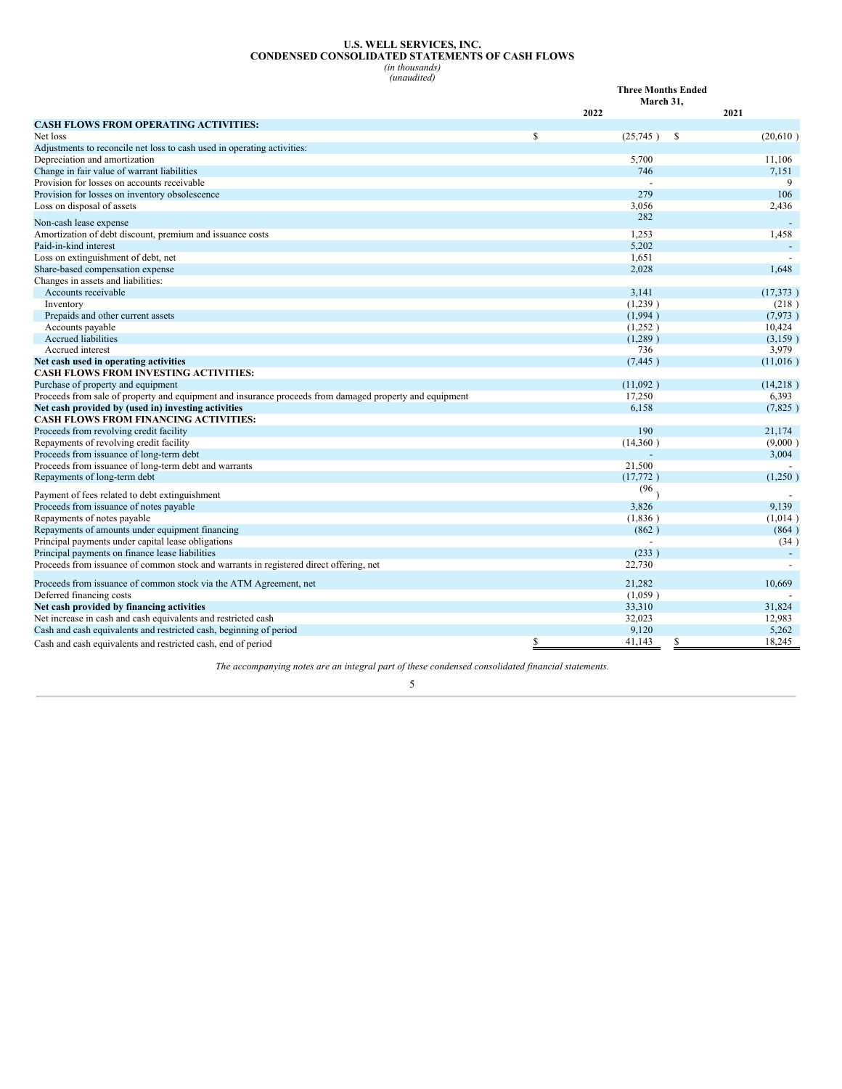# **U.S. WELL SERVICES, INC. CONDENSED CONSOLIDATED STATEMENTS OF CASH FLOWS** *(in thousands) (unaudited)*

<span id="page-4-0"></span>

| 2022<br><b>CASH FLOWS FROM OPERATING ACTIVITIES:</b><br>S<br>Net loss<br>(25,745)<br>(20,610)<br>- \$<br>Adjustments to reconcile net loss to cash used in operating activities:<br>Depreciation and amortization<br>5,700<br>11,106<br>Change in fair value of warrant liabilities<br>746<br>7,151<br>Provision for losses on accounts receivable<br>9<br>279<br>106<br>Provision for losses on inventory obsolescence<br>3,056<br>Loss on disposal of assets<br>2,436<br>282<br>Non-cash lease expense<br>Amortization of debt discount, premium and issuance costs<br>1,253<br>1,458<br>5,202<br>Paid-in-kind interest<br>1,651<br>Loss on extinguishment of debt, net<br>Share-based compensation expense<br>2,028<br>1,648<br>Changes in assets and liabilities:<br>Accounts receivable<br>3.141<br>(17, 373)<br>(1,239)<br>Inventory<br>(218)<br>(1,994)<br>Prepaids and other current assets<br>(7,973)<br>Accounts payable<br>(1,252)<br>10,424<br><b>Accrued liabilities</b><br>(1,289)<br>(3,159)<br>Accrued interest<br>736<br>3,979<br>Net cash used in operating activities<br>(7, 445)<br>(11,016)<br><b>CASH FLOWS FROM INVESTING ACTIVITIES:</b><br>Purchase of property and equipment<br>(11,092)<br>(14,218)<br>Proceeds from sale of property and equipment and insurance proceeds from damaged property and equipment<br>17,250<br>6,393<br>Net cash provided by (used in) investing activities<br>6,158<br>(7,825)<br>CASH FLOWS FROM FINANCING ACTIVITIES:<br>Proceeds from revolving credit facility<br>190<br>21,174<br>(14,360)<br>Repayments of revolving credit facility<br>(9,000)<br>Proceeds from issuance of long-term debt<br>3,004<br>Proceeds from issuance of long-term debt and warrants<br>21,500<br>Repayments of long-term debt<br>(17,772)<br>(1,250)<br>(96)<br>Payment of fees related to debt extinguishment<br>3,826<br>Proceeds from issuance of notes payable<br>9,139<br>Repayments of notes payable<br>(1,836)<br>(1,014)<br>Repayments of amounts under equipment financing<br>(864)<br>(862)<br>Principal payments under capital lease obligations<br>(34)<br>Principal payments on finance lease liabilities<br>(233)<br>Proceeds from issuance of common stock and warrants in registered direct offering, net<br>22,730<br>Proceeds from issuance of common stock via the ATM Agreement, net<br>21,282<br>10,669<br>Deferred financing costs<br>(1,059)<br>Net cash provided by financing activities<br>33,310<br>31,824<br>Net increase in cash and cash equivalents and restricted cash<br>32,023<br>12,983<br>Cash and cash equivalents and restricted cash, beginning of period<br>9,120<br>5,262<br>S<br>S.<br>18,245<br>41.143<br>Cash and cash equivalents and restricted cash, end of period |  | <b>Three Months Ended</b><br>March 31, |      |
|-----------------------------------------------------------------------------------------------------------------------------------------------------------------------------------------------------------------------------------------------------------------------------------------------------------------------------------------------------------------------------------------------------------------------------------------------------------------------------------------------------------------------------------------------------------------------------------------------------------------------------------------------------------------------------------------------------------------------------------------------------------------------------------------------------------------------------------------------------------------------------------------------------------------------------------------------------------------------------------------------------------------------------------------------------------------------------------------------------------------------------------------------------------------------------------------------------------------------------------------------------------------------------------------------------------------------------------------------------------------------------------------------------------------------------------------------------------------------------------------------------------------------------------------------------------------------------------------------------------------------------------------------------------------------------------------------------------------------------------------------------------------------------------------------------------------------------------------------------------------------------------------------------------------------------------------------------------------------------------------------------------------------------------------------------------------------------------------------------------------------------------------------------------------------------------------------------------------------------------------------------------------------------------------------------------------------------------------------------------------------------------------------------------------------------------------------------------------------------------------------------------------------------------------------------------------------------------------------------------------------------------------------------------------------------------------------------------------------------------------------------------|--|----------------------------------------|------|
|                                                                                                                                                                                                                                                                                                                                                                                                                                                                                                                                                                                                                                                                                                                                                                                                                                                                                                                                                                                                                                                                                                                                                                                                                                                                                                                                                                                                                                                                                                                                                                                                                                                                                                                                                                                                                                                                                                                                                                                                                                                                                                                                                                                                                                                                                                                                                                                                                                                                                                                                                                                                                                                                                                                                                           |  |                                        | 2021 |
|                                                                                                                                                                                                                                                                                                                                                                                                                                                                                                                                                                                                                                                                                                                                                                                                                                                                                                                                                                                                                                                                                                                                                                                                                                                                                                                                                                                                                                                                                                                                                                                                                                                                                                                                                                                                                                                                                                                                                                                                                                                                                                                                                                                                                                                                                                                                                                                                                                                                                                                                                                                                                                                                                                                                                           |  |                                        |      |
|                                                                                                                                                                                                                                                                                                                                                                                                                                                                                                                                                                                                                                                                                                                                                                                                                                                                                                                                                                                                                                                                                                                                                                                                                                                                                                                                                                                                                                                                                                                                                                                                                                                                                                                                                                                                                                                                                                                                                                                                                                                                                                                                                                                                                                                                                                                                                                                                                                                                                                                                                                                                                                                                                                                                                           |  |                                        |      |
|                                                                                                                                                                                                                                                                                                                                                                                                                                                                                                                                                                                                                                                                                                                                                                                                                                                                                                                                                                                                                                                                                                                                                                                                                                                                                                                                                                                                                                                                                                                                                                                                                                                                                                                                                                                                                                                                                                                                                                                                                                                                                                                                                                                                                                                                                                                                                                                                                                                                                                                                                                                                                                                                                                                                                           |  |                                        |      |
|                                                                                                                                                                                                                                                                                                                                                                                                                                                                                                                                                                                                                                                                                                                                                                                                                                                                                                                                                                                                                                                                                                                                                                                                                                                                                                                                                                                                                                                                                                                                                                                                                                                                                                                                                                                                                                                                                                                                                                                                                                                                                                                                                                                                                                                                                                                                                                                                                                                                                                                                                                                                                                                                                                                                                           |  |                                        |      |
|                                                                                                                                                                                                                                                                                                                                                                                                                                                                                                                                                                                                                                                                                                                                                                                                                                                                                                                                                                                                                                                                                                                                                                                                                                                                                                                                                                                                                                                                                                                                                                                                                                                                                                                                                                                                                                                                                                                                                                                                                                                                                                                                                                                                                                                                                                                                                                                                                                                                                                                                                                                                                                                                                                                                                           |  |                                        |      |
|                                                                                                                                                                                                                                                                                                                                                                                                                                                                                                                                                                                                                                                                                                                                                                                                                                                                                                                                                                                                                                                                                                                                                                                                                                                                                                                                                                                                                                                                                                                                                                                                                                                                                                                                                                                                                                                                                                                                                                                                                                                                                                                                                                                                                                                                                                                                                                                                                                                                                                                                                                                                                                                                                                                                                           |  |                                        |      |
|                                                                                                                                                                                                                                                                                                                                                                                                                                                                                                                                                                                                                                                                                                                                                                                                                                                                                                                                                                                                                                                                                                                                                                                                                                                                                                                                                                                                                                                                                                                                                                                                                                                                                                                                                                                                                                                                                                                                                                                                                                                                                                                                                                                                                                                                                                                                                                                                                                                                                                                                                                                                                                                                                                                                                           |  |                                        |      |
|                                                                                                                                                                                                                                                                                                                                                                                                                                                                                                                                                                                                                                                                                                                                                                                                                                                                                                                                                                                                                                                                                                                                                                                                                                                                                                                                                                                                                                                                                                                                                                                                                                                                                                                                                                                                                                                                                                                                                                                                                                                                                                                                                                                                                                                                                                                                                                                                                                                                                                                                                                                                                                                                                                                                                           |  |                                        |      |
|                                                                                                                                                                                                                                                                                                                                                                                                                                                                                                                                                                                                                                                                                                                                                                                                                                                                                                                                                                                                                                                                                                                                                                                                                                                                                                                                                                                                                                                                                                                                                                                                                                                                                                                                                                                                                                                                                                                                                                                                                                                                                                                                                                                                                                                                                                                                                                                                                                                                                                                                                                                                                                                                                                                                                           |  |                                        |      |
|                                                                                                                                                                                                                                                                                                                                                                                                                                                                                                                                                                                                                                                                                                                                                                                                                                                                                                                                                                                                                                                                                                                                                                                                                                                                                                                                                                                                                                                                                                                                                                                                                                                                                                                                                                                                                                                                                                                                                                                                                                                                                                                                                                                                                                                                                                                                                                                                                                                                                                                                                                                                                                                                                                                                                           |  |                                        |      |
|                                                                                                                                                                                                                                                                                                                                                                                                                                                                                                                                                                                                                                                                                                                                                                                                                                                                                                                                                                                                                                                                                                                                                                                                                                                                                                                                                                                                                                                                                                                                                                                                                                                                                                                                                                                                                                                                                                                                                                                                                                                                                                                                                                                                                                                                                                                                                                                                                                                                                                                                                                                                                                                                                                                                                           |  |                                        |      |
|                                                                                                                                                                                                                                                                                                                                                                                                                                                                                                                                                                                                                                                                                                                                                                                                                                                                                                                                                                                                                                                                                                                                                                                                                                                                                                                                                                                                                                                                                                                                                                                                                                                                                                                                                                                                                                                                                                                                                                                                                                                                                                                                                                                                                                                                                                                                                                                                                                                                                                                                                                                                                                                                                                                                                           |  |                                        |      |
|                                                                                                                                                                                                                                                                                                                                                                                                                                                                                                                                                                                                                                                                                                                                                                                                                                                                                                                                                                                                                                                                                                                                                                                                                                                                                                                                                                                                                                                                                                                                                                                                                                                                                                                                                                                                                                                                                                                                                                                                                                                                                                                                                                                                                                                                                                                                                                                                                                                                                                                                                                                                                                                                                                                                                           |  |                                        |      |
|                                                                                                                                                                                                                                                                                                                                                                                                                                                                                                                                                                                                                                                                                                                                                                                                                                                                                                                                                                                                                                                                                                                                                                                                                                                                                                                                                                                                                                                                                                                                                                                                                                                                                                                                                                                                                                                                                                                                                                                                                                                                                                                                                                                                                                                                                                                                                                                                                                                                                                                                                                                                                                                                                                                                                           |  |                                        |      |
|                                                                                                                                                                                                                                                                                                                                                                                                                                                                                                                                                                                                                                                                                                                                                                                                                                                                                                                                                                                                                                                                                                                                                                                                                                                                                                                                                                                                                                                                                                                                                                                                                                                                                                                                                                                                                                                                                                                                                                                                                                                                                                                                                                                                                                                                                                                                                                                                                                                                                                                                                                                                                                                                                                                                                           |  |                                        |      |
|                                                                                                                                                                                                                                                                                                                                                                                                                                                                                                                                                                                                                                                                                                                                                                                                                                                                                                                                                                                                                                                                                                                                                                                                                                                                                                                                                                                                                                                                                                                                                                                                                                                                                                                                                                                                                                                                                                                                                                                                                                                                                                                                                                                                                                                                                                                                                                                                                                                                                                                                                                                                                                                                                                                                                           |  |                                        |      |
|                                                                                                                                                                                                                                                                                                                                                                                                                                                                                                                                                                                                                                                                                                                                                                                                                                                                                                                                                                                                                                                                                                                                                                                                                                                                                                                                                                                                                                                                                                                                                                                                                                                                                                                                                                                                                                                                                                                                                                                                                                                                                                                                                                                                                                                                                                                                                                                                                                                                                                                                                                                                                                                                                                                                                           |  |                                        |      |
|                                                                                                                                                                                                                                                                                                                                                                                                                                                                                                                                                                                                                                                                                                                                                                                                                                                                                                                                                                                                                                                                                                                                                                                                                                                                                                                                                                                                                                                                                                                                                                                                                                                                                                                                                                                                                                                                                                                                                                                                                                                                                                                                                                                                                                                                                                                                                                                                                                                                                                                                                                                                                                                                                                                                                           |  |                                        |      |
|                                                                                                                                                                                                                                                                                                                                                                                                                                                                                                                                                                                                                                                                                                                                                                                                                                                                                                                                                                                                                                                                                                                                                                                                                                                                                                                                                                                                                                                                                                                                                                                                                                                                                                                                                                                                                                                                                                                                                                                                                                                                                                                                                                                                                                                                                                                                                                                                                                                                                                                                                                                                                                                                                                                                                           |  |                                        |      |
|                                                                                                                                                                                                                                                                                                                                                                                                                                                                                                                                                                                                                                                                                                                                                                                                                                                                                                                                                                                                                                                                                                                                                                                                                                                                                                                                                                                                                                                                                                                                                                                                                                                                                                                                                                                                                                                                                                                                                                                                                                                                                                                                                                                                                                                                                                                                                                                                                                                                                                                                                                                                                                                                                                                                                           |  |                                        |      |
|                                                                                                                                                                                                                                                                                                                                                                                                                                                                                                                                                                                                                                                                                                                                                                                                                                                                                                                                                                                                                                                                                                                                                                                                                                                                                                                                                                                                                                                                                                                                                                                                                                                                                                                                                                                                                                                                                                                                                                                                                                                                                                                                                                                                                                                                                                                                                                                                                                                                                                                                                                                                                                                                                                                                                           |  |                                        |      |
|                                                                                                                                                                                                                                                                                                                                                                                                                                                                                                                                                                                                                                                                                                                                                                                                                                                                                                                                                                                                                                                                                                                                                                                                                                                                                                                                                                                                                                                                                                                                                                                                                                                                                                                                                                                                                                                                                                                                                                                                                                                                                                                                                                                                                                                                                                                                                                                                                                                                                                                                                                                                                                                                                                                                                           |  |                                        |      |
|                                                                                                                                                                                                                                                                                                                                                                                                                                                                                                                                                                                                                                                                                                                                                                                                                                                                                                                                                                                                                                                                                                                                                                                                                                                                                                                                                                                                                                                                                                                                                                                                                                                                                                                                                                                                                                                                                                                                                                                                                                                                                                                                                                                                                                                                                                                                                                                                                                                                                                                                                                                                                                                                                                                                                           |  |                                        |      |
|                                                                                                                                                                                                                                                                                                                                                                                                                                                                                                                                                                                                                                                                                                                                                                                                                                                                                                                                                                                                                                                                                                                                                                                                                                                                                                                                                                                                                                                                                                                                                                                                                                                                                                                                                                                                                                                                                                                                                                                                                                                                                                                                                                                                                                                                                                                                                                                                                                                                                                                                                                                                                                                                                                                                                           |  |                                        |      |
|                                                                                                                                                                                                                                                                                                                                                                                                                                                                                                                                                                                                                                                                                                                                                                                                                                                                                                                                                                                                                                                                                                                                                                                                                                                                                                                                                                                                                                                                                                                                                                                                                                                                                                                                                                                                                                                                                                                                                                                                                                                                                                                                                                                                                                                                                                                                                                                                                                                                                                                                                                                                                                                                                                                                                           |  |                                        |      |
|                                                                                                                                                                                                                                                                                                                                                                                                                                                                                                                                                                                                                                                                                                                                                                                                                                                                                                                                                                                                                                                                                                                                                                                                                                                                                                                                                                                                                                                                                                                                                                                                                                                                                                                                                                                                                                                                                                                                                                                                                                                                                                                                                                                                                                                                                                                                                                                                                                                                                                                                                                                                                                                                                                                                                           |  |                                        |      |
|                                                                                                                                                                                                                                                                                                                                                                                                                                                                                                                                                                                                                                                                                                                                                                                                                                                                                                                                                                                                                                                                                                                                                                                                                                                                                                                                                                                                                                                                                                                                                                                                                                                                                                                                                                                                                                                                                                                                                                                                                                                                                                                                                                                                                                                                                                                                                                                                                                                                                                                                                                                                                                                                                                                                                           |  |                                        |      |
|                                                                                                                                                                                                                                                                                                                                                                                                                                                                                                                                                                                                                                                                                                                                                                                                                                                                                                                                                                                                                                                                                                                                                                                                                                                                                                                                                                                                                                                                                                                                                                                                                                                                                                                                                                                                                                                                                                                                                                                                                                                                                                                                                                                                                                                                                                                                                                                                                                                                                                                                                                                                                                                                                                                                                           |  |                                        |      |
|                                                                                                                                                                                                                                                                                                                                                                                                                                                                                                                                                                                                                                                                                                                                                                                                                                                                                                                                                                                                                                                                                                                                                                                                                                                                                                                                                                                                                                                                                                                                                                                                                                                                                                                                                                                                                                                                                                                                                                                                                                                                                                                                                                                                                                                                                                                                                                                                                                                                                                                                                                                                                                                                                                                                                           |  |                                        |      |
|                                                                                                                                                                                                                                                                                                                                                                                                                                                                                                                                                                                                                                                                                                                                                                                                                                                                                                                                                                                                                                                                                                                                                                                                                                                                                                                                                                                                                                                                                                                                                                                                                                                                                                                                                                                                                                                                                                                                                                                                                                                                                                                                                                                                                                                                                                                                                                                                                                                                                                                                                                                                                                                                                                                                                           |  |                                        |      |
|                                                                                                                                                                                                                                                                                                                                                                                                                                                                                                                                                                                                                                                                                                                                                                                                                                                                                                                                                                                                                                                                                                                                                                                                                                                                                                                                                                                                                                                                                                                                                                                                                                                                                                                                                                                                                                                                                                                                                                                                                                                                                                                                                                                                                                                                                                                                                                                                                                                                                                                                                                                                                                                                                                                                                           |  |                                        |      |
|                                                                                                                                                                                                                                                                                                                                                                                                                                                                                                                                                                                                                                                                                                                                                                                                                                                                                                                                                                                                                                                                                                                                                                                                                                                                                                                                                                                                                                                                                                                                                                                                                                                                                                                                                                                                                                                                                                                                                                                                                                                                                                                                                                                                                                                                                                                                                                                                                                                                                                                                                                                                                                                                                                                                                           |  |                                        |      |
|                                                                                                                                                                                                                                                                                                                                                                                                                                                                                                                                                                                                                                                                                                                                                                                                                                                                                                                                                                                                                                                                                                                                                                                                                                                                                                                                                                                                                                                                                                                                                                                                                                                                                                                                                                                                                                                                                                                                                                                                                                                                                                                                                                                                                                                                                                                                                                                                                                                                                                                                                                                                                                                                                                                                                           |  |                                        |      |
|                                                                                                                                                                                                                                                                                                                                                                                                                                                                                                                                                                                                                                                                                                                                                                                                                                                                                                                                                                                                                                                                                                                                                                                                                                                                                                                                                                                                                                                                                                                                                                                                                                                                                                                                                                                                                                                                                                                                                                                                                                                                                                                                                                                                                                                                                                                                                                                                                                                                                                                                                                                                                                                                                                                                                           |  |                                        |      |
|                                                                                                                                                                                                                                                                                                                                                                                                                                                                                                                                                                                                                                                                                                                                                                                                                                                                                                                                                                                                                                                                                                                                                                                                                                                                                                                                                                                                                                                                                                                                                                                                                                                                                                                                                                                                                                                                                                                                                                                                                                                                                                                                                                                                                                                                                                                                                                                                                                                                                                                                                                                                                                                                                                                                                           |  |                                        |      |
|                                                                                                                                                                                                                                                                                                                                                                                                                                                                                                                                                                                                                                                                                                                                                                                                                                                                                                                                                                                                                                                                                                                                                                                                                                                                                                                                                                                                                                                                                                                                                                                                                                                                                                                                                                                                                                                                                                                                                                                                                                                                                                                                                                                                                                                                                                                                                                                                                                                                                                                                                                                                                                                                                                                                                           |  |                                        |      |
|                                                                                                                                                                                                                                                                                                                                                                                                                                                                                                                                                                                                                                                                                                                                                                                                                                                                                                                                                                                                                                                                                                                                                                                                                                                                                                                                                                                                                                                                                                                                                                                                                                                                                                                                                                                                                                                                                                                                                                                                                                                                                                                                                                                                                                                                                                                                                                                                                                                                                                                                                                                                                                                                                                                                                           |  |                                        |      |
|                                                                                                                                                                                                                                                                                                                                                                                                                                                                                                                                                                                                                                                                                                                                                                                                                                                                                                                                                                                                                                                                                                                                                                                                                                                                                                                                                                                                                                                                                                                                                                                                                                                                                                                                                                                                                                                                                                                                                                                                                                                                                                                                                                                                                                                                                                                                                                                                                                                                                                                                                                                                                                                                                                                                                           |  |                                        |      |
|                                                                                                                                                                                                                                                                                                                                                                                                                                                                                                                                                                                                                                                                                                                                                                                                                                                                                                                                                                                                                                                                                                                                                                                                                                                                                                                                                                                                                                                                                                                                                                                                                                                                                                                                                                                                                                                                                                                                                                                                                                                                                                                                                                                                                                                                                                                                                                                                                                                                                                                                                                                                                                                                                                                                                           |  |                                        |      |
|                                                                                                                                                                                                                                                                                                                                                                                                                                                                                                                                                                                                                                                                                                                                                                                                                                                                                                                                                                                                                                                                                                                                                                                                                                                                                                                                                                                                                                                                                                                                                                                                                                                                                                                                                                                                                                                                                                                                                                                                                                                                                                                                                                                                                                                                                                                                                                                                                                                                                                                                                                                                                                                                                                                                                           |  |                                        |      |
|                                                                                                                                                                                                                                                                                                                                                                                                                                                                                                                                                                                                                                                                                                                                                                                                                                                                                                                                                                                                                                                                                                                                                                                                                                                                                                                                                                                                                                                                                                                                                                                                                                                                                                                                                                                                                                                                                                                                                                                                                                                                                                                                                                                                                                                                                                                                                                                                                                                                                                                                                                                                                                                                                                                                                           |  |                                        |      |
|                                                                                                                                                                                                                                                                                                                                                                                                                                                                                                                                                                                                                                                                                                                                                                                                                                                                                                                                                                                                                                                                                                                                                                                                                                                                                                                                                                                                                                                                                                                                                                                                                                                                                                                                                                                                                                                                                                                                                                                                                                                                                                                                                                                                                                                                                                                                                                                                                                                                                                                                                                                                                                                                                                                                                           |  |                                        |      |
|                                                                                                                                                                                                                                                                                                                                                                                                                                                                                                                                                                                                                                                                                                                                                                                                                                                                                                                                                                                                                                                                                                                                                                                                                                                                                                                                                                                                                                                                                                                                                                                                                                                                                                                                                                                                                                                                                                                                                                                                                                                                                                                                                                                                                                                                                                                                                                                                                                                                                                                                                                                                                                                                                                                                                           |  |                                        |      |
|                                                                                                                                                                                                                                                                                                                                                                                                                                                                                                                                                                                                                                                                                                                                                                                                                                                                                                                                                                                                                                                                                                                                                                                                                                                                                                                                                                                                                                                                                                                                                                                                                                                                                                                                                                                                                                                                                                                                                                                                                                                                                                                                                                                                                                                                                                                                                                                                                                                                                                                                                                                                                                                                                                                                                           |  |                                        |      |

*The accompanying notes are an integral part of these condensed consolidated financial statements.*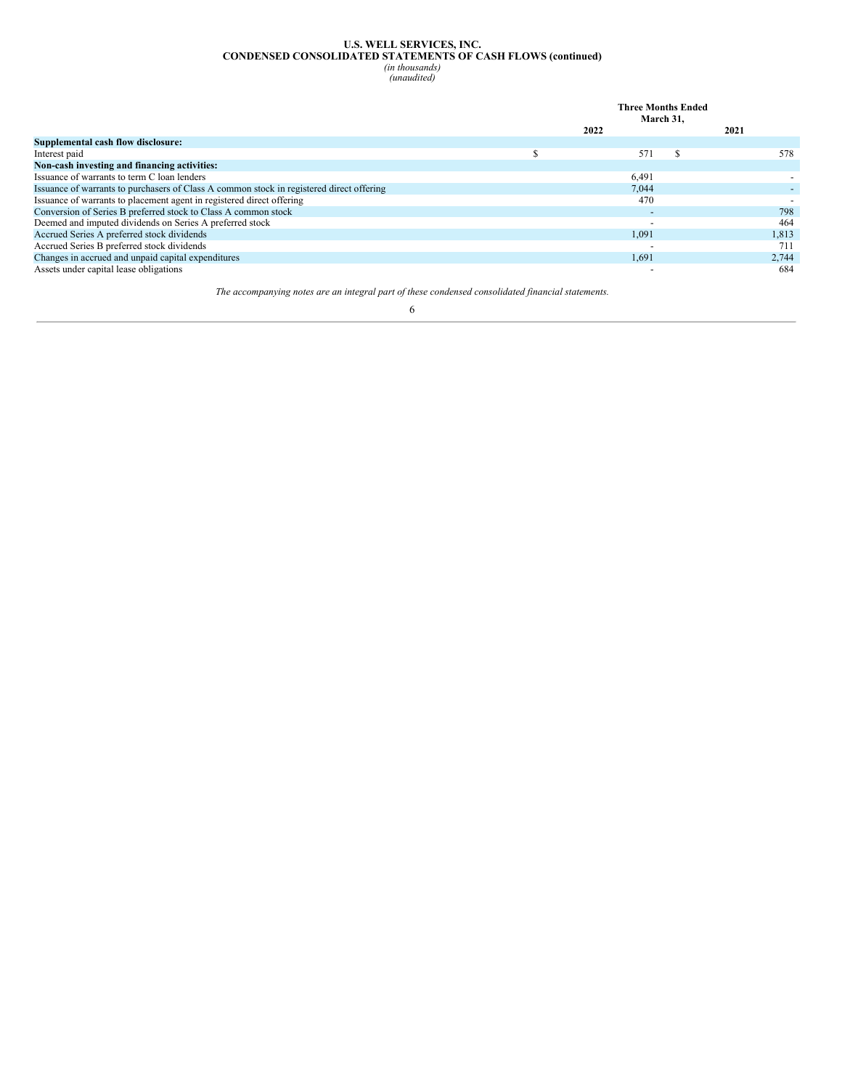# **U.S. WELL SERVICES, INC. CONDENSED CONSOLIDATED STATEMENTS OF CASH FLOWS (continued)** *(in thousands) (unaudited)*

|                                                                                          | <b>Three Months Ended</b><br>March 31, |                          |  |       |  |
|------------------------------------------------------------------------------------------|----------------------------------------|--------------------------|--|-------|--|
|                                                                                          |                                        | 2022                     |  | 2021  |  |
| Supplemental cash flow disclosure:                                                       |                                        |                          |  |       |  |
| Interest paid                                                                            |                                        | 571                      |  | 578   |  |
| Non-cash investing and financing activities:                                             |                                        |                          |  |       |  |
| Issuance of warrants to term C loan lenders                                              |                                        | 6,491                    |  |       |  |
| Issuance of warrants to purchasers of Class A common stock in registered direct offering |                                        | 7,044                    |  |       |  |
| Issuance of warrants to placement agent in registered direct offering                    |                                        | 470                      |  |       |  |
| Conversion of Series B preferred stock to Class A common stock                           |                                        | $\overline{\phantom{0}}$ |  | 798   |  |
| Deemed and imputed dividends on Series A preferred stock                                 |                                        | $\overline{\phantom{0}}$ |  | 464   |  |
| Accrued Series A preferred stock dividends                                               |                                        | 1,091                    |  | 1,813 |  |
| Accrued Series B preferred stock dividends                                               |                                        | $\overline{\phantom{0}}$ |  | 711   |  |
| Changes in accrued and unpaid capital expenditures                                       |                                        | 1,691                    |  | 2,744 |  |
| Assets under capital lease obligations                                                   |                                        |                          |  | 684   |  |

*The accompanying notes are an integral part of these condensed consolidated financial statements.*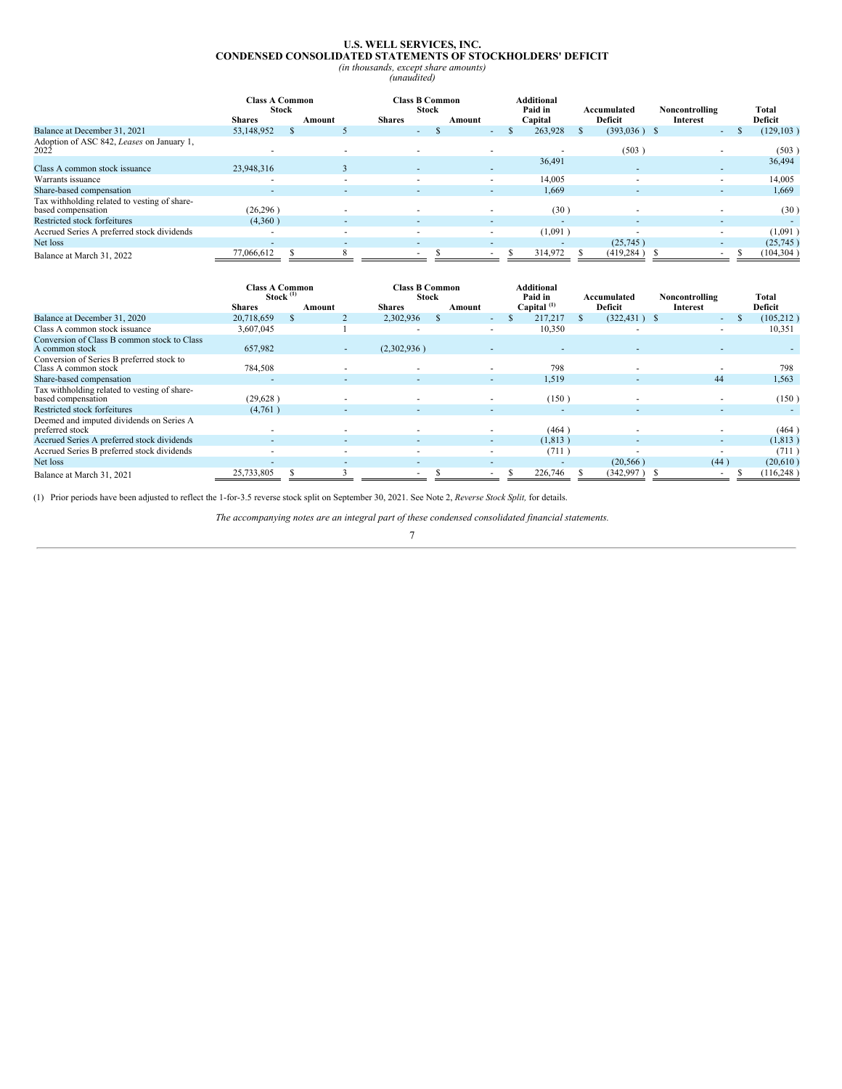# **U.S. WELL SERVICES, INC. CONDENSED CONSOLIDATED STATEMENTS OF STOCKHOLDERS' DEFICIT** *(in thousands, except share amounts) (unaudited)*

<span id="page-6-0"></span>

|                                                                    | <b>Class A Common</b><br><b>Stock</b> |        | <b>Class B Common</b><br><b>Stock</b> |                          |  | <b>Additional</b><br>Paid in |  | Accumulated              |    | Noncontrolling |                 | Total  |            |
|--------------------------------------------------------------------|---------------------------------------|--------|---------------------------------------|--------------------------|--|------------------------------|--|--------------------------|----|----------------|-----------------|--------|------------|
|                                                                    | <b>Shares</b>                         | Amount |                                       | <b>Shares</b>            |  | Amount                       |  | Capital                  |    | Deficit        | <b>Interest</b> |        | Deficit    |
| Balance at December 31, 2021                                       | 53,148,952                            |        |                                       | ۰                        |  | $\sim$                       |  | 263,928                  | S. | $(393,036)$ \$ |                 | $\sim$ | (129, 103) |
| Adoption of ASC 842, Leases on January 1,<br><b>2022</b>           |                                       |        |                                       |                          |  |                              |  |                          |    | (503)          |                 |        | (503)      |
|                                                                    |                                       |        |                                       |                          |  |                              |  | 36,491                   |    |                |                 |        | 36,494     |
| Class A common stock issuance                                      | 23,948,316                            |        | $\mathfrak{p}$                        |                          |  | ٠.                           |  |                          |    |                |                 |        |            |
| Warrants issuance                                                  | ۰                                     |        | $\overline{\phantom{a}}$              | $\overline{\phantom{a}}$ |  |                              |  | 14.005                   |    |                |                 | $\sim$ | 14,005     |
| Share-based compensation                                           |                                       |        | $\overline{\phantom{a}}$              | ۰.                       |  | $\sim$                       |  | 1,669                    |    |                |                 | $\sim$ | 1,669      |
| Tax withholding related to vesting of share-<br>based compensation | (26, 296)                             |        | ۰                                     | ۰                        |  |                              |  | (30)                     |    |                |                 |        | (30)       |
| Restricted stock forfeitures                                       | (4,360)                               |        |                                       |                          |  | ٠.                           |  | $\sim$                   |    |                |                 | $\sim$ |            |
|                                                                    |                                       |        | $\overline{\phantom{a}}$              |                          |  |                              |  |                          |    |                |                 |        |            |
| Accrued Series A preferred stock dividends                         | $\overline{\phantom{a}}$              |        | $\overline{\phantom{a}}$              | ۰                        |  |                              |  | (1,091)                  |    |                |                 | $\sim$ | (1,091)    |
| Net loss                                                           | $\sim$                                |        | $\overline{\phantom{a}}$              | ۰.                       |  |                              |  | $\overline{\phantom{a}}$ |    | (25,745)       |                 | . .    | (25,745)   |
| Balance at March 31, 2022                                          | 77,066,612                            |        | $\mathbf{8}$                          |                          |  |                              |  | 314,972                  |    | (419, 284)     |                 | ۰.     | (104, 304) |

|                                                                    | <b>Class A Common</b><br>Stock $(1)$ |               | <b>Class B Common</b><br><b>Additional</b><br>Paid in<br><b>Stock</b> |                          |    |                          | Accumulated |                        |               | Noncontrolling           |  | Total                    |  |            |
|--------------------------------------------------------------------|--------------------------------------|---------------|-----------------------------------------------------------------------|--------------------------|----|--------------------------|-------------|------------------------|---------------|--------------------------|--|--------------------------|--|------------|
|                                                                    | <b>Shares</b>                        |               | Amount                                                                | <b>Shares</b>            |    | Amount                   |             | Capital <sup>(1)</sup> |               | Deficit                  |  | <b>Interest</b>          |  | Deficit    |
| Balance at December 31, 2020                                       | 20,718,659                           | <sup>\$</sup> |                                                                       | 2,302,936                | -S |                          |             | 217,217                | $\mathcal{L}$ | $(322, 431)$ \$          |  | $\sim$ 10 $\pm$          |  | (105,212)  |
| Class A common stock issuance                                      | 3,607,045                            |               |                                                                       | $\overline{\phantom{a}}$ |    | $\overline{\phantom{a}}$ |             | 10,350                 |               |                          |  |                          |  | 10,351     |
| Conversion of Class B common stock to Class<br>A common stock      | 657,982                              |               | $\sim$                                                                | (2,302,936)              |    | $\overline{\phantom{a}}$ |             | $\sim$                 |               |                          |  |                          |  |            |
| Conversion of Series B preferred stock to<br>Class A common stock  | 784,508                              |               | ۰                                                                     | ٠                        |    |                          |             | 798                    |               |                          |  |                          |  | 798        |
| Share-based compensation                                           |                                      |               |                                                                       |                          |    | $\overline{\phantom{a}}$ |             | 1,519                  |               | ۰.                       |  | 44                       |  | 1,563      |
| Tax withholding related to vesting of share-<br>based compensation | (29, 628)                            |               | ٠                                                                     |                          |    |                          |             | (150)                  |               |                          |  |                          |  | (150)      |
| Restricted stock forfeitures                                       | (4,761)                              |               | ٠                                                                     |                          |    | $\overline{\phantom{a}}$ |             | $\sim$                 |               | ۰.                       |  | $\sim$                   |  |            |
| Deemed and imputed dividends on Series A<br>preferred stock        |                                      |               |                                                                       |                          |    |                          |             | (464)                  |               |                          |  |                          |  | (464)      |
| Accrued Series A preferred stock dividends                         | ۰.                                   |               | ٠                                                                     | ۰.                       |    | $\overline{\phantom{a}}$ |             | (1,813)                |               | $\overline{\phantom{a}}$ |  | $\overline{\phantom{a}}$ |  | (1, 813)   |
| Accrued Series B preferred stock dividends                         | ۰.                                   |               | ۰                                                                     | ٠                        |    |                          |             | (711)                  |               | ۰.                       |  |                          |  | (711)      |
| Net loss                                                           |                                      |               |                                                                       |                          |    |                          |             |                        |               | (20, 566)                |  | (44)                     |  | (20,610)   |
| Balance at March 31, 2021                                          | 25.733.805                           |               |                                                                       |                          |    |                          |             | 226,746                |               | (342,997)                |  |                          |  | (116, 248) |

(1) Prior periods have been adjusted to reflect the 1-for-3.5 reverse stock split on September 30, 2021. See Note 2, *Reverse Stock Split,* for details.

*The accompanying notes are an integral part of these condensed consolidated financial statements.*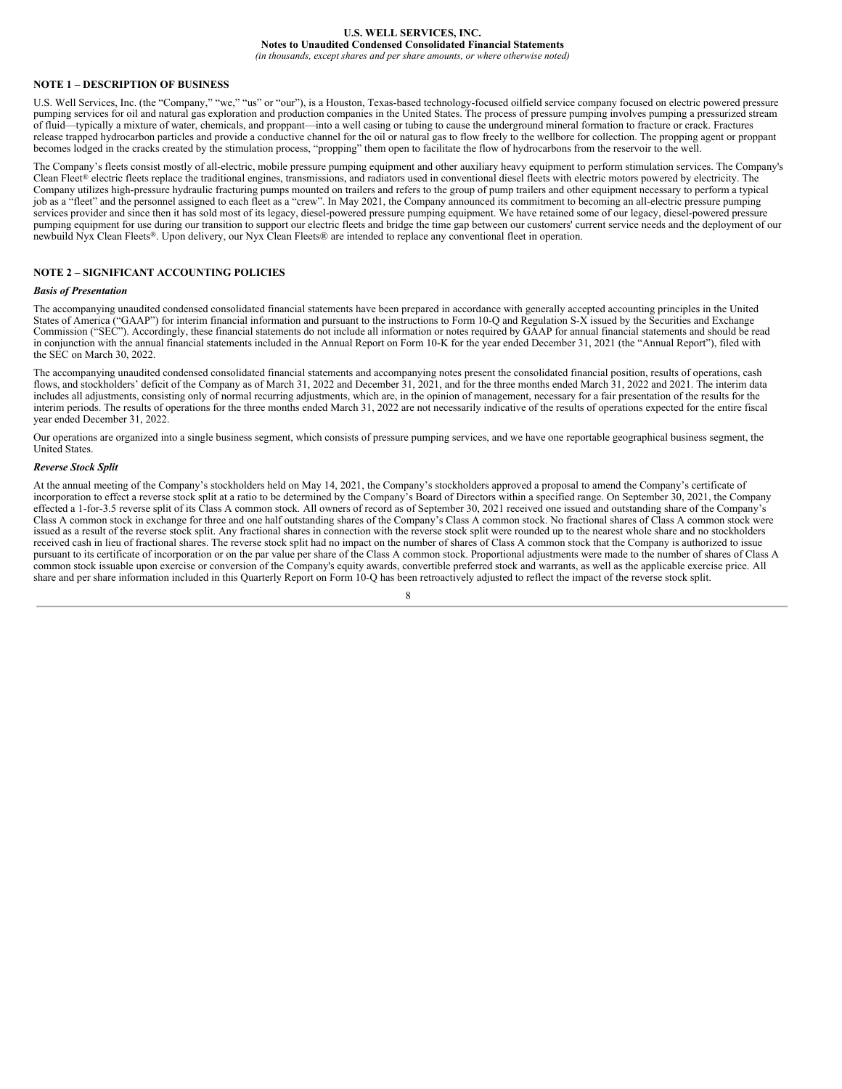**Notes to Unaudited Condensed Consolidated Financial Statements** *(in thousands, except shares and per share amounts, or where otherwise noted)*

### <span id="page-7-0"></span>**NOTE 1 – DESCRIPTION OF BUSINESS**

U.S. Well Services, Inc. (the "Company," "we," "us" or "our"), is a Houston, Texas-based technology-focused oilfield service company focused on electric powered pressure pumping services for oil and natural gas exploration and production companies in the United States. The process of pressure pumping involves pumping a pressurized stream of fluid—typically a mixture of water, chemicals, and proppant—into a well casing or tubing to cause the underground mineral formation to fracture or crack. Fractures release trapped hydrocarbon particles and provide a conductive channel for the oil or natural gas to flow freely to the wellbore for collection. The propping agent or proppant becomes lodged in the cracks created by the stimulation process, "propping" them open to facilitate the flow of hydrocarbons from the reservoir to the well.

The Company's fleets consist mostly of all-electric, mobile pressure pumping equipment and other auxiliary heavy equipment to perform stimulation services. The Company's Clean Fleet® electric fleets replace the traditional engines, transmissions, and radiators used in conventional diesel fleets with electric motors powered by electricity. The Company utilizes high-pressure hydraulic fracturing pumps mounted on trailers and refers to the group of pump trailers and other equipment necessary to perform a typical job as a "fleet" and the personnel assigned to each fleet as a "crew". In May 2021, the Company announced its commitment to becoming an all-electric pressure pumping services provider and since then it has sold most of its legacy, diesel-powered pressure pumping equipment. We have retained some of our legacy, diesel-powered pressure pumping equipment for use during our transition to support our electric fleets and bridge the time gap between our customers' current service needs and the deployment of our newbuild Nyx Clean Fleets®. Upon delivery, our Nyx Clean Fleets® are intended to replace any conventional fleet in operation.

## **NOTE 2 – SIGNIFICANT ACCOUNTING POLICIES**

#### *Basis of Presentation*

The accompanying unaudited condensed consolidated financial statements have been prepared in accordance with generally accepted accounting principles in the United States of America ("GAAP") for interim financial information and pursuant to the instructions to Form 10-Q and Regulation S-X issued by the Securities and Exchange Commission ("SEC"). Accordingly, these financial statements do not include all information or notes required by GAAP for annual financial statements and should be read in conjunction with the annual financial statements included in the Annual Report on Form 10-K for the year ended December 31, 2021 (the "Annual Report"), filed with the SEC on March 30, 2022.

The accompanying unaudited condensed consolidated financial statements and accompanying notes present the consolidated financial position, results of operations, cash flows, and stockholders' deficit of the Company as of March 31, 2022 and December 31, 2021, and for the three months ended March 31, 2022 and 2021. The interim data includes all adjustments, consisting only of normal recurring adjustments, which are, in the opinion of management, necessary for a fair presentation of the results for the interim periods. The results of operations for the three months ended March 31, 2022 are not necessarily indicative of the results of operations expected for the entire fiscal year ended December 31, 2022.

Our operations are organized into a single business segment, which consists of pressure pumping services, and we have one reportable geographical business segment, the United States.

#### *Reverse Stock Split*

At the annual meeting of the Company's stockholders held on May 14, 2021, the Company's stockholders approved a proposal to amend the Company's certificate of incorporation to effect a reverse stock split at a ratio to be determined by the Company's Board of Directors within a specified range. On September 30, 2021, the Company effected a 1-for-3.5 reverse split of its Class A common stock. All owners of record as of September 30, 2021 received one issued and outstanding share of the Company's Class A common stock in exchange for three and one half outstanding shares of the Company's Class A common stock. No fractional shares of Class A common stock were issued as a result of the reverse stock split. Any fractional shares in connection with the reverse stock split were rounded up to the nearest whole share and no stockholders received cash in lieu of fractional shares. The reverse stock split had no impact on the number of shares of Class A common stock that the Company is authorized to issue pursuant to its certificate of incorporation or on the par value per share of the Class A common stock. Proportional adjustments were made to the number of shares of Class A common stock issuable upon exercise or conversion of the Company's equity awards, convertible preferred stock and warrants, as well as the applicable exercise price. All share and per share information included in this Quarterly Report on Form 10-Q has been retroactively adjusted to reflect the impact of the reverse stock split.

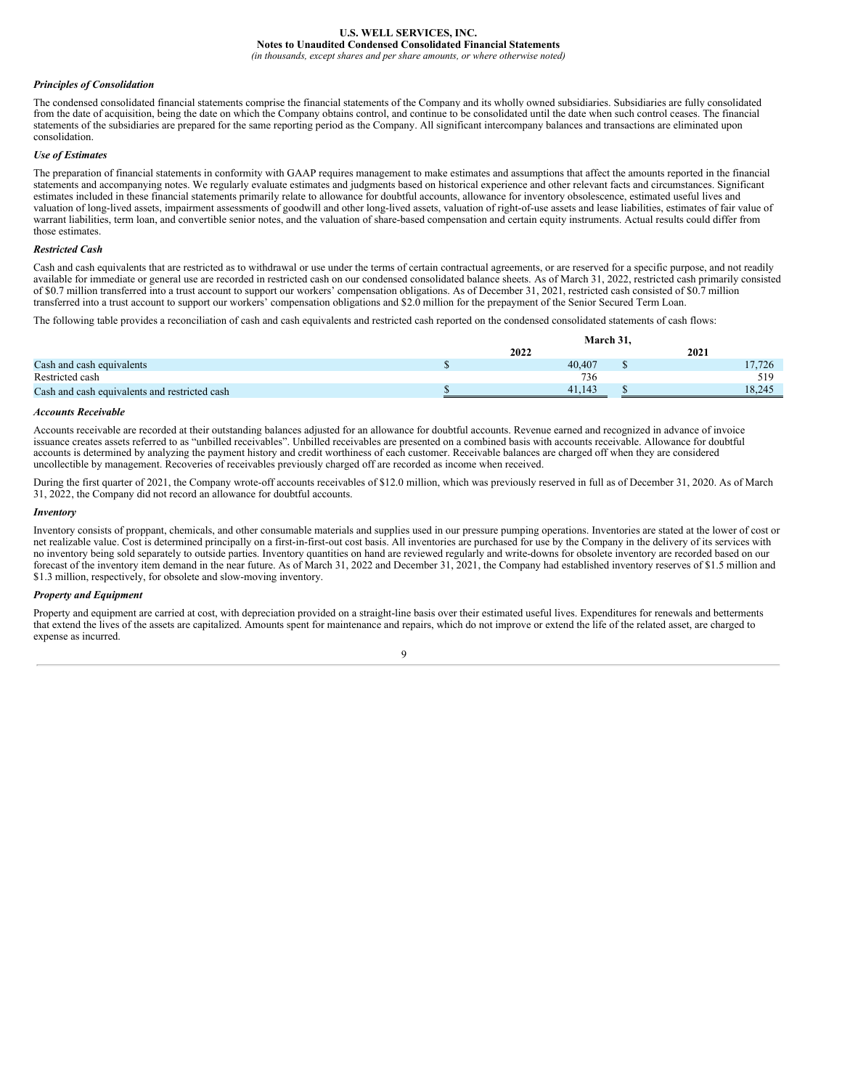#### **U.S. WELL SERVICES, INC. Notes to Unaudited Condensed Consolidated Financial Statements** *(in thousands, except shares and per share amounts, or where otherwise noted)*

## *Principles of Consolidation*

The condensed consolidated financial statements comprise the financial statements of the Company and its wholly owned subsidiaries. Subsidiaries are fully consolidated from the date of acquisition, being the date on which the Company obtains control, and continue to be consolidated until the date when such control ceases. The financial statements of the subsidiaries are prepared for the same reporting period as the Company. All significant intercompany balances and transactions are eliminated upon consolidation.

#### *Use of Estimates*

The preparation of financial statements in conformity with GAAP requires management to make estimates and assumptions that affect the amounts reported in the financial statements and accompanying notes. We regularly evaluate estimates and judgments based on historical experience and other relevant facts and circumstances. Significant estimates included in these financial statements primarily relate to allowance for doubtful accounts, allowance for inventory obsolescence, estimated useful lives and valuation of long-lived assets, impairment assessments of goodwill and other long-lived assets, valuation of right-of-use assets and lease liabilities, estimates of fair value of warrant liabilities, term loan, and convertible senior notes, and the valuation of share-based compensation and certain equity instruments. Actual results could differ from those estimates.

#### *Restricted Cash*

Cash and cash equivalents that are restricted as to withdrawal or use under the terms of certain contractual agreements, or are reserved for a specific purpose, and not readily available for immediate or general use are recorded in restricted cash on our condensed consolidated balance sheets. As of March 31, 2022, restricted cash primarily consisted of \$0.7 million transferred into a trust account to support our workers' compensation obligations. As of December 31, 2021, restricted cash consisted of \$0.7 million transferred into a trust account to support our workers' compensation obligations and \$2.0 million for the prepayment of the Senior Secured Term Loan.

The following table provides a reconciliation of cash and cash equivalents and restricted cash reported on the condensed consolidated statements of cash flows:

|                                               | March 31. |  |        |  |  |  |  |
|-----------------------------------------------|-----------|--|--------|--|--|--|--|
|                                               | 2022      |  | 2021   |  |  |  |  |
| Cash and cash equivalents                     | 40.407    |  | 17.726 |  |  |  |  |
| Restricted cash                               | 736       |  | 519    |  |  |  |  |
| Cash and cash equivalents and restricted cash | 41.143    |  | 18.245 |  |  |  |  |

#### *Accounts Receivable*

Accounts receivable are recorded at their outstanding balances adjusted for an allowance for doubtful accounts. Revenue earned and recognized in advance of invoice issuance creates assets referred to as "unbilled receivables". Unbilled receivables are presented on a combined basis with accounts receivable. Allowance for doubtful accounts is determined by analyzing the payment history and credit worthiness of each customer. Receivable balances are charged off when they are considered uncollectible by management. Recoveries of receivables previously charged off are recorded as income when received.

During the first quarter of 2021, the Company wrote-off accounts receivables of \$12.0 million, which was previously reserved in full as of December 31, 2020. As of March 31, 2022, the Company did not record an allowance for doubtful accounts.

## *Inventory*

Inventory consists of proppant, chemicals, and other consumable materials and supplies used in our pressure pumping operations. Inventories are stated at the lower of cost or net realizable value. Cost is determined principally on a first-in-first-out cost basis. All inventories are purchased for use by the Company in the delivery of its services with no inventory being sold separately to outside parties. Inventory quantities on hand are reviewed regularly and write-downs for obsolete inventory are recorded based on our forecast of the inventory item demand in the near future. As of March 31, 2022 and December 31, 2021, the Company had established inventory reserves of \$1.5 million and \$1.3 million, respectively, for obsolete and slow-moving inventory.

#### *Property and Equipment*

Property and equipment are carried at cost, with depreciation provided on a straight-line basis over their estimated useful lives. Expenditures for renewals and betterments that extend the lives of the assets are capitalized. Amounts spent for maintenance and repairs, which do not improve or extend the life of the related asset, are charged to expense as incurred.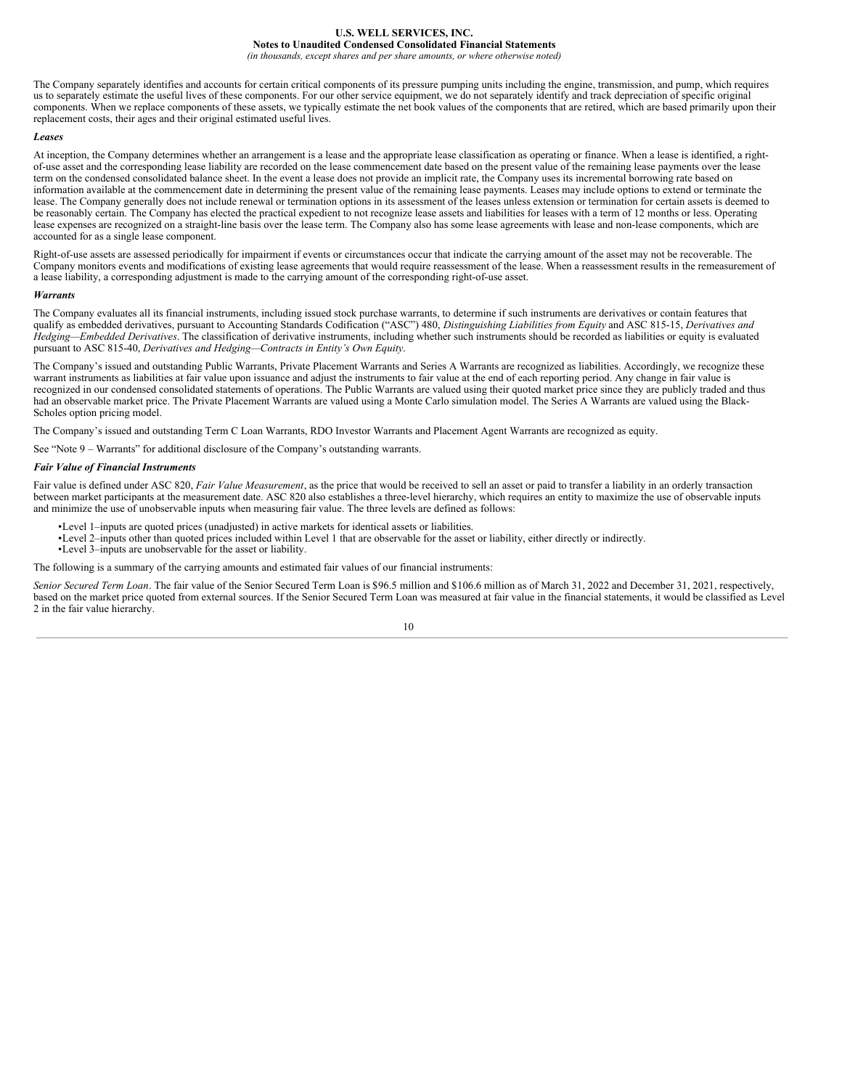**Notes to Unaudited Condensed Consolidated Financial Statements** *(in thousands, except shares and per share amounts, or where otherwise noted)*

The Company separately identifies and accounts for certain critical components of its pressure pumping units including the engine, transmission, and pump, which requires us to separately estimate the useful lives of these components. For our other service equipment, we do not separately identify and track depreciation of specific original components. When we replace components of these assets, we typically estimate the net book values of the components that are retired, which are based primarily upon their replacement costs, their ages and their original estimated useful lives.

#### *Leases*

At inception, the Company determines whether an arrangement is a lease and the appropriate lease classification as operating or finance. When a lease is identified, a rightof-use asset and the corresponding lease liability are recorded on the lease commencement date based on the present value of the remaining lease payments over the lease term on the condensed consolidated balance sheet. In the event a lease does not provide an implicit rate, the Company uses its incremental borrowing rate based on information available at the commencement date in determining the present value of the remaining lease payments. Leases may include options to extend or terminate the lease. The Company generally does not include renewal or termination options in its assessment of the leases unless extension or termination for certain assets is deemed to be reasonably certain. The Company has elected the practical expedient to not recognize lease assets and liabilities for leases with a term of 12 months or less. Operating lease expenses are recognized on a straight-line basis over the lease term. The Company also has some lease agreements with lease and non-lease components, which are accounted for as a single lease component.

Right-of-use assets are assessed periodically for impairment if events or circumstances occur that indicate the carrying amount of the asset may not be recoverable. The Company monitors events and modifications of existing lease agreements that would require reassessment of the lease. When a reassessment results in the remeasurement of a lease liability, a corresponding adjustment is made to the carrying amount of the corresponding right-of-use asset.

#### *Warrants*

The Company evaluates all its financial instruments, including issued stock purchase warrants, to determine if such instruments are derivatives or contain features that qualify as embedded derivatives, pursuant to Accounting Standards Codification ("ASC") 480, *Distinguishing Liabilities from Equity* and ASC 815-15, *Derivatives and Hedging—Embedded Derivatives*. The classification of derivative instruments, including whether such instruments should be recorded as liabilities or equity is evaluated pursuant to ASC 815-40, *Derivatives and Hedging—Contracts in Entity's Own Equity*.

The Company's issued and outstanding Public Warrants, Private Placement Warrants and Series A Warrants are recognized as liabilities. Accordingly, we recognize these warrant instruments as liabilities at fair value upon issuance and adjust the instruments to fair value at the end of each reporting period. Any change in fair value is recognized in our condensed consolidated statements of operations. The Public Warrants are valued using their quoted market price since they are publicly traded and thus had an observable market price. The Private Placement Warrants are valued using a Monte Carlo simulation model. The Series A Warrants are valued using the Black-Scholes option pricing model.

The Company's issued and outstanding Term C Loan Warrants, RDO Investor Warrants and Placement Agent Warrants are recognized as equity.

See "Note 9 – Warrants" for additional disclosure of the Company's outstanding warrants.

#### *Fair Value of Financial Instruments*

Fair value is defined under ASC 820, Fair Value Measurement, as the price that would be received to sell an asset or paid to transfer a liability in an orderly transaction between market participants at the measurement date. ASC 820 also establishes a three-level hierarchy, which requires an entity to maximize the use of observable inputs and minimize the use of unobservable inputs when measuring fair value. The three levels are defined as follows:

- •Level 1–inputs are quoted prices (unadjusted) in active markets for identical assets or liabilities.
- •Level 2–inputs other than quoted prices included within Level 1 that are observable for the asset or liability, either directly or indirectly.
- •Level 3–inputs are unobservable for the asset or liability.

The following is a summary of the carrying amounts and estimated fair values of our financial instruments:

*Senior Secured Term Loan*. The fair value of the Senior Secured Term Loan is \$96.5 million and \$106.6 million as of March 31, 2022 and December 31, 2021, respectively, based on the market price quoted from external sources. If the Senior Secured Term Loan was measured at fair value in the financial statements, it would be classified as Level 2 in the fair value hierarchy.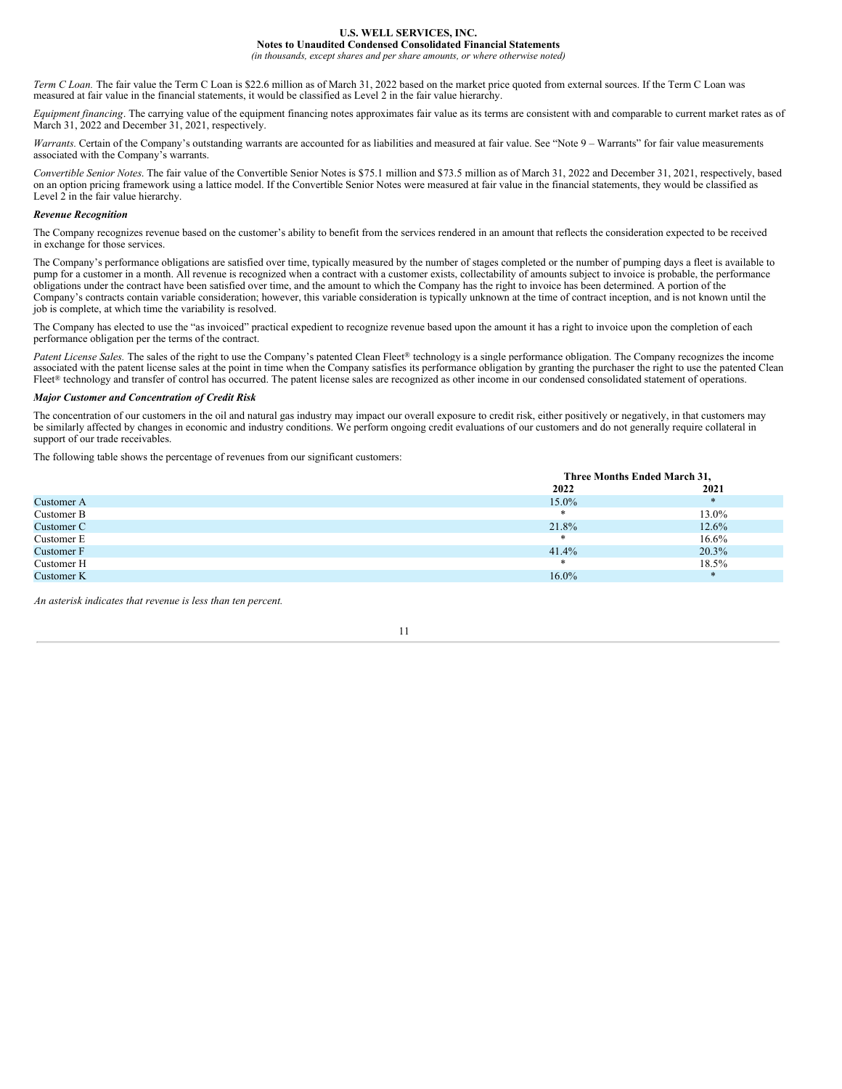**Notes to Unaudited Condensed Consolidated Financial Statements** *(in thousands, except shares and per share amounts, or where otherwise noted)*

*Term C Loan.* The fair value the Term C Loan is \$22.6 million as of March 31, 2022 based on the market price quoted from external sources. If the Term C Loan was measured at fair value in the financial statements, it would be classified as Level 2 in the fair value hierarchy.

*Equipment financing*. The carrying value of the equipment financing notes approximates fair value as its terms are consistent with and comparable to current market rates as of March 31, 2022 and December 31, 2021, respectively.

Warrants. Certain of the Company's outstanding warrants are accounted for as liabilities and measured at fair value. See "Note 9 – Warrants" for fair value measurements associated with the Company's warrants.

*Convertible Senior Notes*. The fair value of the Convertible Senior Notes is \$75.1 million and \$73.5 million as of March 31, 2022 and December 31, 2021, respectively, based on an option pricing framework using a lattice model. If the Convertible Senior Notes were measured at fair value in the financial statements, they would be classified as Level 2 in the fair value hierarchy.

## *Revenue Recognition*

The Company recognizes revenue based on the customer's ability to benefit from the services rendered in an amount that reflects the consideration expected to be received in exchange for those services.

The Company's performance obligations are satisfied over time, typically measured by the number of stages completed or the number of pumping days a fleet is available to pump for a customer in a month. All revenue is recognized when a contract with a customer exists, collectability of amounts subject to invoice is probable, the performance obligations under the contract have been satisfied over time, and the amount to which the Company has the right to invoice has been determined. A portion of the Company's contracts contain variable consideration; however, this variable consideration is typically unknown at the time of contract inception, and is not known until the job is complete, at which time the variability is resolved.

The Company has elected to use the "as invoiced" practical expedient to recognize revenue based upon the amount it has a right to invoice upon the completion of each performance obligation per the terms of the contract.

*Patent License Sales.* The sales of the right to use the Company's patented Clean Fleet® technology is a single performance obligation. The Company recognizes the income associated with the patent license sales at the point in time when the Company satisfies its performance obligation by granting the purchaser the right to use the patented Clean Fleet® technology and transfer of control has occurred. The patent license sales are recognized as other income in our condensed consolidated statement of operations.

# *Major Customer and Concentration of Credit Risk*

The concentration of our customers in the oil and natural gas industry may impact our overall exposure to credit risk, either positively or negatively, in that customers may be similarly affected by changes in economic and industry conditions. We perform ongoing credit evaluations of our customers and do not generally require collateral in support of our trade receivables.

The following table shows the percentage of revenues from our significant customers:

|            | Three Months Ended March 31, |          |
|------------|------------------------------|----------|
|            | 2022                         | 2021     |
| Customer A | $15.0\%$                     | 冰        |
| Customer B | *                            | 13.0%    |
| Customer C | 21.8%                        | $12.6\%$ |
| Customer E | ∗                            | $16.6\%$ |
| Customer F | 41.4%                        | 20.3%    |
| Customer H | $\ast$                       | 18.5%    |
| Customer K | 16.0%                        | *        |

*An asterisk indicates that revenue is less than ten percent.*

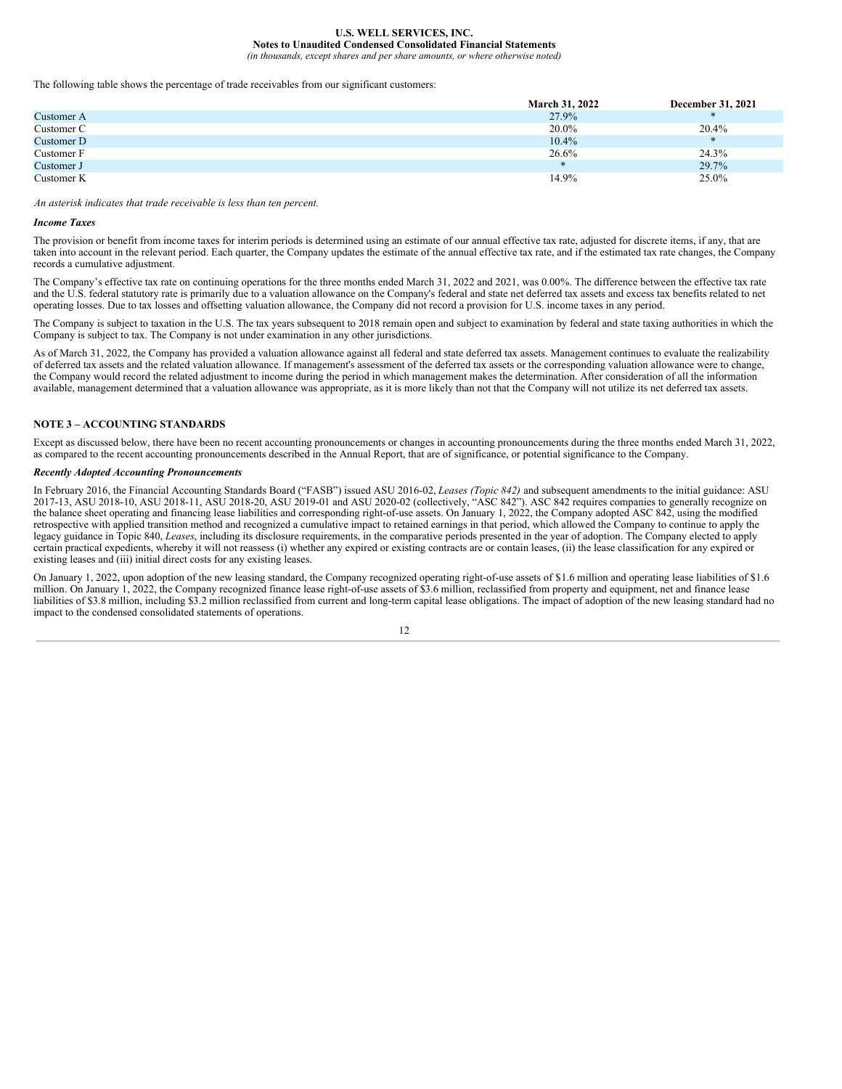#### **U.S. WELL SERVICES, INC. Notes to Unaudited Condensed Consolidated Financial Statements** *(in thousands, except shares and per share amounts, or where otherwise noted)*

The following table shows the percentage of trade receivables from our significant customers:

**March 31, 2022 December 31, 2021**  $\sim$  27.9%  $\star$  27.9%  $\star$  $\alpha$ Customer C 20.4% 20.4% Customer D 10.4% \*  $26.6\%$  24.3% 24.3%  $\blacksquare$ Customer J $\blacksquare$  $14.9\%$  25.0% 25.0%

*An asterisk indicates that trade receivable is less than ten percent.*

#### *Income Taxes*

The provision or benefit from income taxes for interim periods is determined using an estimate of our annual effective tax rate, adjusted for discrete items, if any, that are taken into account in the relevant period. Each quarter, the Company updates the estimate of the annual effective tax rate, and if the estimated tax rate changes, the Company records a cumulative adjustment.

The Company's effective tax rate on continuing operations for the three months ended March 31, 2022 and 2021, was 0.00%. The difference between the effective tax rate and the U.S. federal statutory rate is primarily due to a valuation allowance on the Company's federal and state net deferred tax assets and excess tax benefits related to net operating losses. Due to tax losses and offsetting valuation allowance, the Company did not record a provision for U.S. income taxes in any period.

The Company is subject to taxation in the U.S. The tax years subsequent to 2018 remain open and subject to examination by federal and state taxing authorities in which the Company is subject to tax. The Company is not under examination in any other jurisdictions.

As of March 31, 2022, the Company has provided a valuation allowance against all federal and state deferred tax assets. Management continues to evaluate the realizability of deferred tax assets and the related valuation allowance. If management's assessment of the deferred tax assets or the corresponding valuation allowance were to change, the Company would record the related adjustment to income during the period in which management makes the determination. After consideration of all the information available, management determined that a valuation allowance was appropriate, as it is more likely than not that the Company will not utilize its net deferred tax assets.

## **NOTE 3 – ACCOUNTING STANDARDS**

Except as discussed below, there have been no recent accounting pronouncements or changes in accounting pronouncements during the three months ended March 31, 2022, as compared to the recent accounting pronouncements described in the Annual Report, that are of significance, or potential significance to the Company.

#### *Recently Adopted Accounting Pronouncements*

In February 2016, the Financial Accounting Standards Board ("FASB") issued ASU 2016-02, *Leases (Topic 842)* and subsequent amendments to the initial guidance: ASU 2017-13, ASU 2018-10, ASU 2018-11, ASU 2018-20, ASU 2019-01 and ASU 2020-02 (collectively, "ASC 842"). ASC 842 requires companies to generally recognize on the balance sheet operating and financing lease liabilities and corresponding right-of-use assets. On January 1, 2022, the Company adopted ASC 842, using the modified retrospective with applied transition method and recognized a cumulative impact to retained earnings in that period, which allowed the Company to continue to apply the legacy guidance in Topic 840, *Leases*, including its disclosure requirements, in the comparative periods presented in the year of adoption. The Company elected to apply certain practical expedients, whereby it will not reassess (i) whether any expired or existing contracts are or contain leases, (ii) the lease classification for any expired or existing leases and (iii) initial direct costs for any existing leases.

On January 1, 2022, upon adoption of the new leasing standard, the Company recognized operating right-of-use assets of \$1.6 million and operating lease liabilities of \$1.6 million. On January 1, 2022, the Company recognized finance lease right-of-use assets of \$3.6 million, reclassified from property and equipment, net and finance lease liabilities of \$3.8 million, including \$3.2 million reclassified from current and long-term capital lease obligations. The impact of adoption of the new leasing standard had no impact to the condensed consolidated statements of operations.

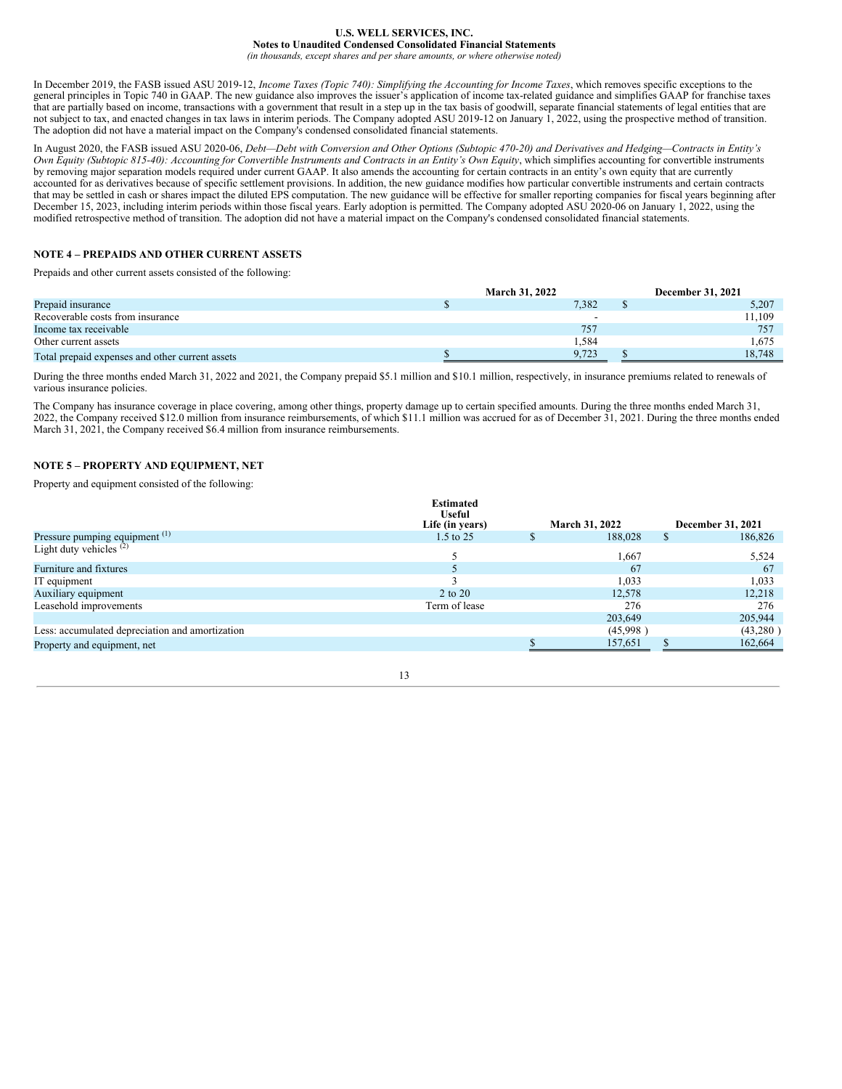**Notes to Unaudited Condensed Consolidated Financial Statements** *(in thousands, except shares and per share amounts, or where otherwise noted)*

In December 2019, the FASB issued ASU 2019-12, Income Taxes (Topic 740): Simplifying the Accounting for Income Taxes, which removes specific exceptions to the general principles in Topic 740 in GAAP. The new guidance also improves the issuer's application of income tax-related guidance and simplifies GAAP for franchise taxes that are partially based on income, transactions with a government that result in a step up in the tax basis of goodwill, separate financial statements of legal entities that are not subject to tax, and enacted changes in tax laws in interim periods. The Company adopted ASU 2019-12 on January 1, 2022, using the prospective method of transition. The adoption did not have a material impact on the Company's condensed consolidated financial statements.

In August 2020, the FASB issued ASU 2020-06, Debt-Debt with Conversion and Other Options (Subtopic 470-20) and Derivatives and Hedging-Contracts in Entity's Own Equity (Subtopic 815-40): Accounting for Convertible Instruments and Contracts in an Entity's Own Equity, which simplifies accounting for convertible instruments by removing major separation models required under current GAAP. It also amends the accounting for certain contracts in an entity's own equity that are currently accounted for as derivatives because of specific settlement provisions. In addition, the new guidance modifies how particular convertible instruments and certain contracts that may be settled in cash or shares impact the diluted EPS computation. The new guidance will be effective for smaller reporting companies for fiscal years beginning after December 15, 2023, including interim periods within those fiscal years. Early adoption is permitted. The Company adopted ASU 2020-06 on January 1, 2022, using the modified retrospective method of transition. The adoption did not have a material impact on the Company's condensed consolidated financial statements.

## **NOTE 4 – PREPAIDS AND OTHER CURRENT ASSETS**

Prepaids and other current assets consisted of the following:

|                                                 | <b>March 31, 2022</b> | December 31, 2021 |
|-------------------------------------------------|-----------------------|-------------------|
| Prepaid insurance                               | 7.382                 | 5,207             |
| Recoverable costs from insurance                | -                     | 11.109            |
| Income tax receivable                           | 757                   | 757               |
| Other current assets                            | . . 584               | 1.675             |
| Total prepaid expenses and other current assets | 9.723                 | 18.748            |

During the three months ended March 31, 2022 and 2021, the Company prepaid \$5.1 million and \$10.1 million, respectively, in insurance premiums related to renewals of various insurance policies.

The Company has insurance coverage in place covering, among other things, property damage up to certain specified amounts. During the three months ended March 31, 2022, the Company received \$12.0 million from insurance reimbursements, of which \$11.1 million was accrued for as of December 31, 2021. During the three months ended March 31, 2021, the Company received \$6.4 million from insurance reimbursements.

## **NOTE 5 – PROPERTY AND EQUIPMENT, NET**

Property and equipment consisted of the following:

|                                                               | <b>Estimated</b><br><b>Useful</b> |                |                   |
|---------------------------------------------------------------|-----------------------------------|----------------|-------------------|
|                                                               | Life (in years)                   | March 31, 2022 | December 31, 2021 |
|                                                               | 1.5 to 25                         | 188,028        | 186,826           |
| Pressure pumping equipment $(1)$<br>Light duty vehicles $(2)$ |                                   | 1,667          | 5,524             |
| Furniture and fixtures                                        |                                   | 67             | 67                |
| IT equipment                                                  |                                   | 1,033          | 1,033             |
| Auxiliary equipment                                           | 2 to 20                           | 12,578         | 12,218            |
| Leasehold improvements                                        | Term of lease                     | 276            | 276               |
|                                                               |                                   | 203,649        | 205,944           |
| Less: accumulated depreciation and amortization               |                                   | (45,998)       | (43,280)          |
| Property and equipment, net                                   |                                   | 157,651        | 162,664           |
|                                                               |                                   |                |                   |

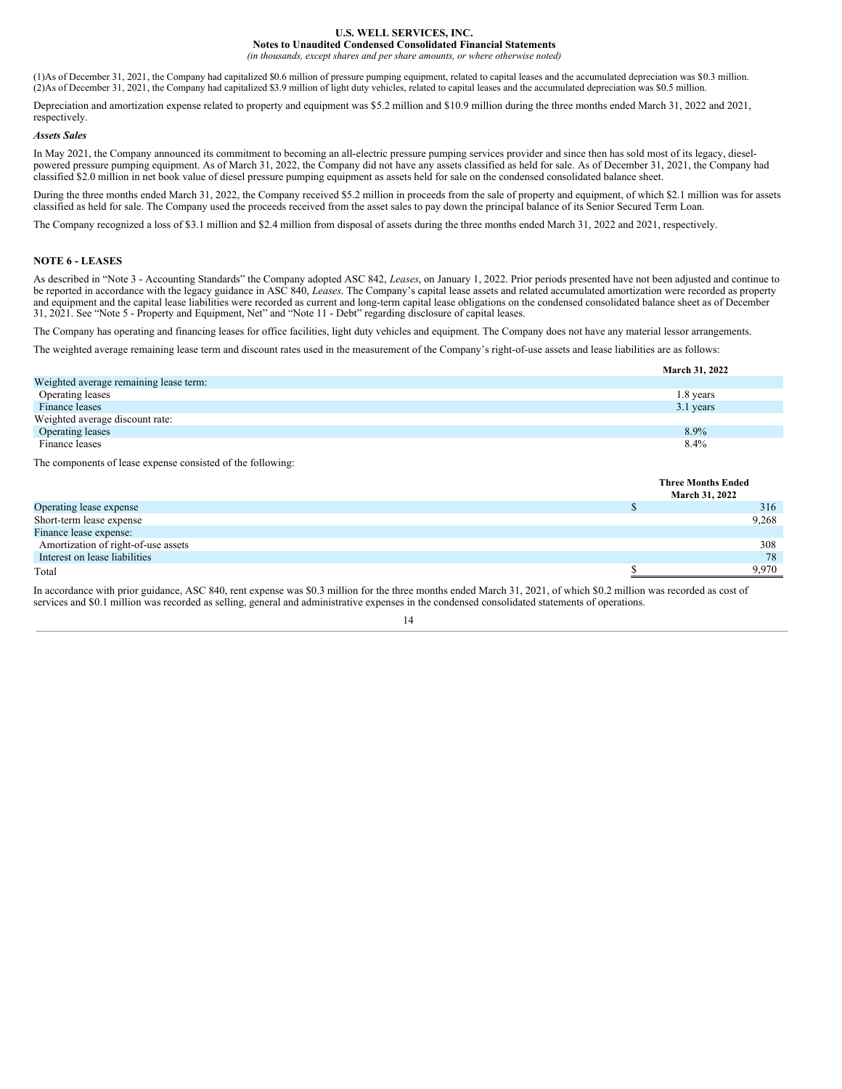**Notes to Unaudited Condensed Consolidated Financial Statements** *(in thousands, except shares and per share amounts, or where otherwise noted)*

(1)As of December 31, 2021, the Company had capitalized \$0.6 million of pressure pumping equipment, related to capital leases and the accumulated depreciation was \$0.3 million. (2)As of December 31, 2021, the Company had capitalized \$3.9 million of light duty vehicles, related to capital leases and the accumulated depreciation was \$0.5 million.

Depreciation and amortization expense related to property and equipment was \$5.2 million and \$10.9 million during the three months ended March 31, 2022 and 2021, respectively.

## *Assets Sales*

In May 2021, the Company announced its commitment to becoming an all-electric pressure pumping services provider and since then has sold most of its legacy, dieselpowered pressure pumping equipment. As of March 31, 2022, the Company did not have any assets classified as held for sale. As of December 31, 2021, the Company had classified \$2.0 million in net book value of diesel pressure pumping equipment as assets held for sale on the condensed consolidated balance sheet.

During the three months ended March 31, 2022, the Company received \$5.2 million in proceeds from the sale of property and equipment, of which \$2.1 million was for assets classified as held for sale. The Company used the proceeds received from the asset sales to pay down the principal balance of its Senior Secured Term Loan.

The Company recognized a loss of \$3.1 million and \$2.4 million from disposal of assets during the three months ended March 31, 2022 and 2021, respectively.

#### **NOTE 6 - LEASES**

As described in "Note 3 - Accounting Standards" the Company adopted ASC 842, *Leases*, on January 1, 2022. Prior periods presented have not been adjusted and continue to be reported in accordance with the legacy guidance in ASC 840, *Leases*. The Company's capital lease assets and related accumulated amortization were recorded as property and equipment and the capital lease liabilities were recorded as current and long-term capital lease obligations on the condensed consolidated balance sheet as of December 31, 2021. See "Note 5 - Property and Equipment, Net" and "Note 11 - Debt" regarding disclosure of capital leases.

The Company has operating and financing leases for office facilities, light duty vehicles and equipment. The Company does not have any material lessor arrangements.

The weighted average remaining lease term and discount rates used in the measurement of the Company's right-of-use assets and lease liabilities are as follows:

|                                        | March 31, 2022 |
|----------------------------------------|----------------|
| Weighted average remaining lease term: |                |
| Operating leases                       | 1.8 years      |
| Finance leases                         | 3.1 years      |
| Weighted average discount rate:        |                |
| Operating leases                       | 8.9%           |
| Finance leases                         | 8.4%           |

The components of lease expense consisted of the following:

|                                     | <b>Three Months Ended</b> |                       |
|-------------------------------------|---------------------------|-----------------------|
|                                     |                           | <b>March 31, 2022</b> |
| Operating lease expense             |                           | 316                   |
| Short-term lease expense            |                           | 9,268                 |
| Finance lease expense:              |                           |                       |
| Amortization of right-of-use assets |                           | 308                   |
| Interest on lease liabilities       |                           | 78                    |
| Total                               |                           | 9.970                 |

In accordance with prior guidance, ASC 840, rent expense was \$0.3 million for the three months ended March 31, 2021, of which \$0.2 million was recorded as cost of services and \$0.1 million was recorded as selling, general and administrative expenses in the condensed consolidated statements of operations.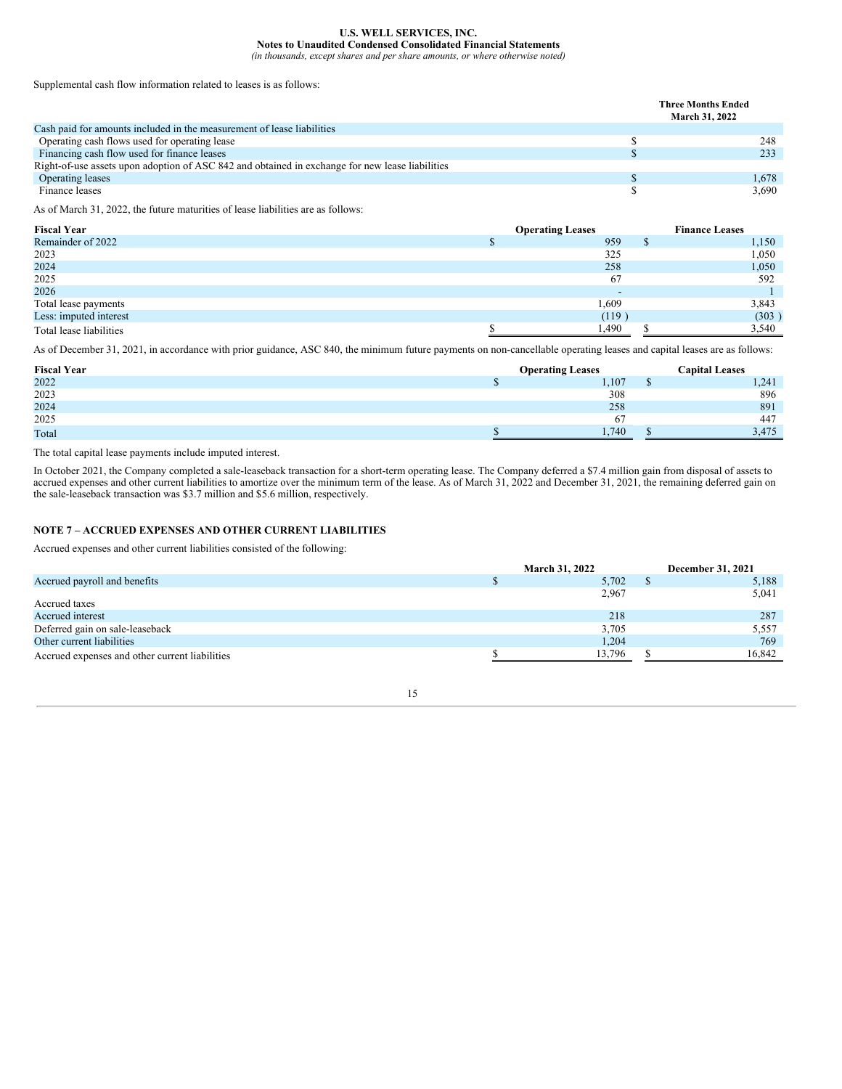## **U.S. WELL SERVICES, INC. Notes to Unaudited Condensed Consolidated Financial Statements**

*(in thousands, except shares and per share amounts, or where otherwise noted)*

Supplemental cash flow information related to leases is as follows:

|                                                                                                 | <b>Three Months Ended</b><br>March 31, 2022 |
|-------------------------------------------------------------------------------------------------|---------------------------------------------|
| Cash paid for amounts included in the measurement of lease liabilities                          |                                             |
| Operating cash flows used for operating lease                                                   | 248                                         |
| Financing cash flow used for finance leases                                                     | 233                                         |
| Right-of-use assets upon adoption of ASC 842 and obtained in exchange for new lease liabilities |                                             |
| Operating leases                                                                                | 1.678                                       |
| Finance leases                                                                                  | 3.690                                       |

As of March 31, 2022, the future maturities of lease liabilities are as follows:

| <b>Fiscal Year</b>      | <b>Operating Leases</b>  | <b>Finance Leases</b> |
|-------------------------|--------------------------|-----------------------|
| Remainder of 2022       | 959                      | 1,150                 |
| 2023                    | 325                      | 1,050                 |
| 2024                    | 258                      | 1,050                 |
| 2025                    | 67                       | 592                   |
| 2026                    | $\overline{\phantom{a}}$ |                       |
| Total lease payments    | 1,609                    | 3,843                 |
| Less: imputed interest  | (119)                    | (303)                 |
| Total lease liabilities | . 490. ،                 | 3,540                 |

As of December 31, 2021, in accordance with prior guidance, ASC 840, the minimum future payments on non-cancellable operating leases and capital leases are as follows:

|       | <b>Capital Leases</b>   |       |  |
|-------|-------------------------|-------|--|
| 1,107 |                         | 1,241 |  |
| 308   |                         | 896   |  |
| 258   |                         | 891   |  |
| -67   |                         | 447   |  |
| .740  |                         | 3.475 |  |
|       | <b>Operating Leases</b> |       |  |

The total capital lease payments include imputed interest.

In October 2021, the Company completed a sale-leaseback transaction for a short-term operating lease. The Company deferred a \$7.4 million gain from disposal of assets to accrued expenses and other current liabilities to amortize over the minimum term of the lease. As of March 31, 2022 and December 31, 2021, the remaining deferred gain on the sale-leaseback transaction was \$3.7 million and \$5.6 million, respectively.

## **NOTE 7 – ACCRUED EXPENSES AND OTHER CURRENT LIABILITIES**

Accrued expenses and other current liabilities consisted of the following:

|                                                | March 31, 2022 | December 31, 2021 |
|------------------------------------------------|----------------|-------------------|
| Accrued payroll and benefits                   | 5,702          | 5,188             |
|                                                | 2,967          | 5,041             |
| Accrued taxes                                  |                |                   |
| Accrued interest                               | 218            | 287               |
| Deferred gain on sale-leaseback                | 3,705          | 5,557             |
| Other current liabilities                      | 1,204          | 769               |
| Accrued expenses and other current liabilities | 13.796         | 16.842            |

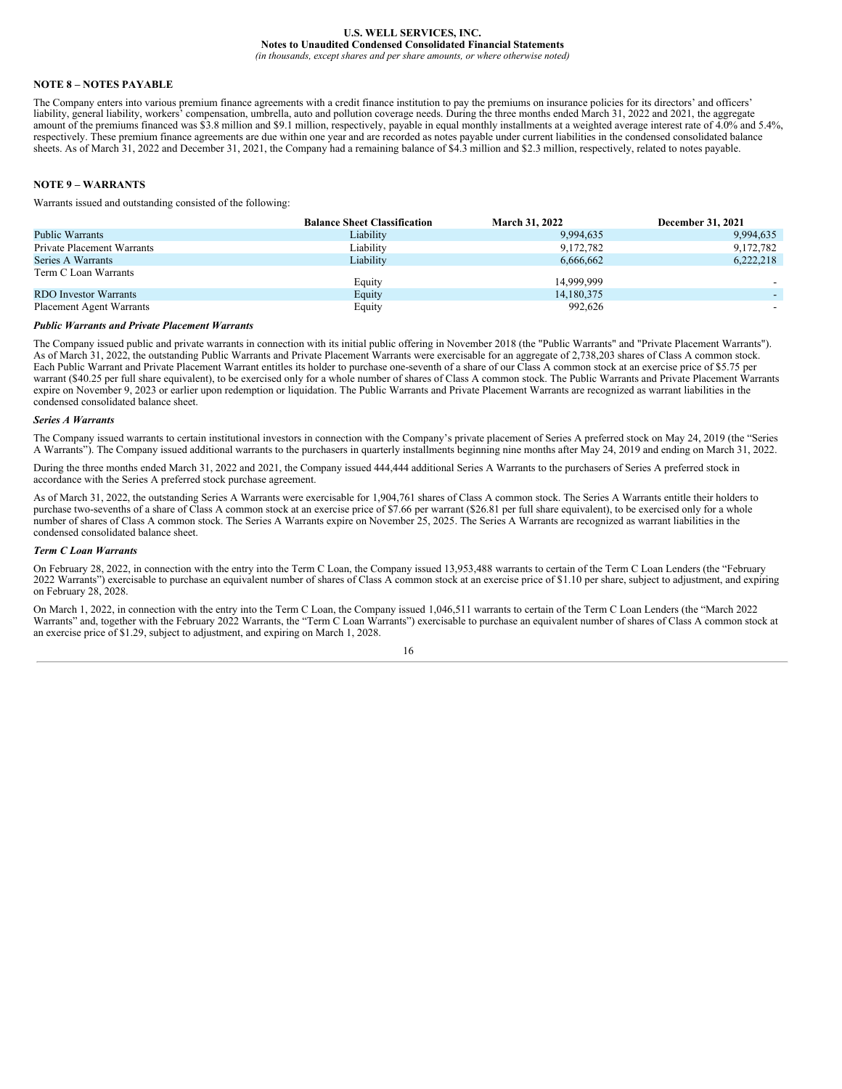#### **U.S. WELL SERVICES, INC. Notes to Unaudited Condensed Consolidated Financial Statements** *(in thousands, except shares and per share amounts, or where otherwise noted)*

## **NOTE 8 – NOTES PAYABLE**

The Company enters into various premium finance agreements with a credit finance institution to pay the premiums on insurance policies for its directors' and officers' liability, general liability, workers' compensation, umbrella, auto and pollution coverage needs. During the three months ended March 31, 2022 and 2021, the aggregate amount of the premiums financed was \$3.8 million and \$9.1 million, respectively, payable in equal monthly installments at a weighted average interest rate of 4.0% and 5.4%, respectively. These premium finance agreements are due within one year and are recorded as notes payable under current liabilities in the condensed consolidated balance sheets. As of March 31, 2022 and December 31, 2021, the Company had a remaining balance of \$4.3 million and \$2.3 million, respectively, related to notes payable.

## **NOTE 9 – WARRANTS**

Warrants issued and outstanding consisted of the following:

|                              | <b>Balance Sheet Classification</b> | <b>March 31, 2022</b> | December 31, 2021 |
|------------------------------|-------------------------------------|-----------------------|-------------------|
| <b>Public Warrants</b>       | Liability                           | 9.994.635             | 9,994,635         |
| Private Placement Warrants   | Liability                           | 9,172,782             | 9.172.782         |
| Series A Warrants            | Liability                           | 6.666.662             | 6,222,218         |
| Term C Loan Warrants         |                                     |                       |                   |
|                              | Equity                              | 14,999,999            |                   |
| <b>RDO</b> Investor Warrants | Equity                              | 14,180,375            |                   |
| Placement Agent Warrants     | Equity                              | 992,626               |                   |

## *Public Warrants and Private Placement Warrants*

The Company issued public and private warrants in connection with its initial public offering in November 2018 (the "Public Warrants" and "Private Placement Warrants"). As of March 31, 2022, the outstanding Public Warrants and Private Placement Warrants were exercisable for an aggregate of 2,738,203 shares of Class A common stock. Each Public Warrant and Private Placement Warrant entitles its holder to purchase one-seventh of a share of our Class A common stock at an exercise price of \$5.75 per warrant (\$40.25 per full share equivalent), to be exercised only for a whole number of shares of Class A common stock. The Public Warrants and Private Placement Warrants expire on November 9, 2023 or earlier upon redemption or liquidation. The Public Warrants and Private Placement Warrants are recognized as warrant liabilities in the condensed consolidated balance sheet.

#### *Series A Warrants*

The Company issued warrants to certain institutional investors in connection with the Company's private placement of Series A preferred stock on May 24, 2019 (the "Series A Warrants"). The Company issued additional warrants to the purchasers in quarterly installments beginning nine months after May 24, 2019 and ending on March 31, 2022.

During the three months ended March 31, 2022 and 2021, the Company issued 444,444 additional Series A Warrants to the purchasers of Series A preferred stock in accordance with the Series A preferred stock purchase agreement.

As of March 31, 2022, the outstanding Series A Warrants were exercisable for 1,904,761 shares of Class A common stock. The Series A Warrants entitle their holders to purchase two-sevenths of a share of Class A common stock at an exercise price of \$7.66 per warrant (\$26.81 per full share equivalent), to be exercised only for a whole number of shares of Class A common stock. The Series A Warrants expire on November 25, 2025. The Series A Warrants are recognized as warrant liabilities in the condensed consolidated balance sheet.

#### *Term C Loan Warrants*

On February 28, 2022, in connection with the entry into the Term C Loan, the Company issued 13,953,488 warrants to certain of the Term C Loan Lenders (the "February 2022 Warrants") exercisable to purchase an equivalent number of shares of Class A common stock at an exercise price of \$1.10 per share, subject to adjustment, and expiring on February 28, 2028.

On March 1, 2022, in connection with the entry into the Term C Loan, the Company issued 1,046,511 warrants to certain of the Term C Loan Lenders (the "March 2022 Warrants" and, together with the February 2022 Warrants, the "Term C Loan Warrants") exercisable to purchase an equivalent number of shares of Class A common stock at Warrants" and, together with the February 2022 Warrants an exercise price of \$1.29, subject to adjustment, and expiring on March 1, 2028.

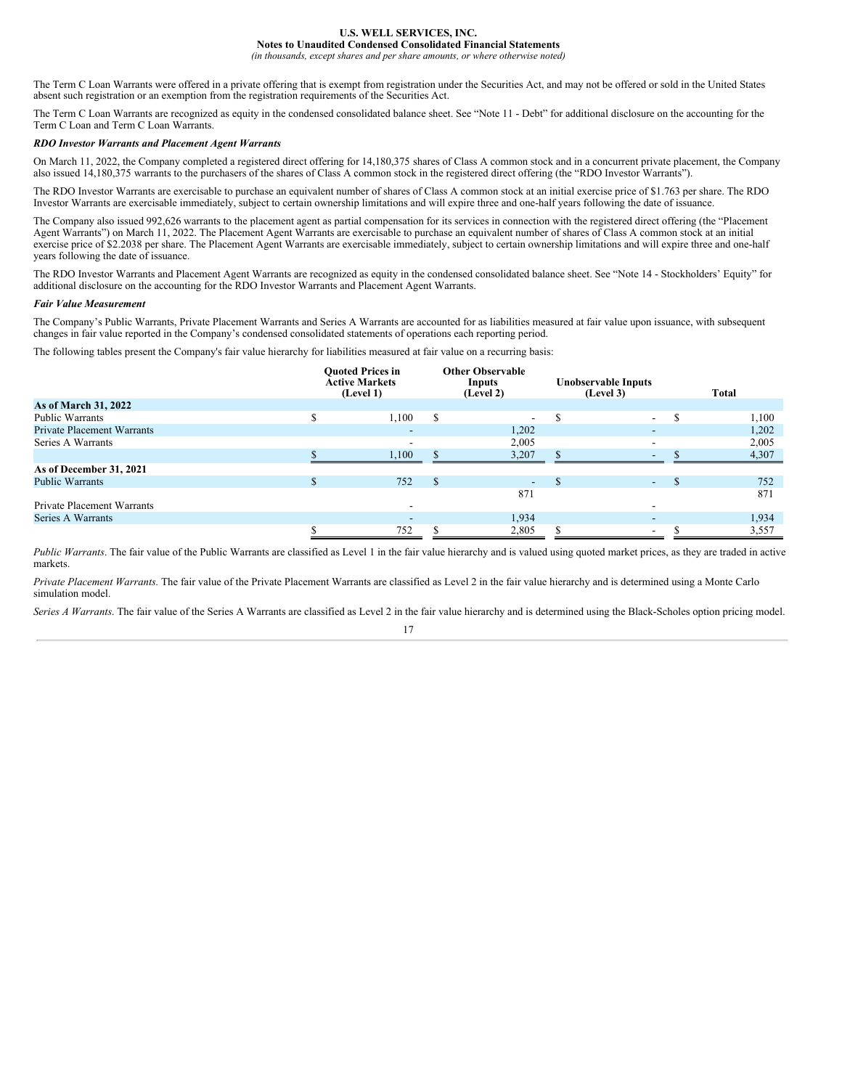#### **Notes to Unaudited Condensed Consolidated Financial Statements** *(in thousands, except shares and per share amounts, or where otherwise noted)*

The Term C Loan Warrants were offered in a private offering that is exempt from registration under the Securities Act, and may not be offered or sold in the United States absent such registration or an exemption from the registration requirements of the Securities Act.

The Term C Loan Warrants are recognized as equity in the condensed consolidated balance sheet. See "Note 11 - Debt" for additional disclosure on the accounting for the Term C Loan and Term C Loan Warrants.

#### *RDO Investor Warrants and Placement Agent Warrants*

On March 11, 2022, the Company completed a registered direct offering for 14,180,375 shares of Class A common stock and in a concurrent private placement, the Company also issued 14,180,375 warrants to the purchasers of the shares of Class A common stock in the registered direct offering (the "RDO Investor Warrants").

The RDO Investor Warrants are exercisable to purchase an equivalent number of shares of Class A common stock at an initial exercise price of \$1.763 per share. The RDO Investor Warrants are exercisable immediately, subject to certain ownership limitations and will expire three and one-half years following the date of issuance.

The Company also issued 992,626 warrants to the placement agent as partial compensation for its services in connection with the registered direct offering (the "Placement Agent Warrants") on March 11, 2022. The Placement Agent Warrants are exercisable to purchase an equivalent number of shares of Class A common stock at an initial exercise price of \$2.2038 per share. The Placement Agent Warrants are exercisable immediately, subject to certain ownership limitations and will expire three and one-half years following the date of issuance.

The RDO Investor Warrants and Placement Agent Warrants are recognized as equity in the condensed consolidated balance sheet. See "Note 14 - Stockholders' Equity" for additional disclosure on the accounting for the RDO Investor Warrants and Placement Agent Warrants.

#### *Fair Value Measurement*

The Company's Public Warrants, Private Placement Warrants and Series A Warrants are accounted for as liabilities measured at fair value upon issuance, with subsequent changes in fair value reported in the Company's condensed consolidated statements of operations each reporting period.

The following tables present the Company's fair value hierarchy for liabilities measured at fair value on a recurring basis:

|                                   | <b>Ouoted Prices in</b><br><b>Active Markets</b><br>(Level 1) |               | <b>Other Observable</b><br>Inputs<br>(Level 2) |     | Unobservable Inputs<br>(Level 3) |          | Total |
|-----------------------------------|---------------------------------------------------------------|---------------|------------------------------------------------|-----|----------------------------------|----------|-------|
| As of March 31, 2022              |                                                               |               |                                                |     |                                  |          |       |
| <b>Public Warrants</b>            | 1,100                                                         | S             | $\overline{\phantom{0}}$                       |     | $\sim$                           | S        | 1,100 |
| <b>Private Placement Warrants</b> | $\overline{\phantom{0}}$                                      |               | 1,202                                          |     | -                                |          | 1,202 |
| Series A Warrants                 |                                                               |               | 2,005                                          |     |                                  |          | 2,005 |
|                                   | 1.100                                                         |               | 3,207                                          |     |                                  |          | 4,307 |
| As of December 31, 2021           |                                                               |               |                                                |     |                                  |          |       |
| <b>Public Warrants</b>            | 752                                                           | <sup>\$</sup> | $\sim$                                         | \$. | $\sim 100$                       | <b>S</b> | 752   |
|                                   |                                                               |               | 871                                            |     |                                  |          | 871   |
| Private Placement Warrants        |                                                               |               |                                                |     |                                  |          |       |
| Series A Warrants                 |                                                               |               | 1,934                                          |     |                                  |          | 1,934 |
|                                   | 752                                                           |               | 2,805                                          |     | $\overline{\phantom{0}}$         |          | 3,557 |

*Public Warrants*. The fair value of the Public Warrants are classified as Level 1 in the fair value hierarchy and is valued using quoted market prices, as they are traded in active markets.

*Private Placement Warrants.* The fair value of the Private Placement Warrants are classified as Level 2 in the fair value hierarchy and is determined using a Monte Carlo simulation model.

*Series A Warrants*. The fair value of the Series A Warrants are classified as Level 2 in the fair value hierarchy and is determined using the Black-Scholes option pricing model.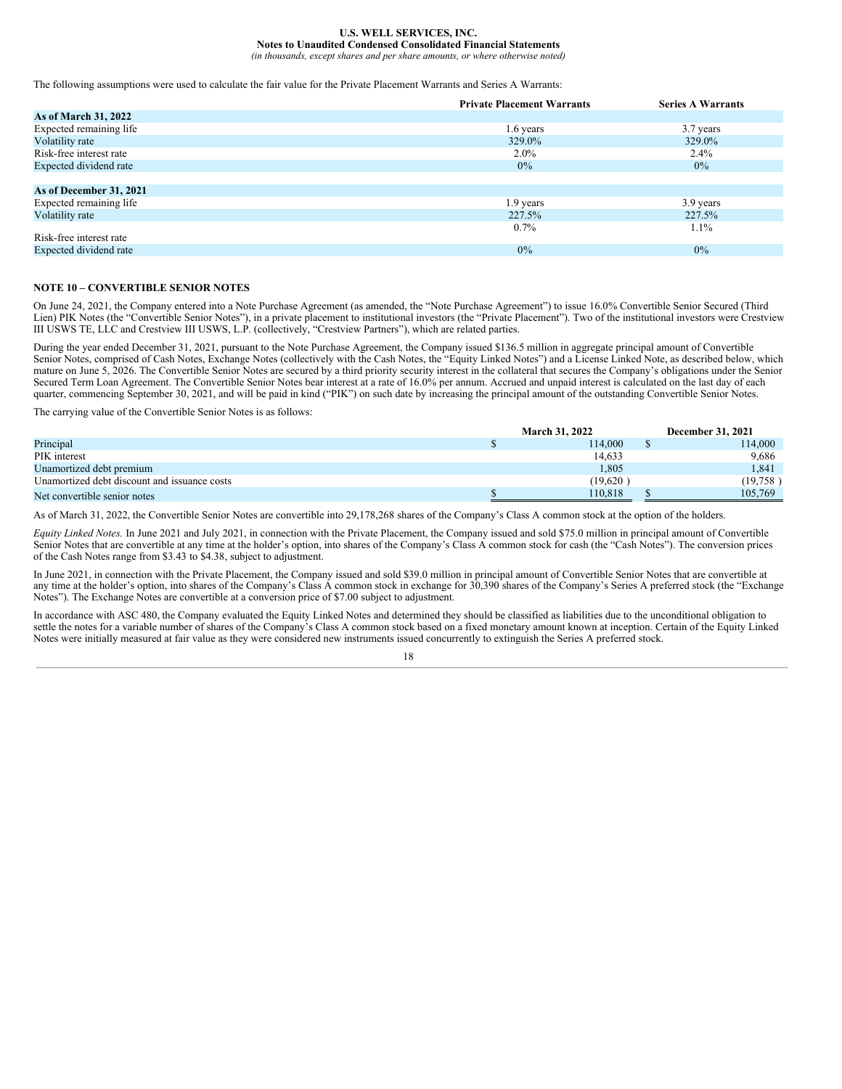**Notes to Unaudited Condensed Consolidated Financial Statements**

*(in thousands, except shares and per share amounts, or where otherwise noted)*

The following assumptions were used to calculate the fair value for the Private Placement Warrants and Series A Warrants:

| <b>Private Placement Warrants</b> | <b>Series A Warrants</b> |
|-----------------------------------|--------------------------|
|                                   |                          |
| 1.6 years                         | 3.7 years                |
| 329.0%                            | 329.0%                   |
| $2.0\%$                           | $2.4\%$                  |
| $0\%$                             | $0\%$                    |
|                                   |                          |
|                                   |                          |
| 1.9 years                         | 3.9 years                |
| 227.5%                            | 227.5%                   |
| $0.7\%$                           | $1.1\%$                  |
|                                   |                          |
| $0\%$                             | $0\%$                    |
|                                   |                          |

# **NOTE 10 – CONVERTIBLE SENIOR NOTES**

On June 24, 2021, the Company entered into a Note Purchase Agreement (as amended, the "Note Purchase Agreement") to issue 16.0% Convertible Senior Secured (Third Lien) PIK Notes (the "Convertible Senior Notes"), in a private placement to institutional investors (the "Private Placement"). Two of the institutional investors were Crestview III USWS TE, LLC and Crestview III USWS, L.P. (collectively, "Crestview Partners"), which are related parties.

During the year ended December 31, 2021, pursuant to the Note Purchase Agreement, the Company issued \$136.5 million in aggregate principal amount of Convertible Senior Notes, comprised of Cash Notes, Exchange Notes (collectively with the Cash Notes, the "Equity Linked Notes") and a License Linked Note, as described below, which mature on June 5, 2026. The Convertible Senior Notes are secured by a third priority security interest in the collateral that secures the Company's obligations under the Senior Secured Term Loan Agreement. The Convertible Senior Notes bear interest at a rate of 16.0% per annum. Accrued and unpaid interest is calculated on the last day of each quarter, commencing September 30, 2021, and will be paid in kind ("PIK") on such date by increasing the principal amount of the outstanding Convertible Senior Notes.

The carrying value of the Convertible Senior Notes is as follows:

|                                              | <b>March 31, 2022</b> | <b>December 31, 2021</b> |
|----------------------------------------------|-----------------------|--------------------------|
| Principal                                    | 114,000               | 114,000                  |
| PIK interest                                 | 14.633                | 9,686                    |
| Unamortized debt premium                     | 1,805                 | 1.841                    |
| Unamortized debt discount and issuance costs | (19,620)              | (19,758)                 |
| Net convertible senior notes                 | 110.818               | 105,769                  |

As of March 31, 2022, the Convertible Senior Notes are convertible into 29,178,268 shares of the Company's Class A common stock at the option of the holders.

*Equity Linked Notes.* In June 2021 and July 2021, in connection with the Private Placement, the Company issued and sold \$75.0 million in principal amount of Convertible Senior Notes that are convertible at any time at the holder's option, into shares of the Company's Class A common stock for cash (the "Cash Notes"). The conversion prices of the Cash Notes range from \$3.43 to \$4.38, subject to adjustment.

In June 2021, in connection with the Private Placement, the Company issued and sold \$39.0 million in principal amount of Convertible Senior Notes that are convertible at any time at the holder's option, into shares of the Company's Class A common stock in exchange for 30,390 shares of the Company's Series A preferred stock (the "Exchange Notes"). The Exchange Notes are convertible at a conversion price of \$7.00 subject to adjustment.

In accordance with ASC 480, the Company evaluated the Equity Linked Notes and determined they should be classified as liabilities due to the unconditional obligation to settle the notes for a variable number of shares of the Company's Class A common stock based on a fixed monetary amount known at inception. Certain of the Equity Linked Notes were initially measured at fair value as they were considered new instruments issued concurrently to extinguish the Series A preferred stock.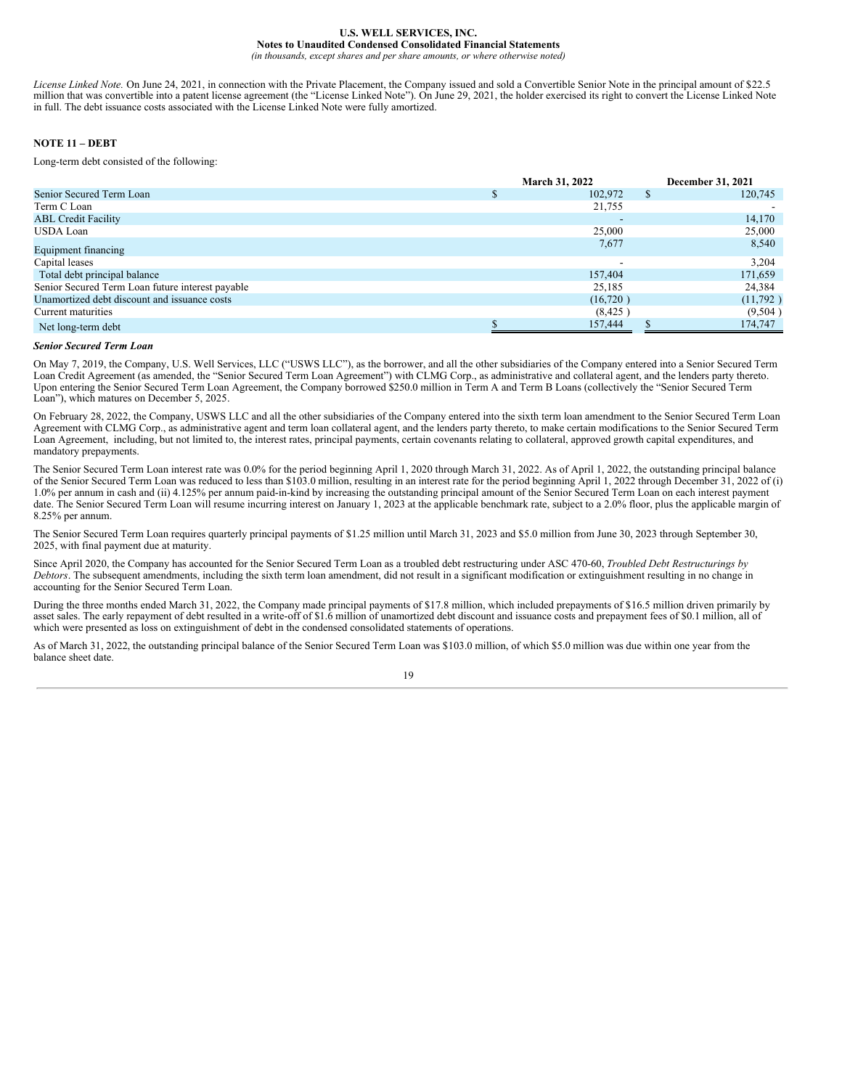**Notes to Unaudited Condensed Consolidated Financial Statements** *(in thousands, except shares and per share amounts, or where otherwise noted)*

*License Linked Note.* On June 24, 2021, in connection with the Private Placement, the Company issued and sold a Convertible Senior Note in the principal amount of \$22.5 million that was convertible into a patent license agreement (the "License Linked Note"). On June 29, 2021, the holder exercised its right to convert the License Linked Note in full. The debt issuance costs associated with the License Linked Note were fully amortized.

### **NOTE 11 – DEBT**

Long-term debt consisted of the following:

|                                                  | March 31, 2022 |     | December 31, 2021 |
|--------------------------------------------------|----------------|-----|-------------------|
| Senior Secured Term Loan                         | 102,972        | \$. | 120,745           |
| Term C Loan                                      | 21,755         |     |                   |
| <b>ABL Credit Facility</b>                       | <b>1999</b>    |     | 14,170            |
| <b>USDA Loan</b>                                 | 25,000         |     | 25,000            |
| Equipment financing                              | 7,677          |     | 8,540             |
| Capital leases                                   |                |     | 3,204             |
| Total debt principal balance                     | 157,404        |     | 171,659           |
| Senior Secured Term Loan future interest payable | 25,185         |     | 24,384            |
| Unamortized debt discount and issuance costs     | (16,720)       |     | (11,792)          |
| Current maturities                               | (8, 425)       |     | (9,504)           |
| Net long-term debt                               | 157,444        |     | 174,747           |

#### *Senior Secured Term Loan*

On May 7, 2019, the Company, U.S. Well Services, LLC ("USWS LLC"), as the borrower, and all the other subsidiaries of the Company entered into a Senior Secured Term Loan Credit Agreement (as amended, the "Senior Secured Term Loan Agreement") with CLMG Corp., as administrative and collateral agent, and the lenders party thereto. Upon entering the Senior Secured Term Loan Agreement, the Company borrowed \$250.0 million in Term A and Term B Loans (collectively the "Senior Secured Term Loan"), which matures on December 5, 2025.

On February 28, 2022, the Company, USWS LLC and all the other subsidiaries of the Company entered into the sixth term loan amendment to the Senior Secured Term Loan Agreement with CLMG Corp., as administrative agent and term loan collateral agent, and the lenders party thereto, to make certain modifications to the Senior Secured Term Loan Agreement, including, but not limited to, the interest rates, principal payments, certain covenants relating to collateral, approved growth capital expenditures, and mandatory prepayments.

The Senior Secured Term Loan interest rate was 0.0% for the period beginning April 1, 2020 through March 31, 2022. As of April 1, 2022, the outstanding principal balance of the Senior Secured Term Loan was reduced to less than \$103.0 million, resulting in an interest rate for the period beginning April 1, 2022 through December 31, 2022 of (i) 1.0% per annum in cash and (ii) 4.125% per annum paid-in-kind by increasing the outstanding principal amount of the Senior Secured Term Loan on each interest payment date. The Senior Secured Term Loan will resume incurring interest on January 1, 2023 at the applicable benchmark rate, subject to a 2.0% floor, plus the applicable margin of 8.25% per annum.

The Senior Secured Term Loan requires quarterly principal payments of \$1.25 million until March 31, 2023 and \$5.0 million from June 30, 2023 through September 30, 2025, with final payment due at maturity.

Since April 2020, the Company has accounted for the Senior Secured Term Loan as a troubled debt restructuring under ASC 470-60, *Troubled Debt Restructurings by Debtors*. The subsequent amendments, including the sixth term loan amendment, did not result in a significant modification or extinguishment resulting in no change in accounting for the Senior Secured Term Loan.

During the three months ended March 31, 2022, the Company made principal payments of \$17.8 million, which included prepayments of \$16.5 million driven primarily by asset sales. The early repayment of debt resulted in a write-off of \$1.6 million of unamortized debt discount and issuance costs and prepayment fees of \$0.1 million, all of which were presented as loss on extinguishment of debt in the condensed consolidated statements of operations.

As of March 31, 2022, the outstanding principal balance of the Senior Secured Term Loan was \$103.0 million, of which \$5.0 million was due within one year from the balance sheet date.

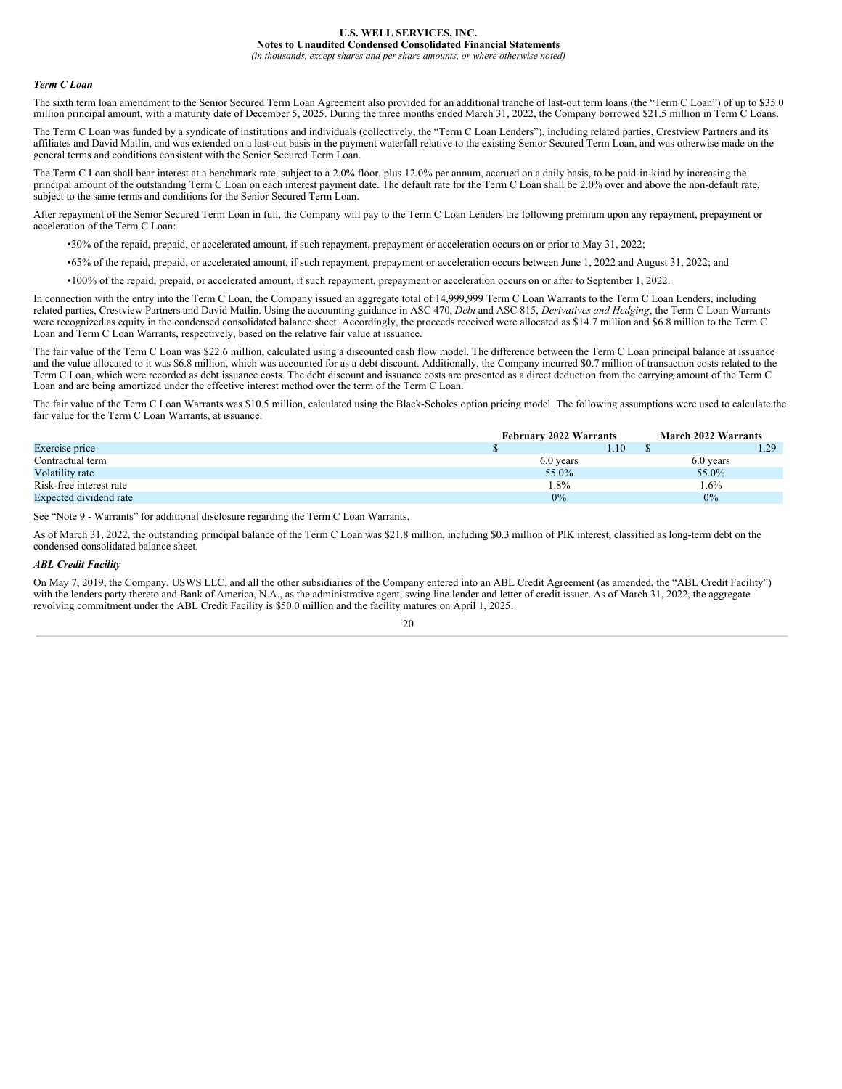**Notes to Unaudited Condensed Consolidated Financial Statements** *(in thousands, except shares and per share amounts, or where otherwise noted)*

## *Term C Loan*

The sixth term loan amendment to the Senior Secured Term Loan Agreement also provided for an additional tranche of last-out term loans (the "Term C Loan") of up to \$35.0 million principal amount, with a maturity date of December 5, 2025. During the three months ended March 31, 2022, the Company borrowed \$21.5 million in Term C Loans.

The Term C Loan was funded by a syndicate of institutions and individuals (collectively, the "Term C Loan Lenders"), including related parties, Crestview Partners and its affiliates and David Matlin, and was extended on a last-out basis in the payment waterfall relative to the existing Senior Secured Term Loan, and was otherwise made on the general terms and conditions consistent with the Senior Secured Term Loan.

The Term C Loan shall bear interest at a benchmark rate, subject to a 2.0% floor, plus 12.0% per annum, accrued on a daily basis, to be paid-in-kind by increasing the principal amount of the outstanding Term C Loan on each interest payment date. The default rate for the Term C Loan shall be 2.0% over and above the non-default rate, subject to the same terms and conditions for the Senior Secured Term Loan.

After repayment of the Senior Secured Term Loan in full, the Company will pay to the Term C Loan Lenders the following premium upon any repayment, prepayment or acceleration of the Term C Loan:

- •30% of the repaid, prepaid, or accelerated amount, if such repayment, prepayment or acceleration occurs on or prior to May 31, 2022;
- •65% of the repaid, prepaid, or accelerated amount, if such repayment, prepayment or acceleration occurs between June 1, 2022 and August 31, 2022; and
- •100% of the repaid, prepaid, or accelerated amount, if such repayment, prepayment or acceleration occurs on or after to September 1, 2022.

In connection with the entry into the Term C Loan, the Company issued an aggregate total of 14,999,999 Term C Loan Warrants to the Term C Loan Lenders, including related parties, Crestview Partners and David Matlin. Using the accounting guidance in ASC 470, *Debt* and ASC 815, *Derivatives and Hedging*, the Term C Loan Warrants were recognized as equity in the condensed consolidated balance sheet. Accordingly, the proceeds received were allocated as \$14.7 million and \$6.8 million to the Term C Loan and Term C Loan Warrants, respectively, based on the relative fair value at issuance.

The fair value of the Term C Loan was \$22.6 million, calculated using a discounted cash flow model. The difference between the Term C Loan principal balance at issuance and the value allocated to it was \$6.8 million, which was accounted for as a debt discount. Additionally, the Company incurred \$0.7 million of transaction costs related to the Term C Loan, which were recorded as debt issuance costs. The debt discount and issuance costs are presented as a direct deduction from the carrying amount of the Term C Loan and are being amortized under the effective interest method over the term of the Term C Loan.

The fair value of the Term C Loan Warrants was \$10.5 million, calculated using the Black-Scholes option pricing model. The following assumptions were used to calculate the fair value for the Term C Loan Warrants, at issuance:

|                         | <b>February 2022 Warrants</b> | <b>March 2022 Warrants</b> |  |  |
|-------------------------|-------------------------------|----------------------------|--|--|
| Exercise price          | .10                           | 1.29                       |  |  |
| Contractual term        | 6.0 years                     | 6.0 years                  |  |  |
| Volatility rate         | 55.0%                         | 55.0%                      |  |  |
| Risk-free interest rate | $1.8\%$                       | $.6\%$                     |  |  |
| Expected dividend rate  | 0%                            | $0\%$                      |  |  |

See "Note 9 - Warrants" for additional disclosure regarding the Term C Loan Warrants.

As of March 31, 2022, the outstanding principal balance of the Term C Loan was \$21.8 million, including \$0.3 million of PIK interest, classified as long-term debt on the condensed consolidated balance sheet.

#### *ABL Credit Facility*

On May 7, 2019, the Company, USWS LLC, and all the other subsidiaries of the Company entered into an ABL Credit Agreement (as amended, the "ABL Credit Facility") with the lenders party thereto and Bank of America, N.A., as the administrative agent, swing line lender and letter of credit issuer. As of March 31, 2022, the aggregate revolving commitment under the ABL Credit Facility is \$50.0 million and the facility matures on April 1, 2025.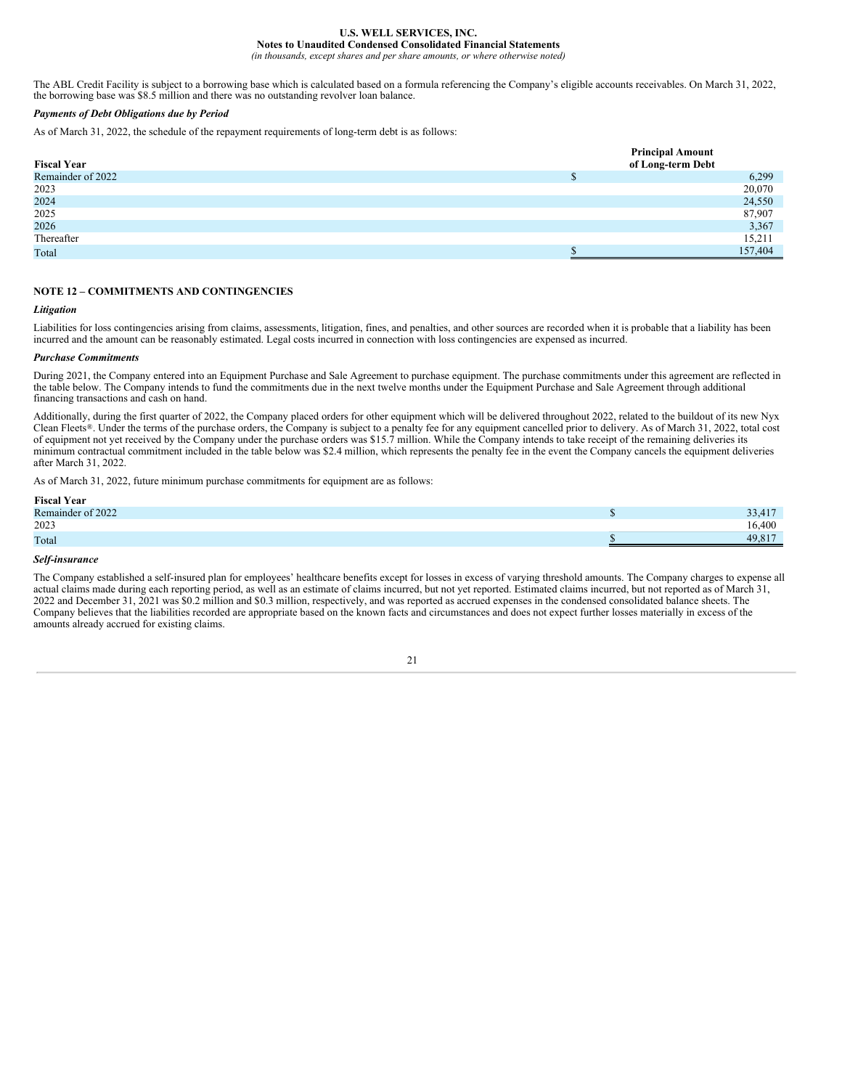#### **Notes to Unaudited Condensed Consolidated Financial Statements** *(in thousands, except shares and per share amounts, or where otherwise noted)*

The ABL Credit Facility is subject to a borrowing base which is calculated based on a formula referencing the Company's eligible accounts receivables. On March 31, 2022, the borrowing base was \$8.5 million and there was no outstanding revolver loan balance.

### *Payments of Debt Obligations due by Period*

As of March 31, 2022, the schedule of the repayment requirements of long-term debt is as follows:

| <b>Fiscal Year</b> | <b>Principal Amount</b><br>of Long-term Debt |         |
|--------------------|----------------------------------------------|---------|
| Remainder of 2022  |                                              | 6,299   |
| 2023               |                                              | 20,070  |
| 2024               |                                              | 24,550  |
| 2025               |                                              | 87,907  |
| 2026               |                                              | 3,367   |
| Thereafter         |                                              | 15,211  |
| Total              |                                              | 157,404 |

### **NOTE 12 – COMMITMENTS AND CONTINGENCIES**

#### *Litigation*

Liabilities for loss contingencies arising from claims, assessments, litigation, fines, and penalties, and other sources are recorded when it is probable that a liability has been incurred and the amount can be reasonably estimated. Legal costs incurred in connection with loss contingencies are expensed as incurred.

#### *Purchase Commitments*

During 2021, the Company entered into an Equipment Purchase and Sale Agreement to purchase equipment. The purchase commitments under this agreement are reflected in the table below. The Company intends to fund the commitments due in the next twelve months under the Equipment Purchase and Sale Agreement through additional financing transactions and cash on hand.

Additionally, during the first quarter of 2022, the Company placed orders for other equipment which will be delivered throughout 2022, related to the buildout of its new Nyx Clean Fleets®. Under the terms of the purchase orders, the Company is subject to a penalty fee for any equipment cancelled prior to delivery. As of March 31, 2022, total cost of equipment not yet received by the Company under the purchase orders was \$15.7 million. While the Company intends to take receipt of the remaining deliveries its minimum contractual commitment included in the table below was \$2.4 million, which represents the penalty fee in the event the Company cancels the equipment deliveries after March 31, 2022.

As of March 31, 2022, future minimum purchase commitments for equipment are as follows:

| <b>Fiscal Year</b> |                  |
|--------------------|------------------|
| Remainder of 2022  | $4.1 -$<br>33,41 |
| 2023               | 16.400           |
| Total              | 49,817           |

## *Self-insurance*

The Company established a self-insured plan for employees' healthcare benefits except for losses in excess of varying threshold amounts. The Company charges to expense all actual claims made during each reporting period, as well as an estimate of claims incurred, but not yet reported. Estimated claims incurred, but not reported as of March 31, 2022 and December 31, 2021 was \$0.2 million and \$0.3 million, respectively, and was reported as accrued expenses in the condensed consolidated balance sheets. The Company believes that the liabilities recorded are appropriate based on the known facts and circumstances and does not expect further losses materially in excess of the amounts already accrued for existing claims.

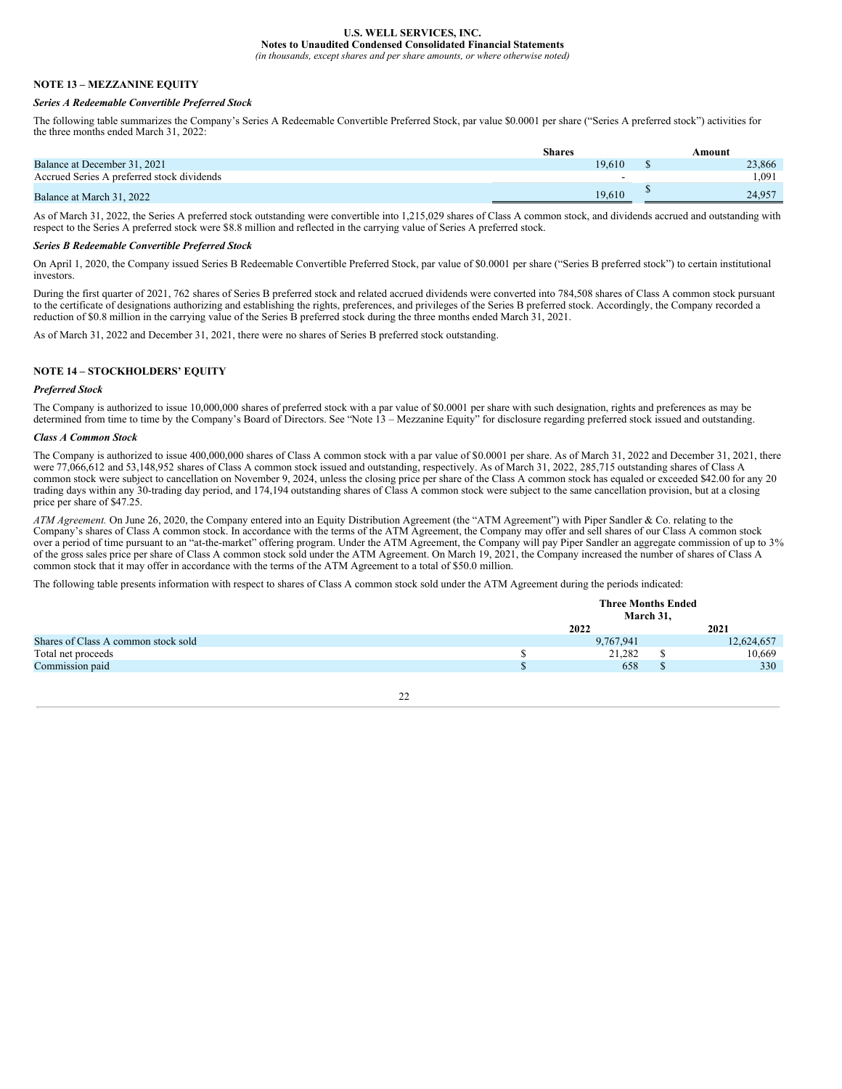#### **U.S. WELL SERVICES, INC. Notes to Unaudited Condensed Consolidated Financial Statements** *(in thousands, except shares and per share amounts, or where otherwise noted)*

#### **NOTE 13 – MEZZANINE EQUITY**

#### *Series A Redeemable Convertible Preferred Stock*

The following table summarizes the Company's Series A Redeemable Convertible Preferred Stock, par value \$0.0001 per share ("Series A preferred stock") activities for the three months ended March 31, 2022:

|                                            | <b>Shares</b> | Amount |
|--------------------------------------------|---------------|--------|
| Balance at December 31, 2021               | 19.610        | 23,866 |
| Accrued Series A preferred stock dividends |               | .091   |
| Balance at March 31, 2022                  | 19.610        | 24.957 |

As of March 31, 2022, the Series A preferred stock outstanding were convertible into 1,215,029 shares of Class A common stock, and dividends accrued and outstanding with respect to the Series A preferred stock were \$8.8 million and reflected in the carrying value of Series A preferred stock.

#### *Series B Redeemable Convertible Preferred Stock*

On April 1, 2020, the Company issued Series B Redeemable Convertible Preferred Stock, par value of \$0.0001 per share ("Series B preferred stock") to certain institutional investors.

During the first quarter of 2021, 762 shares of Series B preferred stock and related accrued dividends were converted into 784,508 shares of Class A common stock pursuant to the certificate of designations authorizing and establishing the rights, preferences, and privileges of the Series B preferred stock. Accordingly, the Company recorded a reduction of \$0.8 million in the carrying value of the Series B preferred stock during the three months ended March 31, 2021.

As of March 31, 2022 and December 31, 2021, there were no shares of Series B preferred stock outstanding.

## **NOTE 14 – STOCKHOLDERS' EQUITY**

## *Preferred Stock*

The Company is authorized to issue 10,000,000 shares of preferred stock with a par value of \$0.0001 per share with such designation, rights and preferences as may be determined from time to time by the Company's Board of Directors. See "Note 13 – Mezzanine Equity" for disclosure regarding preferred stock issued and outstanding.

#### *Class A Common Stock*

The Company is authorized to issue 400,000,000 shares of Class A common stock with a par value of \$0.0001 per share. As of March 31, 2022 and December 31, 2021, there were 77,066,612 and 53,148,952 shares of Class A common stock issued and outstanding, respectively. As of March 31, 2022, 285,715 outstanding shares of Class A common stock were subject to cancellation on November 9, 2024, unless the closing price per share of the Class A common stock has equaled or exceeded \$42.00 for any 20 trading days within any 30-trading day period, and 174,194 outstanding shares of Class A common stock were subject to the same cancellation provision, but at a closing price per share of \$47.25.

*ATM Agreement.* On June 26, 2020, the Company entered into an Equity Distribution Agreement (the "ATM Agreement") with Piper Sandler & Co. relating to the Company's shares of Class A common stock. In accordance with the terms of the ATM Agreement, the Company may offer and sell shares of our Class A common stock over a period of time pursuant to an "at-the-market" offering program. Under the ATM Agreement, the Company will pay Piper Sandler an aggregate commission of up to 3% of the gross sales price per share of Class A common stock sold under the ATM Agreement. On March 19, 2021, the Company increased the number of shares of Class A common stock that it may offer in accordance with the terms of the ATM Agreement to a total of \$50.0 million.

The following table presents information with respect to shares of Class A common stock sold under the ATM Agreement during the periods indicated:

|                                     |  | <b>Three Months Ended</b><br>March 31. |            |
|-------------------------------------|--|----------------------------------------|------------|
|                                     |  | 2022                                   | 2021       |
| Shares of Class A common stock sold |  | 9.767.941                              | 12,624,657 |
| Total net proceeds                  |  | 21.282                                 | 10.669     |
| Commission paid                     |  | 658                                    | 330        |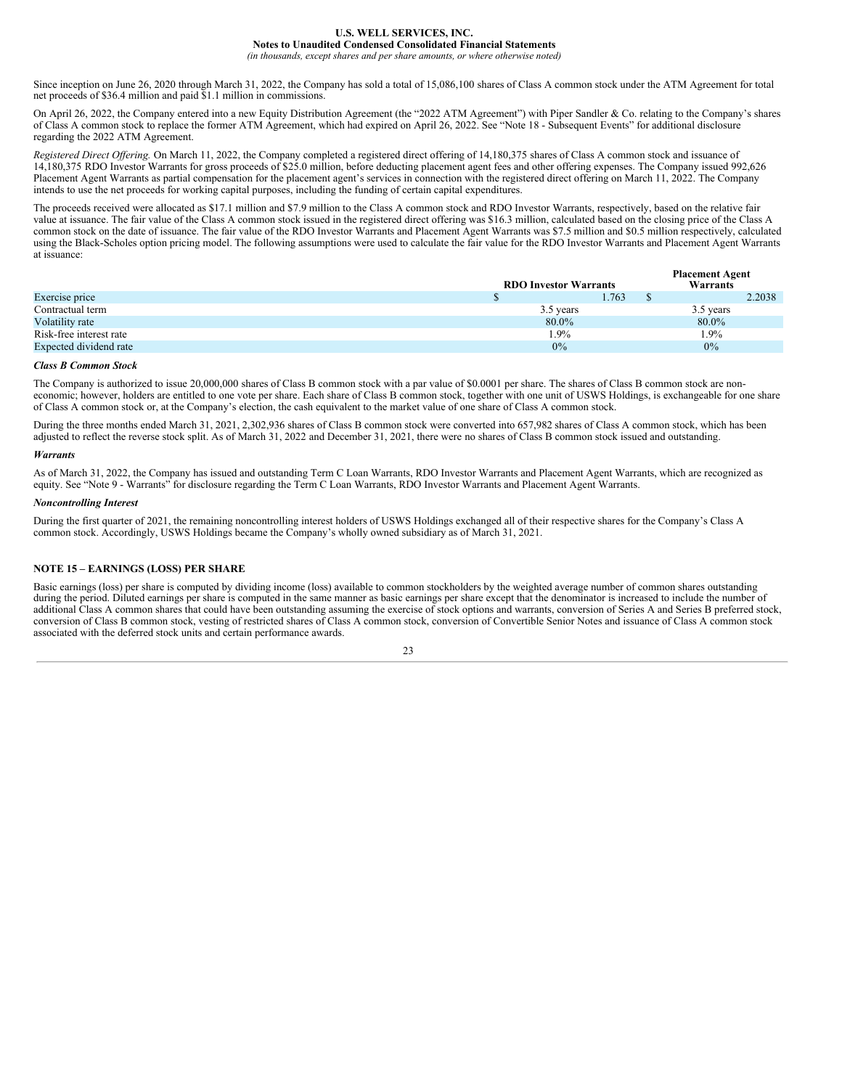#### **Notes to Unaudited Condensed Consolidated Financial Statements** *(in thousands, except shares and per share amounts, or where otherwise noted)*

Since inception on June 26, 2020 through March 31, 2022, the Company has sold a total of 15,086,100 shares of Class A common stock under the ATM Agreement for total net proceeds of \$36.4 million and paid \$1.1 million in commissions.

On April 26, 2022, the Company entered into a new Equity Distribution Agreement (the "2022 ATM Agreement") with Piper Sandler & Co. relating to the Company's shares of Class A common stock to replace the former ATM Agreement, which had expired on April 26, 2022. See "Note 18 - Subsequent Events" for additional disclosure regarding the 2022 ATM Agreement.

*Registered Direct Of ering.* On March 11, 2022, the Company completed a registered direct offering of 14,180,375 shares of Class A common stock and issuance of 14,180,375 RDO Investor Warrants for gross proceeds of \$25.0 million, before deducting placement agent fees and other offering expenses. The Company issued 992,626 Placement Agent Warrants as partial compensation for the placement agent's services in connection with the registered direct offering on March 11, 2022. The Company intends to use the net proceeds for working capital purposes, including the funding of certain capital expenditures.

The proceeds received were allocated as \$17.1 million and \$7.9 million to the Class A common stock and RDO Investor Warrants, respectively, based on the relative fair value at issuance. The fair value of the Class A common stock issued in the registered direct offering was \$16.3 million, calculated based on the closing price of the Class A common stock on the date of issuance. The fair value of the RDO Investor Warrants and Placement Agent Warrants was \$7.5 million and \$0.5 million respectively, calculated using the Black-Scholes option pricing model. The following assumptions were used to calculate the fair value for the RDO Investor Warrants and Placement Agent Warrants at issuance:

**Placement Agent**

|                         | <b>RDO Investor Warrants</b> |  |  |           | Placement Agent<br>Warrants |  |  |
|-------------------------|------------------------------|--|--|-----------|-----------------------------|--|--|
| Exercise price          |                              |  |  | 2.2038    |                             |  |  |
| Contractual term        | 3.5 years                    |  |  | 3.5 years |                             |  |  |
| Volatility rate         | 80.0%                        |  |  | $80.0\%$  |                             |  |  |
| Risk-free interest rate | 1.9%                         |  |  | 1.9%      |                             |  |  |
| Expected dividend rate  | 0%                           |  |  | $0\%$     |                             |  |  |

### *Class B Common Stock*

The Company is authorized to issue 20,000,000 shares of Class B common stock with a par value of \$0.0001 per share. The shares of Class B common stock are noneconomic; however, holders are entitled to one vote per share. Each share of Class B common stock, together with one unit of USWS Holdings, is exchangeable for one share of Class A common stock or, at the Company's election, the cash equivalent to the market value of one share of Class A common stock.

During the three months ended March 31, 2021, 2,302,936 shares of Class B common stock were converted into 657,982 shares of Class A common stock, which has been adjusted to reflect the reverse stock split. As of March 31, 2022 and December 31, 2021, there were no shares of Class B common stock issued and outstanding.

## *Warrants*

As of March 31, 2022, the Company has issued and outstanding Term C Loan Warrants, RDO Investor Warrants and Placement Agent Warrants, which are recognized as equity. See "Note 9 - Warrants" for disclosure regarding the Term C Loan Warrants, RDO Investor Warrants and Placement Agent Warrants.

#### *Noncontrolling Interest*

During the first quarter of 2021, the remaining noncontrolling interest holders of USWS Holdings exchanged all of their respective shares for the Company's Class A common stock. Accordingly, USWS Holdings became the Company's wholly owned subsidiary as of March 31, 2021.

## **NOTE 15 – EARNINGS (LOSS) PER SHARE**

Basic earnings (loss) per share is computed by dividing income (loss) available to common stockholders by the weighted average number of common shares outstanding during the period. Diluted earnings per share is computed in the same manner as basic earnings per share except that the denominator is increased to include the number of additional Class A common shares that could have been outstanding assuming the exercise of stock options and warrants, conversion of Series A and Series B preferred stock, conversion of Class B common stock, vesting of restricted shares of Class A common stock, conversion of Convertible Senior Notes and issuance of Class A common stock associated with the deferred stock units and certain performance awards.

23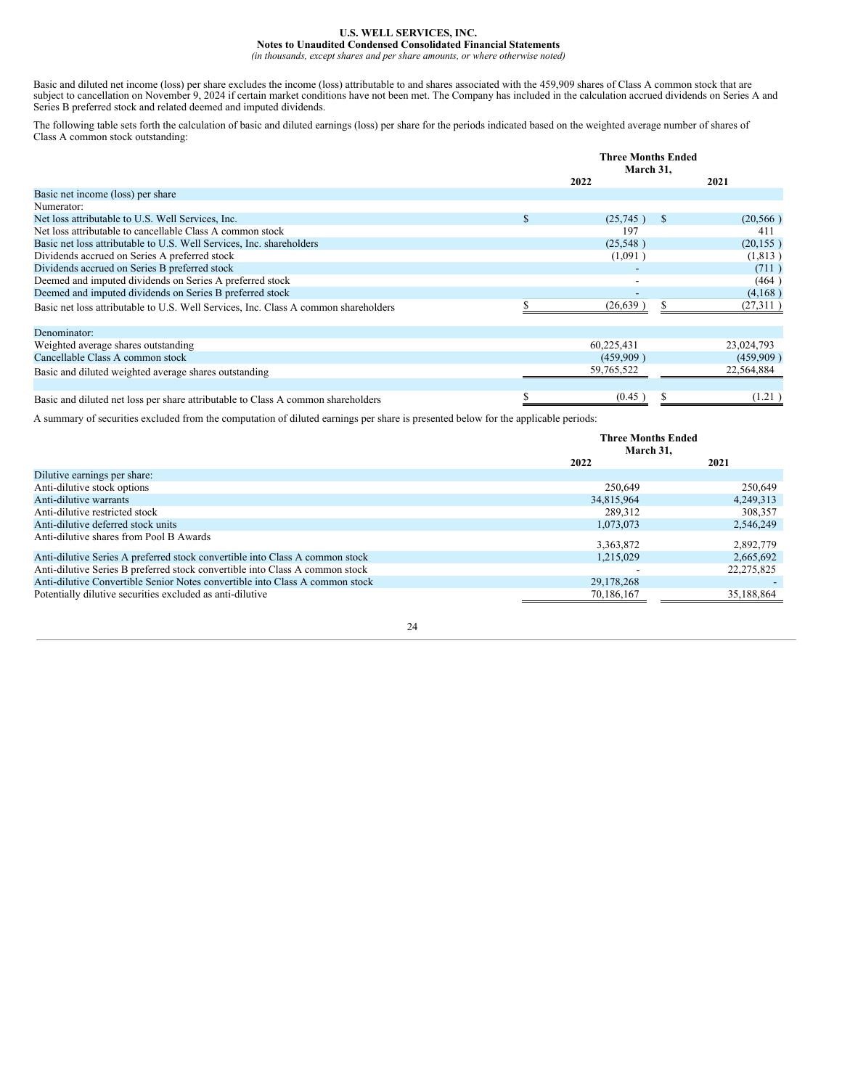# Notes to Unaudited Condensed Consolidated Financial Statements<br>(in thousands, except shares and per share amounts, or where otherwise noted)

Basic and diluted net income (loss) per share excludes the income (loss) attributable to and shares associated with the 459,909 shares of Class A common stock that are subject to cancellation on November 9, 2024 if certain market conditions have not been met. The Company has included in the calculation accrued dividends on Series A and Series B preferred stock and related deemed and imputed dividends.

The following table sets forth the calculation of basic and diluted earnings (loss) per share for the periods indicated based on the weighted average number of shares of Class A common stock outstanding:

|                                                                                     |     | <b>Three Months Ended</b><br>March 31, |     |            |  |
|-------------------------------------------------------------------------------------|-----|----------------------------------------|-----|------------|--|
|                                                                                     |     | 2022                                   |     | 2021       |  |
| Basic net income (loss) per share                                                   |     |                                        |     |            |  |
| Numerator:                                                                          |     |                                        |     |            |  |
| Net loss attributable to U.S. Well Services, Inc.                                   | \$. | (25,745)                               | - S | (20, 566)  |  |
| Net loss attributable to cancellable Class A common stock                           |     | 197                                    |     | 411        |  |
| Basic net loss attributable to U.S. Well Services, Inc. shareholders                |     | (25,548)                               |     | (20, 155)  |  |
| Dividends accrued on Series A preferred stock                                       |     | (1,091)                                |     | (1,813)    |  |
| Dividends accrued on Series B preferred stock                                       |     |                                        |     | (711)      |  |
| Deemed and imputed dividends on Series A preferred stock                            |     |                                        |     | (464)      |  |
| Deemed and imputed dividends on Series B preferred stock                            |     |                                        |     | (4,168)    |  |
| Basic net loss attributable to U.S. Well Services, Inc. Class A common shareholders |     | (26, 639)                              |     | (27,311)   |  |
| Denominator:                                                                        |     |                                        |     |            |  |
| Weighted average shares outstanding                                                 |     | 60,225,431                             |     | 23,024,793 |  |
| Cancellable Class A common stock                                                    |     | (459,909)                              |     | (459,909)  |  |
| Basic and diluted weighted average shares outstanding                               |     | 59,765,522                             |     | 22,564,884 |  |
|                                                                                     |     | (0.45)                                 |     | (1.21)     |  |
| Basic and diluted net loss per share attributable to Class A common shareholders    |     |                                        |     |            |  |

A summary of securities excluded from the computation of diluted earnings per share is presented below for the applicable periods:

|                                                                              | <b>Three Months Ended</b><br>March 31, |              |  |
|------------------------------------------------------------------------------|----------------------------------------|--------------|--|
|                                                                              | 2022                                   | 2021         |  |
| Dilutive earnings per share:                                                 |                                        |              |  |
| Anti-dilutive stock options                                                  | 250.649                                | 250,649      |  |
| Anti-dilutive warrants                                                       | 34,815,964                             | 4.249.313    |  |
| Anti-dilutive restricted stock                                               | 289.312                                | 308,357      |  |
| Anti-dilutive deferred stock units                                           | 1.073.073                              | 2,546,249    |  |
| Anti-dilutive shares from Pool B Awards                                      | 3,363,872                              | 2,892,779    |  |
| Anti-dilutive Series A preferred stock convertible into Class A common stock | 1.215.029                              | 2,665,692    |  |
| Anti-dilutive Series B preferred stock convertible into Class A common stock |                                        | 22, 275, 825 |  |
| Anti-dilutive Convertible Senior Notes convertible into Class A common stock | 29.178.268                             |              |  |
| Potentially dilutive securities excluded as anti-dilutive                    | 70,186,167                             | 35,188,864   |  |

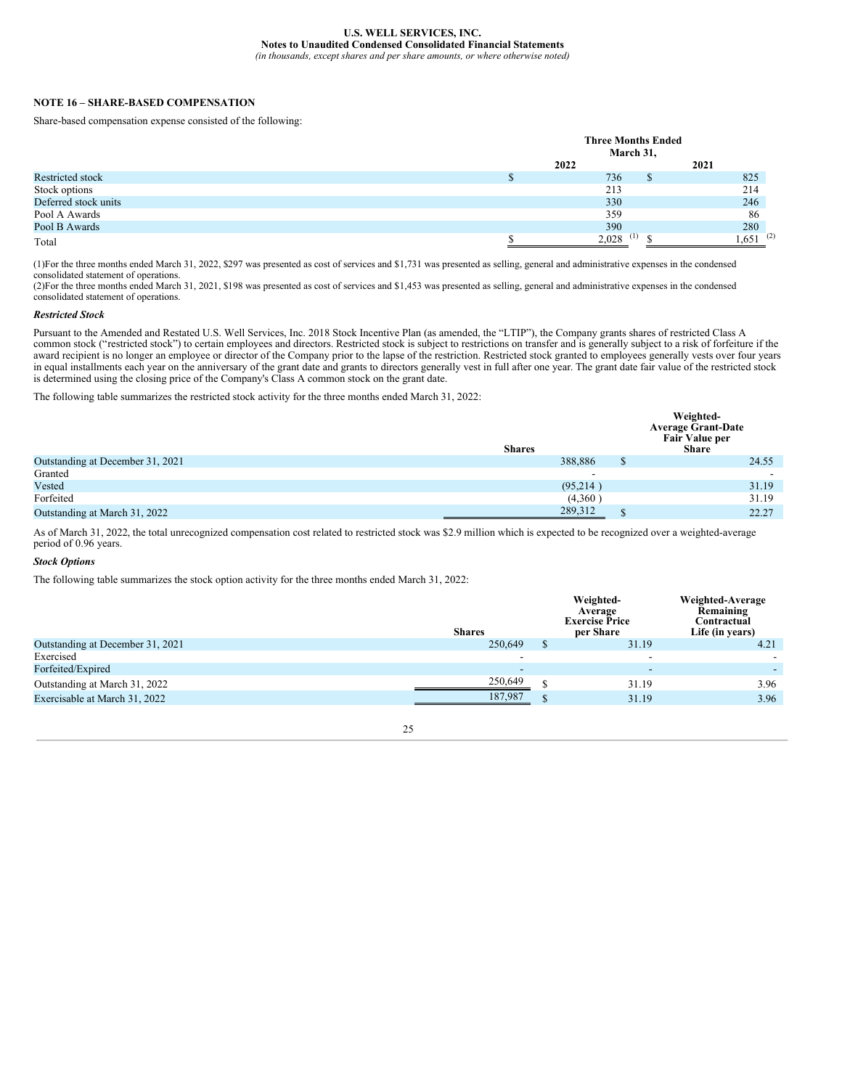#### **U.S. WELL SERVICES, INC. Notes to Unaudited Condensed Consolidated Financial Statements** *(in thousands, except shares and per share amounts, or where otherwise noted)*

# **NOTE 16 – SHARE-BASED COMPENSATION**

Share-based compensation expense consisted of the following:

|                      | <b>Three Months Ended</b> |                           |  |      |              |  |
|----------------------|---------------------------|---------------------------|--|------|--------------|--|
|                      |                           | March 31,                 |  |      |              |  |
|                      | 2022                      |                           |  | 2021 |              |  |
| Restricted stock     |                           | 736                       |  |      | 825          |  |
| Stock options        |                           | 213                       |  |      | 214          |  |
| Deferred stock units |                           | 330                       |  |      | 246          |  |
| Pool A Awards        |                           | 359                       |  |      | 86           |  |
| Pool B Awards        |                           | 390                       |  |      | 280          |  |
| Total                |                           | $2,028$ <sup>(1)</sup> \$ |  |      | (2)<br>1,651 |  |

(1)For the three months ended March 31, 2022, \$297 was presented as cost of services and \$1,731 was presented as selling, general and administrative expenses in the condensed consolidated statement of operations.

(2)For the three months ended March 31, 2021, \$198 was presented as cost of services and \$1,453 was presented as selling, general and administrative expenses in the condensed consolidated statement of operations.

#### *Restricted Stock*

Pursuant to the Amended and Restated U.S. Well Services, Inc. 2018 Stock Incentive Plan (as amended, the "LTIP"), the Company grants shares of restricted Class A common stock ("restricted stock") to certain employees and directors. Restricted stock is subject to restrictions on transfer and is generally subject to a risk of forfeiture if the award recipient is no longer an employee or director of the Company prior to the lapse of the restriction. Restricted stock granted to employees generally vests over four years in equal installments each year on the anniversary of the grant date and grants to directors generally vest in full after one year. The grant date fair value of the restricted stock is determined using the closing price of the Company's Class A common stock on the grant date.

The following table summarizes the restricted stock activity for the three months ended March 31, 2022:

|                                  | <b>Shares</b> | Weighted-<br><b>Average Grant-Date</b><br>Fair Value per<br><b>Share</b> |
|----------------------------------|---------------|--------------------------------------------------------------------------|
| Outstanding at December 31, 2021 | 388,886       | 24.55                                                                    |
| Granted                          | -             |                                                                          |
| Vested                           | (95,214)      | 31.19                                                                    |
| Forfeited                        | (4,360)       | 31.19                                                                    |
| Outstanding at March 31, 2022    | 289,312       | 22.27                                                                    |

As of March 31, 2022, the total unrecognized compensation cost related to restricted stock was \$2.9 million which is expected to be recognized over a weighted-average period of 0.96 years.

## *Stock Options*

The following table summarizes the stock option activity for the three months ended March 31, 2022:

|                                  | <b>Shares</b> | Weighted-<br>Average<br><b>Exercise Price</b><br>per Share |       | Weighted-Average<br>Remaining<br>Contractual<br>Life (in years) |
|----------------------------------|---------------|------------------------------------------------------------|-------|-----------------------------------------------------------------|
| Outstanding at December 31, 2021 | 250,649       |                                                            | 31.19 | 4.21                                                            |
| Exercised                        |               |                                                            |       |                                                                 |
| Forfeited/Expired                |               |                                                            |       |                                                                 |
| Outstanding at March 31, 2022    | 250,649       |                                                            | 31.19 | 3.96                                                            |
| Exercisable at March 31, 2022    | 187.987       |                                                            | 31.19 | 3.96                                                            |
|                                  |               |                                                            |       |                                                                 |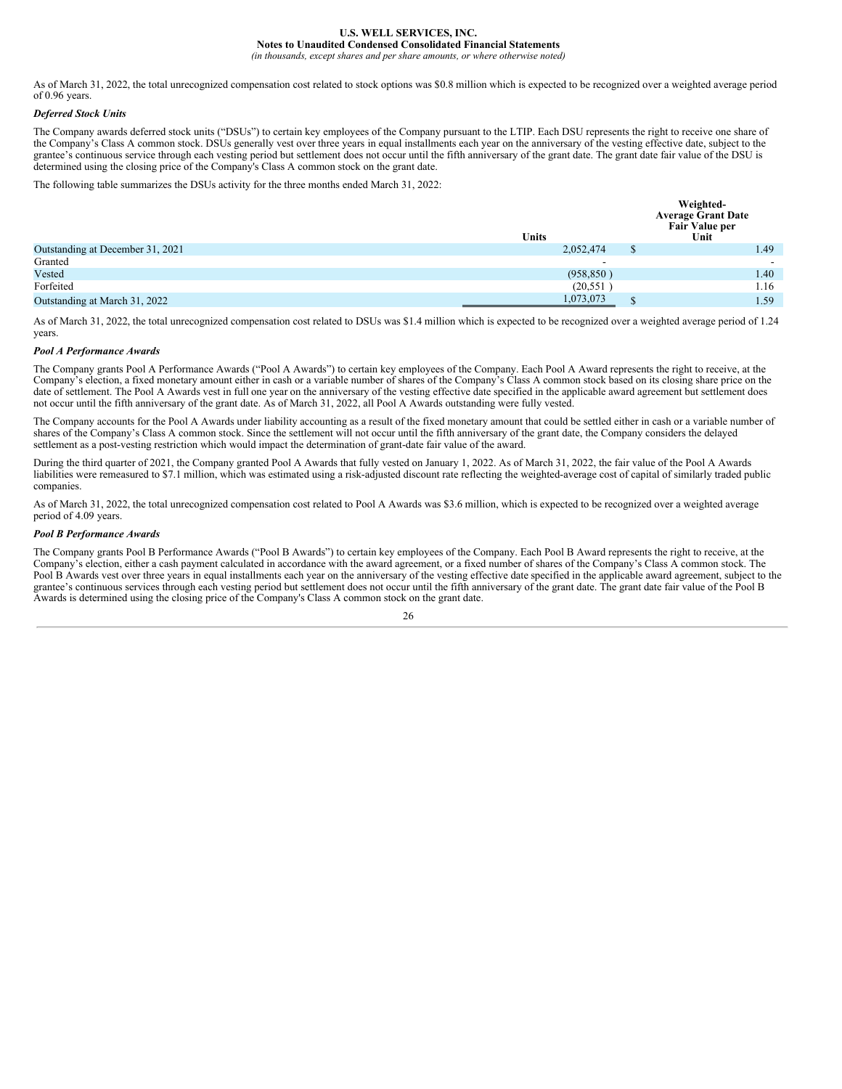**Notes to Unaudited Condensed Consolidated Financial Statements** *(in thousands, except shares and per share amounts, or where otherwise noted)*

As of March 31, 2022, the total unrecognized compensation cost related to stock options was \$0.8 million which is expected to be recognized over a weighted average period of 0.96 years.

## *Deferred Stock Units*

The Company awards deferred stock units ("DSUs") to certain key employees of the Company pursuant to the LTIP. Each DSU represents the right to receive one share of the Company's Class A common stock. DSUs generally vest over three years in equal installments each year on the anniversary of the vesting effective date, subject to the grantee's continuous service through each vesting period but settlement does not occur until the fifth anniversary of the grant date. The grant date fair value of the DSU is determined using the closing price of the Company's Class A common stock on the grant date.

The following table summarizes the DSUs activity for the three months ended March 31, 2022:

|                                  | <b>Units</b> |   | Weighted-<br><b>Average Grant Date</b><br><b>Fair Value per</b><br>Unit |
|----------------------------------|--------------|---|-------------------------------------------------------------------------|
| Outstanding at December 31, 2021 | 2,052,474    | S | 1.49                                                                    |
| Granted                          |              |   | $\overline{\phantom{0}}$                                                |
| Vested                           | (958, 850)   |   | 1.40                                                                    |
| Forfeited                        | (20, 551)    |   | 1.16                                                                    |
| Outstanding at March 31, 2022    | 1,073,073    | ¢ | 1.59                                                                    |

As of March 31, 2022, the total unrecognized compensation cost related to DSUs was \$1.4 million which is expected to be recognized over a weighted average period of 1.24 years.

#### *Pool A Performance Awards*

The Company grants Pool A Performance Awards ("Pool A Awards") to certain key employees of the Company. Each Pool A Award represents the right to receive, at the Company's election, a fixed monetary amount either in cash or a variable number of shares of the Company's Class A common stock based on its closing share price on the date of settlement. The Pool A Awards vest in full one year on the anniversary of the vesting effective date specified in the applicable award agreement but settlement does not occur until the fifth anniversary of the grant date. As of March 31, 2022, all Pool A Awards outstanding were fully vested.

The Company accounts for the Pool A Awards under liability accounting as a result of the fixed monetary amount that could be settled either in cash or a variable number of shares of the Company's Class A common stock. Since the settlement will not occur until the fifth anniversary of the grant date, the Company considers the delayed settlement as a post-vesting restriction which would impact the determination of grant-date fair value of the award.

During the third quarter of 2021, the Company granted Pool A Awards that fully vested on January 1, 2022. As of March 31, 2022, the fair value of the Pool A Awards liabilities were remeasured to \$7.1 million, which was estimated using a risk-adjusted discount rate reflecting the weighted-average cost of capital of similarly traded public companies.

As of March 31, 2022, the total unrecognized compensation cost related to Pool A Awards was \$3.6 million, which is expected to be recognized over a weighted average period of 4.09 years.

#### *Pool B Performance Awards*

The Company grants Pool B Performance Awards ("Pool B Awards") to certain key employees of the Company. Each Pool B Award represents the right to receive, at the Company's election, either a cash payment calculated in accordance with the award agreement, or a fixed number of shares of the Company's Class A common stock. The Pool B Awards vest over three years in equal installments each year on the anniversary of the vesting effective date specified in the applicable award agreement, subject to the grantee's continuous services through each vesting period but settlement does not occur until the fifth anniversary of the grant date. The grant date fair value of the Pool B Awards is determined using the closing price of the Company's Class A common stock on the grant date.

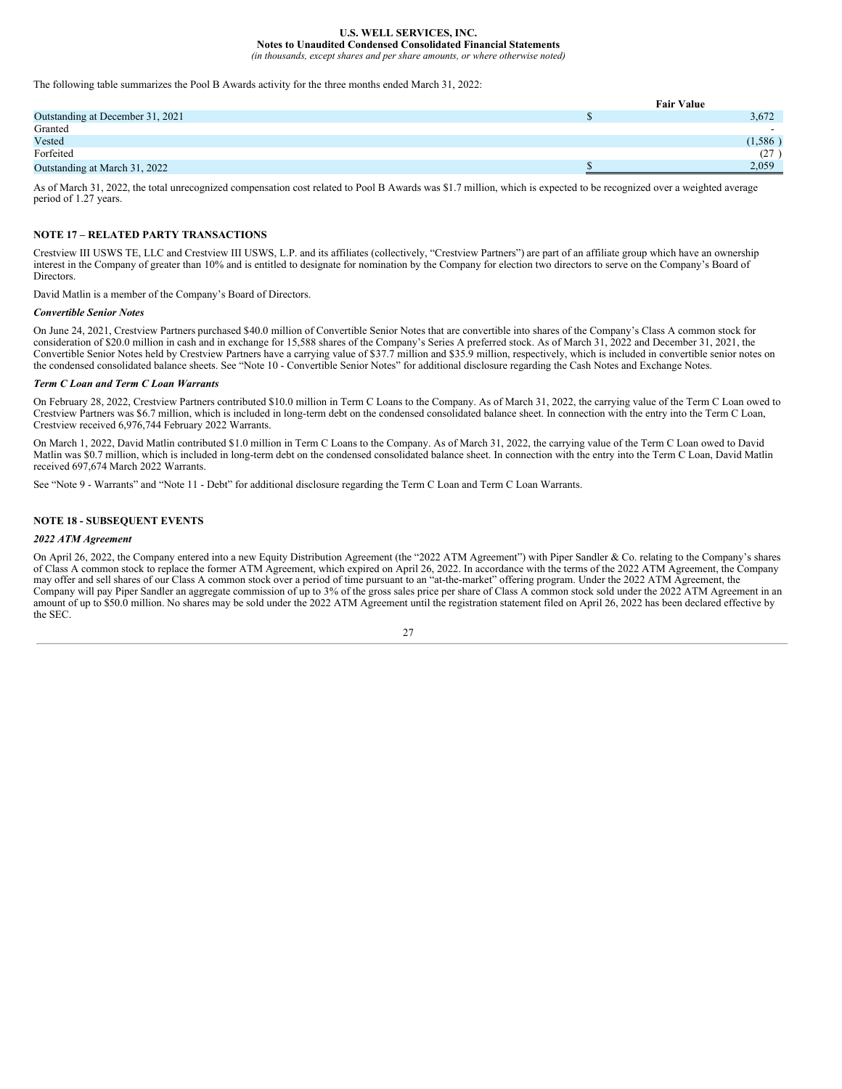#### **U.S. WELL SERVICES, INC. Notes to Unaudited Condensed Consolidated Financial Statements**

*(in thousands, except shares and per share amounts, or where otherwise noted)*

The following table summarizes the Pool B Awards activity for the three months ended March 31, 2022:

|                                  | <b>Fair Value</b>        |
|----------------------------------|--------------------------|
| Outstanding at December 31, 2021 | 3,672                    |
| Granted                          | $\overline{\phantom{0}}$ |
| Vested                           | (1, 586)                 |
| Forfeited                        | (27)                     |
| Outstanding at March 31, 2022    | 2,059                    |

As of March 31, 2022, the total unrecognized compensation cost related to Pool B Awards was \$1.7 million, which is expected to be recognized over a weighted average period of 1.27 years.

## **NOTE 17 – RELATED PARTY TRANSACTIONS**

Crestview III USWS TE, LLC and Crestview III USWS, L.P. and its affiliates (collectively, "Crestview Partners") are part of an affiliate group which have an ownership interest in the Company of greater than 10% and is entitled to designate for nomination by the Company for election two directors to serve on the Company's Board of Directors.

David Matlin is a member of the Company's Board of Directors.

### *Convertible Senior Notes*

On June 24, 2021, Crestview Partners purchased \$40.0 million of Convertible Senior Notes that are convertible into shares of the Company's Class A common stock for consideration of \$20.0 million in cash and in exchange for 15,588 shares of the Company's Series A preferred stock. As of March 31, 2022 and December 31, 2021, the Convertible Senior Notes held by Crestview Partners have a carrying value of \$37.7 million and \$35.9 million, respectively, which is included in convertible senior notes on the condensed consolidated balance sheets. See "Note 10 - Convertible Senior Notes" for additional disclosure regarding the Cash Notes and Exchange Notes.

#### *Term C Loan and Term C Loan Warrants*

On February 28, 2022, Crestview Partners contributed \$10.0 million in Term C Loans to the Company. As of March 31, 2022, the carrying value of the Term C Loan owed to Crestview Partners was \$6.7 million, which is included in long-term debt on the condensed consolidated balance sheet. In connection with the entry into the Term C Loan, Crestview received 6,976,744 February 2022 Warrants.

On March 1, 2022, David Matlin contributed \$1.0 million in Term C Loans to the Company. As of March 31, 2022, the carrying value of the Term C Loan owed to David Matlin was \$0.7 million, which is included in long-term debt on the condensed consolidated balance sheet. In connection with the entry into the Term C Loan, David Matlin received 697,674 March 2022 Warrants.

See "Note 9 - Warrants" and "Note 11 - Debt" for additional disclosure regarding the Term C Loan and Term C Loan Warrants.

# **NOTE 18 - SUBSEQUENT EVENTS**

### *2022 ATM Agreement*

On April 26, 2022, the Company entered into a new Equity Distribution Agreement (the "2022 ATM Agreement") with Piper Sandler & Co. relating to the Company's shares of Class A common stock to replace the former ATM Agreement, which expired on April 26, 2022. In accordance with the terms of the 2022 ATM Agreement, the Company may offer and sell shares of our Class A common stock over a period of time pursuant to an "at-the-market" offering program. Under the 2022 ATM Agreement, the Company will pay Piper Sandler an aggregate commission of up to 3% of the gross sales price per share of Class A common stock sold under the 2022 ATM Agreement in an amount of up to \$50.0 million. No shares may be sold under the 2022 ATM Agreement until the registration statement filed on April 26, 2022 has been declared effective by the SEC.

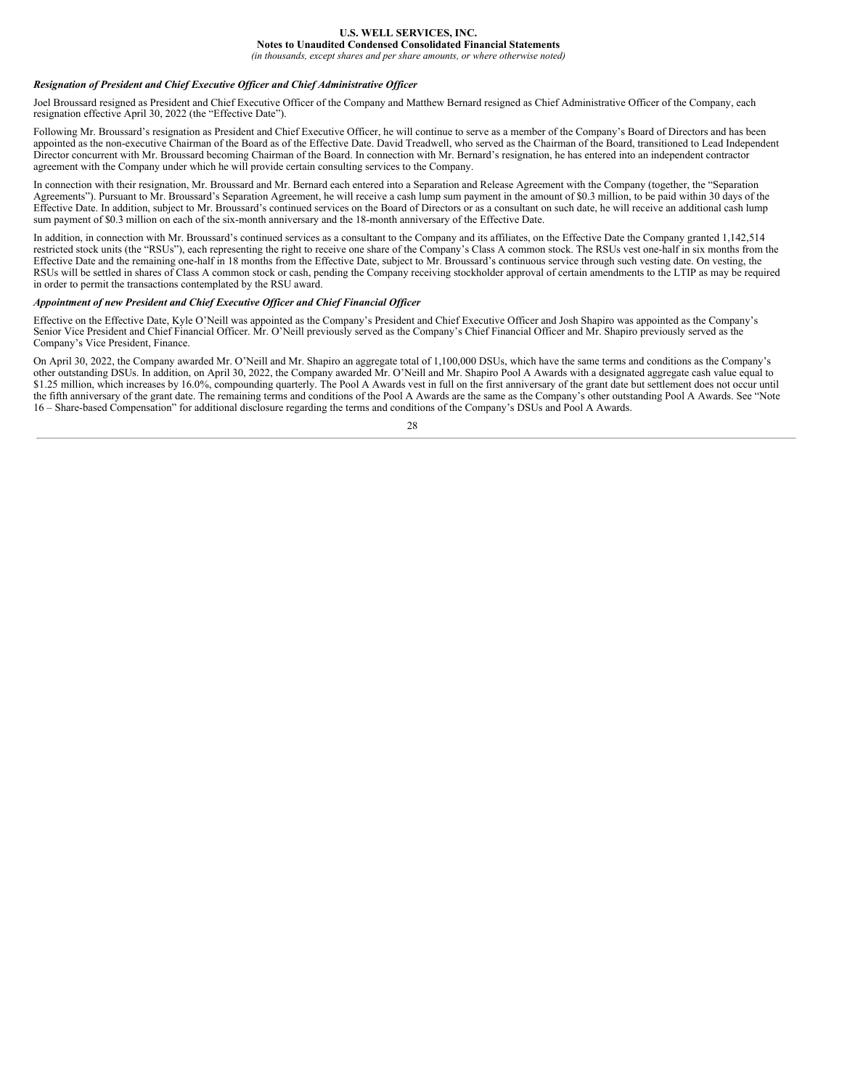**Notes to Unaudited Condensed Consolidated Financial Statements** *(in thousands, except shares and per share amounts, or where otherwise noted)*

### *Resignation of President and Chief Executive Of icer and Chief Administrative Of icer*

Joel Broussard resigned as President and Chief Executive Officer of the Company and Matthew Bernard resigned as Chief Administrative Officer of the Company, each resignation effective April 30, 2022 (the "Effective Date").

Following Mr. Broussard's resignation as President and Chief Executive Officer, he will continue to serve as a member of the Company's Board of Directors and has been appointed as the non-executive Chairman of the Board as of the Effective Date. David Treadwell, who served as the Chairman of the Board, transitioned to Lead Independent Director concurrent with Mr. Broussard becoming Chairman of the Board. In connection with Mr. Bernard's resignation, he has entered into an independent contractor agreement with the Company under which he will provide certain consulting services to the Company.

In connection with their resignation, Mr. Broussard and Mr. Bernard each entered into a Separation and Release Agreement with the Company (together, the "Separation Agreements"). Pursuant to Mr. Broussard's Separation Agreement, he will receive a cash lump sum payment in the amount of \$0.3 million, to be paid within 30 days of the Effective Date. In addition, subject to Mr. Broussard's continued services on the Board of Directors or as a consultant on such date, he will receive an additional cash lump sum payment of \$0.3 million on each of the six-month anniversary and the 18-month anniversary of the Effective Date.

In addition, in connection with Mr. Broussard's continued services as a consultant to the Company and its affiliates, on the Effective Date the Company granted 1,142,514 restricted stock units (the "RSUs"), each representing the right to receive one share of the Company's Class A common stock. The RSUs vest one-half in six months from the Effective Date and the remaining one-half in 18 months from the Effective Date, subject to Mr. Broussard's continuous service through such vesting date. On vesting, the RSUs will be settled in shares of Class A common stock or cash, pending the Company receiving stockholder approval of certain amendments to the LTIP as may be required in order to permit the transactions contemplated by the RSU award.

## *Appointment of new President and Chief Executive Of icer and Chief Financial Of icer*

Effective on the Effective Date, Kyle O'Neill was appointed as the Company's President and Chief Executive Officer and Josh Shapiro was appointed as the Company's Senior Vice President and Chief Financial Officer. Mr. O'Neill previously served as the Company's Chief Financial Officer and Mr. Shapiro previously served as the Company's Vice President, Finance.

On April 30, 2022, the Company awarded Mr. O'Neill and Mr. Shapiro an aggregate total of 1,100,000 DSUs, which have the same terms and conditions as the Company's other outstanding DSUs. In addition, on April 30, 2022, the Company awarded Mr. O'Neill and Mr. Shapiro Pool A Awards with a designated aggregate cash value equal to \$1.25 million, which increases by 16.0%, compounding quarterly. The Pool A Awards vest in full on the first anniversary of the grant date but settlement does not occur until the fifth anniversary of the grant date. The remaining terms and conditions of the Pool A Awards are the same as the Company's other outstanding Pool A Awards. See "Note 16 – Share-based Compensation" for additional disclosure regarding the terms and conditions of the Company's DSUs and Pool A Awards.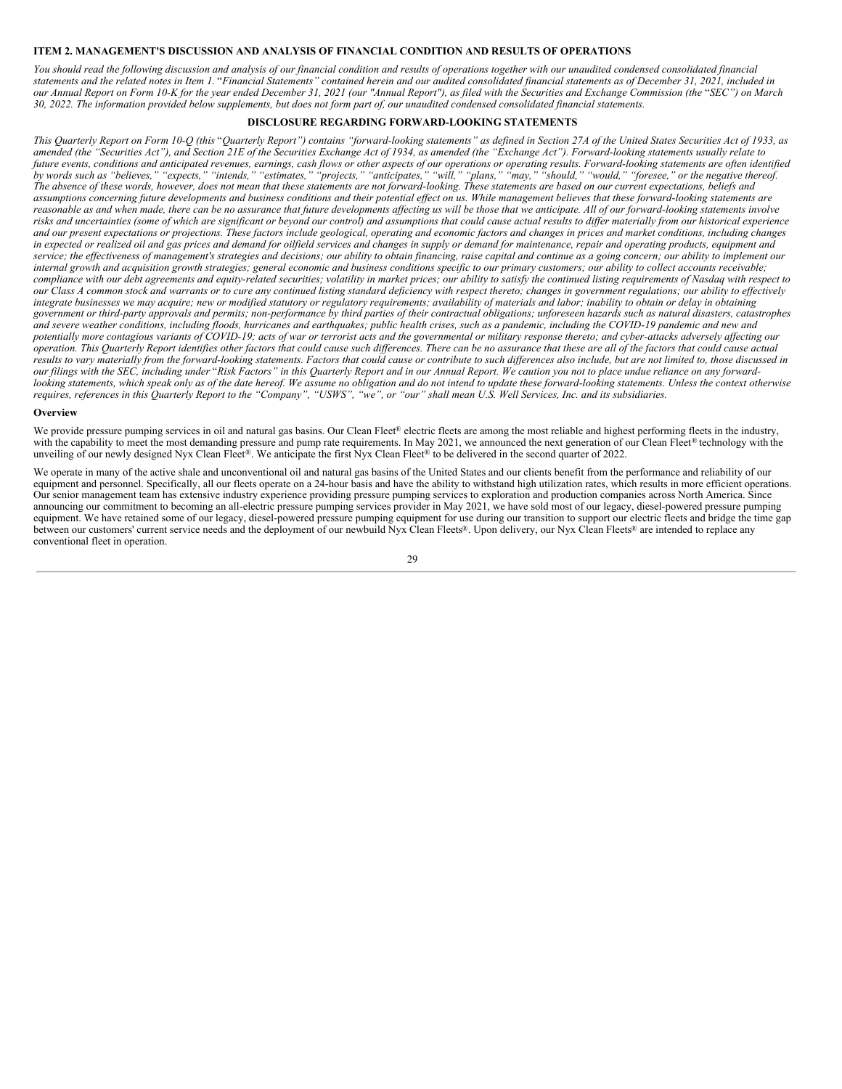## <span id="page-28-0"></span>**ITEM 2. MANAGEMENT'S DISCUSSION AND ANALYSIS OF FINANCIAL CONDITION AND RESULTS OF OPERATIONS**

You should read the following discussion and analysis of our financial condition and results of operations together with our unaudited condensed consolidated financial statements and the related notes in Item 1. "Financial Statements" contained herein and our audited consolidated financial statements as of December 31, 2021, included in our Annual Report on Form 10-K for the year ended December 31, 2021 (our "Annual Report"), as filed with the Securities and Exchange Commission (the "SEC") on March 30, 2022. The information provided below supplements, but does not form part of, our unaudited condensed consolidated financial statements.

# **DISCLOSURE REGARDING FORWARD-LOOKING STATEMENTS**

This Quarterly Report on Form 10-Q (this "Quarterly Report") contains "forward-looking statements" as defined in Section 27A of the United States Securities Act of 1933, as amended (the "Securities Act"), and Section 21E of the Securities Exchange Act of 1934, as amended (the "Exchange Act"). Forward-looking statements usually relate to future events, conditions and anticipated revenues, earnings, cash flows or other aspects of our operations or operating results. Forward-looking statements are often identified by words such as "believes," "expects," "intends," "estimates," "projects," "anticipates," "will," "plans," "may," "should," "would," "foresee," or the negative thereof. The absence of these words, however, does not mean that these statements are not forward-looking. These statements are based on our current expectations, beliefs and assumptions concerning future developments and business conditions and their potential effect on us. While management believes that these forward-looking statements are reasonable as and when made, there can be no assurance that future developments affecting us will be those that we anticipate. All of our forward-looking statements involve risks and uncertainties (some of which are significant or beyond our control) and assumptions that could cause actual results to differ materially from our historical experience and our present expectations or projections. These factors include geological, operating and economic factors and changes in prices and market conditions, including changes in expected or realized oil and gas prices and demand for oilfield services and changes in supply or demand for maintenance, repair and operating products, equipment and service; the effectiveness of management's strategies and decisions; our ability to obtain financing, raise capital and continue as a going concern; our ability to implement our internal growth and acquisition growth strategies; general economic and business conditions specific to our primary customers; our ability to collect accounts receivable; compliance with our debt agreements and equity-related securities; volatility in market prices; our ability to satisfy the continued listing requirements of Nasdaq with respect to our Class A common stock and warrants or to cure any continued listing standard deficiency with respect thereto, changes in government regulations; our ability to effectively integrate businesses we may acquire; new or modified statutory or regulatory requirements; availability of materials and labor; inability to obtain or delay in obtaining government or third-party approvals and permits, non-performance by third parties of their contractual obligations; unforeseen hazards such as natural disasters, catastrophes and severe weather conditions, including floods, hurricanes and earthquakes; public health crises, such as a pandemic, including the COVID-19 pandemic and new and potentially more contagious variants of COVID-19; acts of war or terrorist acts and the governmental or military response thereto; and cyber-attacks adversely affecting our .<br>operation. This Quarterly Report identifies other factors that could cause such differences. There can be no assurance that these are all of the factors that could cause actual results to vary materially from the forward-looking statements. Factors that could cause or contribute to such differences also include, but are not limited to, those discussed in our filings with the SEC, including under "Risk Factors" in this Quarterly Report and in our Annual Report. We caution you not to place undue reliance on any forwardlooking statements, which speak only as of the date hereof. We assume no obligation and do not intend to update these forward-looking statements. Unless the context otherwise requires, references in this Quarterly Report to the "Company", "USWS", "we", or "our" shall mean U.S. Well Services, Inc. and its subsidiaries.

### **Overview**

We provide pressure pumping services in oil and natural gas basins. Our Clean Fleet® electric fleets are among the most reliable and highest performing fleets in the industry, with the capability to meet the most demanding pressure and pump rate requirements. In May 2021, we announced the next generation of our Clean Fleet® technology with the unveiling of our newly designed Nyx Clean Fleet®. We anticipate the first Nyx Clean Fleet® to be delivered in the second quarter of 2022.

We operate in many of the active shale and unconventional oil and natural gas basins of the United States and our clients benefit from the performance and reliability of our equipment and personnel. Specifically, all our fleets operate on a 24-hour basis and have the ability to withstand high utilization rates, which results in more efficient operations. Our senior management team has extensive industry experience providing pressure pumping services to exploration and production companies across North America. Since announcing our commitment to becoming an all-electric pressure pumping services provider in May 2021, we have sold most of our legacy, diesel-powered pressure pumping equipment. We have retained some of our legacy, diesel-powered pressure pumping equipment for use during our transition to support our electric fleets and bridge the time gap between our customers' current service needs and the deployment of our newbuild Nyx Clean Fleets®. Upon delivery, our Nyx Clean Fleets® are intended to replace any conventional fleet in operation.

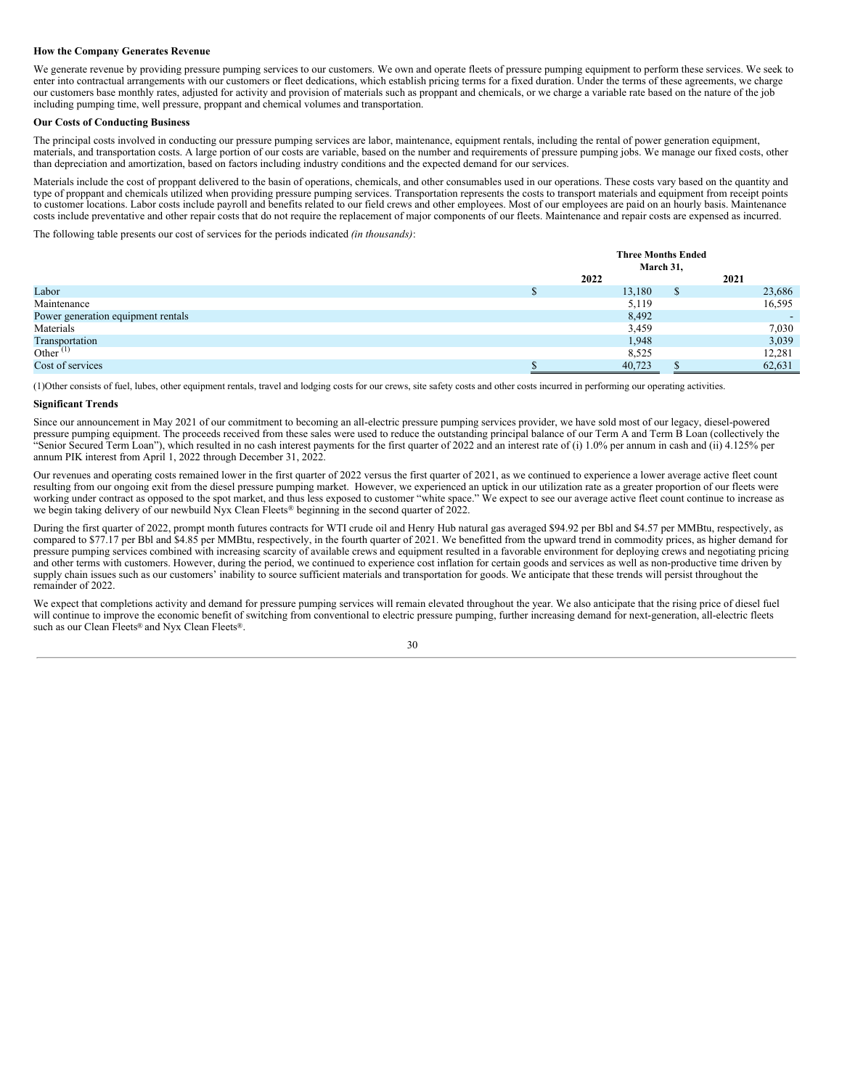## **How the Company Generates Revenue**

We generate revenue by providing pressure pumping services to our customers. We own and operate fleets of pressure pumping equipment to perform these services. We seek to enter into contractual arrangements with our customers or fleet dedications, which establish pricing terms for a fixed duration. Under the terms of these agreements, we charge our customers base monthly rates, adjusted for activity and provision of materials such as proppant and chemicals, or we charge a variable rate based on the nature of the job including pumping time, well pressure, proppant and chemical volumes and transportation.

### **Our Costs of Conducting Business**

The principal costs involved in conducting our pressure pumping services are labor, maintenance, equipment rentals, including the rental of power generation equipment, materials, and transportation costs. A large portion of our costs are variable, based on the number and requirements of pressure pumping jobs. We manage our fixed costs, other than depreciation and amortization, based on factors including industry conditions and the expected demand for our services.

Materials include the cost of proppant delivered to the basin of operations, chemicals, and other consumables used in our operations. These costs vary based on the quantity and type of proppant and chemicals utilized when providing pressure pumping services. Transportation represents the costs to transport materials and equipment from receipt points to customer locations. Labor costs include payroll and benefits related to our field crews and other employees. Most of our employees are paid on an hourly basis. Maintenance costs include preventative and other repair costs that do not require the replacement of major components of our fleets. Maintenance and repair costs are expensed as incurred.

The following table presents our cost of services for the periods indicated *(in thousands)*:

|                                    | <b>Three Months Ended</b> |           |        |  |      |        |
|------------------------------------|---------------------------|-----------|--------|--|------|--------|
|                                    |                           | March 31, |        |  |      |        |
|                                    |                           | 2022      |        |  | 2021 |        |
| Labor                              |                           |           | 13,180 |  |      | 23,686 |
| Maintenance                        |                           |           | 5,119  |  |      | 16,595 |
| Power generation equipment rentals |                           |           | 8,492  |  |      |        |
| Materials                          |                           |           | 3,459  |  |      | 7,030  |
| Transportation                     |                           |           | 1,948  |  |      | 3,039  |
| Other $^{(1)}$                     |                           |           | 8,525  |  |      | 12,281 |
| Cost of services                   |                           |           | 40,723 |  |      | 62,631 |

(1)Other consists of fuel, lubes, other equipment rentals, travel and lodging costs for our crews, site safety costs and other costs incurred in performing our operating activities.

#### **Significant Trends**

Since our announcement in May 2021 of our commitment to becoming an all-electric pressure pumping services provider, we have sold most of our legacy, diesel-powered pressure pumping equipment. The proceeds received from these sales were used to reduce the outstanding principal balance of our Term A and Term B Loan (collectively the "Senior Secured Term Loan"), which resulted in no cash interest payments for the first quarter of 2022 and an interest rate of (i) 1.0% per annum in cash and (ii) 4.125% per annum PIK interest from April 1, 2022 through December 31, 2022.

Our revenues and operating costs remained lower in the first quarter of 2022 versus the first quarter of 2021, as we continued to experience a lower average active fleet count resulting from our ongoing exit from the diesel pressure pumping market. However, we experienced an uptick in our utilization rate as a greater proportion of our fleets were working under contract as opposed to the spot market, and thus less exposed to customer "white space." We expect to see our average active fleet count continue to increase as we begin taking delivery of our newbuild Nyx Clean Fleets® beginning in the second quarter of 2022.

During the first quarter of 2022, prompt month futures contracts for WTI crude oil and Henry Hub natural gas averaged \$94.92 per Bbl and \$4.57 per MMBtu, respectively, as compared to \$77.17 per Bbl and \$4.85 per MMBtu, respectively, in the fourth quarter of 2021. We benefitted from the upward trend in commodity prices, as higher demand for pressure pumping services combined with increasing scarcity of available crews and equipment resulted in a favorable environment for deploying crews and negotiating pricing and other terms with customers. However, during the period, we continued to experience cost inflation for certain goods and services as well as non-productive time driven by supply chain issues such as our customers' inability to source sufficient materials and transportation for goods. We anticipate that these trends will persist throughout the remainder of 2022.

We expect that completions activity and demand for pressure pumping services will remain elevated throughout the year. We also anticipate that the rising price of diesel fuel will continue to improve the economic benefit of switching from conventional to electric pressure pumping, further increasing demand for next-generation, all-electric fleets such as our Clean Fleets® and Nyx Clean Fleets®.

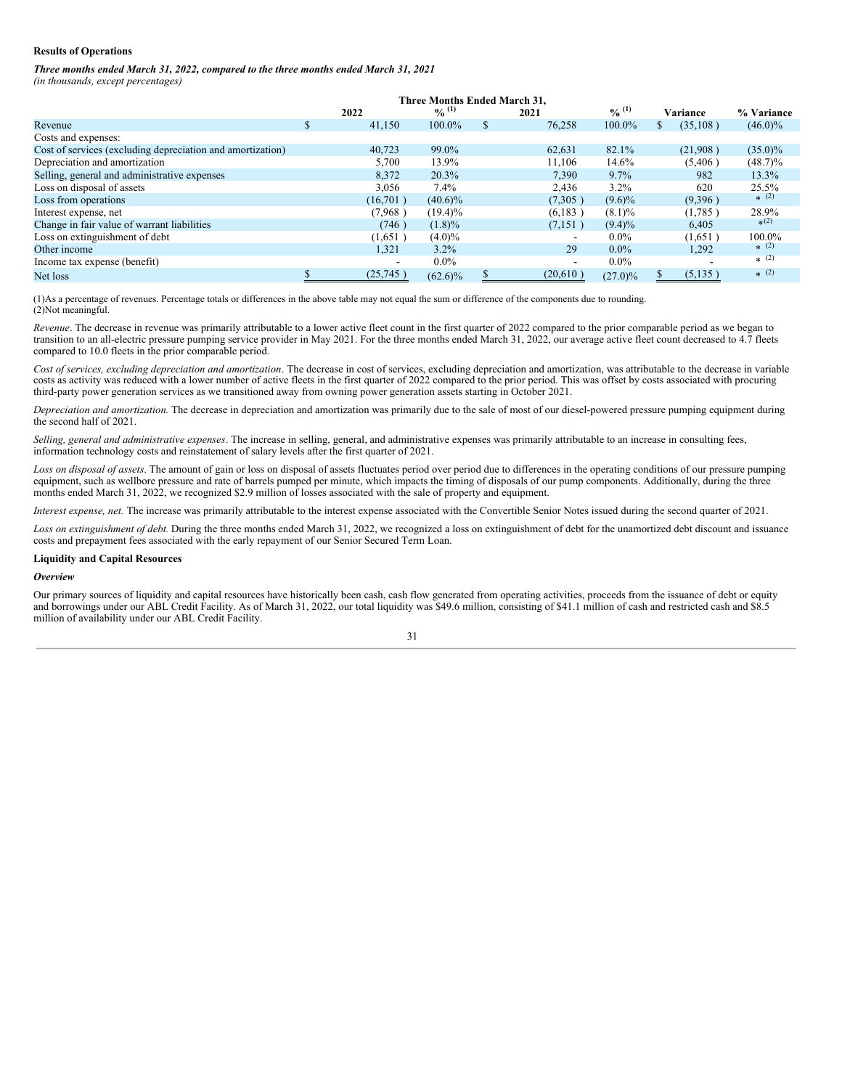## **Results of Operations**

*Three months ended March 31, 2022, compared to the three months ended March 31, 2021 (in thousands, except percentages)*

|                                                            | Three Months Ended March 31. |          |                    |    |          |                   |    |          |            |
|------------------------------------------------------------|------------------------------|----------|--------------------|----|----------|-------------------|----|----------|------------|
|                                                            |                              | 2022     | $\frac{6}{10}$ (1) |    | 2021     | $\frac{1}{2}$ (1) |    | Variance | % Variance |
| Revenue                                                    | -S                           | 41,150   | $100.0\%$          | \$ | 76.258   | $100.0\%$         | S. | (35,108) | $(46.0)\%$ |
| Costs and expenses:                                        |                              |          |                    |    |          |                   |    |          |            |
| Cost of services (excluding depreciation and amortization) |                              | 40.723   | 99.0%              |    | 62,631   | 82.1%             |    | (21,908) | $(35.0)\%$ |
| Depreciation and amortization                              |                              | 5,700    | 13.9%              |    | 11.106   | 14.6%             |    | (5,406)  | $(48.7)\%$ |
| Selling, general and administrative expenses               |                              | 8,372    | 20.3%              |    | 7,390    | $9.7\%$           |    | 982      | 13.3%      |
| Loss on disposal of assets                                 |                              | 3.056    | $7.4\%$            |    | 2,436    | $3.2\%$           |    | 620      | 25.5%      |
| Loss from operations                                       |                              | (16,701) | $(40.6)\%$         |    | (7,305)  | $(9.6)\%$         |    | (9,396)  | $*(2)$     |
| Interest expense, net                                      |                              | (7.968)  | $(19.4)\%$         |    | (6,183)  | $(8.1)\%$         |    | (1,785)  | 28.9%      |
| Change in fair value of warrant liabilities                |                              | (746)    | $(1.8)\%$          |    | (7,151)  | $(9.4)\%$         |    | 6,405    | $*(2)$     |
| Loss on extinguishment of debt                             |                              | (1,651)  | $(4.0)\%$          |    | ۰        | $0.0\%$           |    | (1,651)  | 100.0%     |
| Other income                                               |                              | 1,321    | 3.2%               |    | 29       | $0.0\%$           |    | 1,292    | $*(2)$     |
| Income tax expense (benefit)                               |                              | ۰        | $0.0\%$            |    | ۰        | $0.0\%$           |    |          | $*(2)$     |
| Net loss                                                   |                              | (25,745) | $(62.6)\%$         |    | (20,610) | $(27.0)\%$        |    | (5, 135) | $*(2)$     |

(1)As a percentage of revenues. Percentage totals or differences in the above table may not equal the sum or difference of the components due to rounding. (2)Not meaningful.

*Revenue*. The decrease in revenue was primarily attributable to a lower active fleet count in the first quarter of 2022 compared to the prior comparable period as we began to transition to an all-electric pressure pumping service provider in May 2021. For the three months ended March 31, 2022, our average active fleet count decreased to 4.7 fleets compared to 10.0 fleets in the prior comparable period.

Cost of services, excluding depreciation and amortization. The decrease in cost of services, excluding depreciation and amortization, was attributable to the decrease in variable costs as activity was reduced with a lower number of active fleets in the first quarter of 2022 compared to the prior period. This was offset by costs associated with procuring third-party power generation services as we transitioned away from owning power generation assets starting in October 2021.

*Depreciation and amortization.* The decrease in depreciation and amortization was primarily due to the sale of most of our diesel-powered pressure pumping equipment during the second half of 2021.

*Selling, general and administrative expenses*. The increase in selling, general, and administrative expenses was primarily attributable to an increase in consulting fees, information technology costs and reinstatement of salary levels after the first quarter of 2021.

*Loss on disposal of assets*. The amount of gain or loss on disposal of assets fluctuates period over period due to differences in the operating conditions of our pressure pumping equipment, such as wellbore pressure and rate of barrels pumped per minute, which impacts the timing of disposals of our pump components. Additionally, during the three months ended March 31, 2022, we recognized \$2.9 million of losses associated with the sale of property and equipment.

*Interest expense, net.* The increase was primarily attributable to the interest expense associated with the Convertible Senior Notes issued during the second quarter of 2021.

Loss on extinguishment of debt. During the three months ended March 31, 2022, we recognized a loss on extinguishment of debt for the unamortized debt discount and issuance costs and prepayment fees associated with the early repayment of our Senior Secured Term Loan.

## **Liquidity and Capital Resources**

## *Overview*

Our primary sources of liquidity and capital resources have historically been cash, cash flow generated from operating activities, proceeds from the issuance of debt or equity and borrowings under our ABL Credit Facility. As of March 31, 2022, our total liquidity was \$49.6 million, consisting of \$41.1 million of cash and restricted cash and \$8.5 million of availability under our ABL Credit Facility.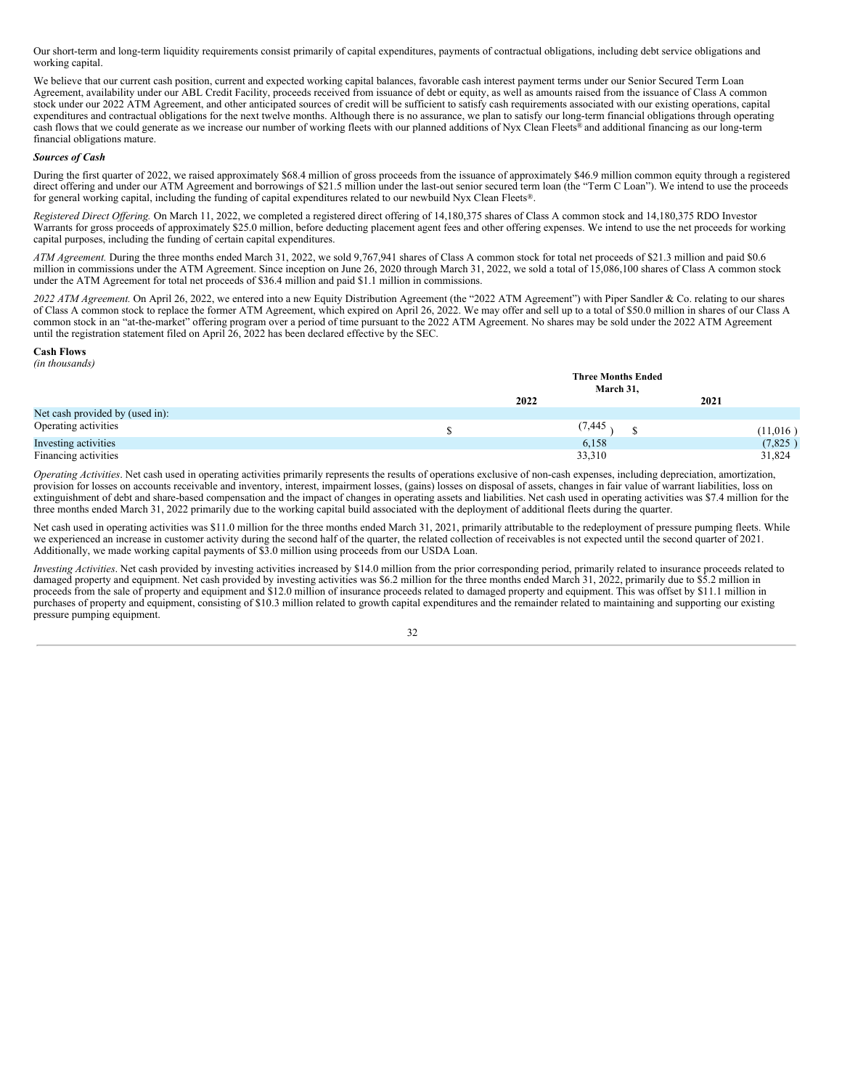Our short-term and long-term liquidity requirements consist primarily of capital expenditures, payments of contractual obligations, including debt service obligations and working capital.

We believe that our current cash position, current and expected working capital balances, favorable cash interest payment terms under our Senior Secured Term Loan Agreement, availability under our ABL Credit Facility, proceeds received from issuance of debt or equity, as well as amounts raised from the issuance of Class A common stock under our 2022 ATM Agreement, and other anticipated sources of credit will be sufficient to satisfy cash requirements associated with our existing operations, capital expenditures and contractual obligations for the next twelve months. Although there is no assurance, we plan to satisfy our long-term financial obligations through operating cash flows that we could generate as we increase our number of working fleets with our planned additions of Nyx Clean Fleets® and additional financing as our long-term financial obligations mature.

## *Sources of Cash*

During the first quarter of 2022, we raised approximately \$68.4 million of gross proceeds from the issuance of approximately \$46.9 million common equity through a registered direct offering and under our ATM Agreement and borrowings of \$21.5 million under the last-out senior secured term loan (the "Term C Loan"). We intend to use the proceeds for general working capital, including the funding of capital expenditures related to our newbuild Nyx Clean Fleets®.

*Registered Direct Of ering.* On March 11, 2022, we completed a registered direct offering of 14,180,375 shares of Class A common stock and 14,180,375 RDO Investor Warrants for gross proceeds of approximately \$25.0 million, before deducting placement agent fees and other offering expenses. We intend to use the net proceeds for working capital purposes, including the funding of certain capital expenditures.

*ATM Agreement.* During the three months ended March 31, 2022, we sold 9,767,941 shares of Class A common stock for total net proceeds of \$21.3 million and paid \$0.6 million in commissions under the ATM Agreement. Since inception on June 26, 2020 through March 31, 2022, we sold a total of 15,086,100 shares of Class A common stock under the ATM Agreement for total net proceeds of \$36.4 million and paid \$1.1 million in commissions.

*2022 ATM Agreement.* On April 26, 2022, we entered into a new Equity Distribution Agreement (the "2022 ATM Agreement") with Piper Sandler & Co. relating to our shares of Class A common stock to replace the former ATM Agreement, which expired on April 26, 2022. We may offer and sell up to a total of \$50.0 million in shares of our Class A common stock in an "at-the-market" offering program over a period of time pursuant to the 2022 ATM Agreement. No shares may be sold under the 2022 ATM Agreement until the registration statement filed on April 26, 2022 has been declared effective by the SEC.

## **Cash Flows**

*(in thousands)*

|                                 | <b>Three Months Ended</b><br>March 31, |      |          |  |
|---------------------------------|----------------------------------------|------|----------|--|
|                                 | 2022                                   | 2021 |          |  |
| Net cash provided by (used in): |                                        |      |          |  |
| Operating activities            | (7, 445)                               |      | (11,016) |  |
| Investing activities            | 6,158                                  |      | (7,825)  |  |
| Financing activities            | 33,310                                 |      | 31,824   |  |

*Operating Activities*. Net cash used in operating activities primarily represents the results of operations exclusive of non-cash expenses, including depreciation, amortization, provision for losses on accounts receivable and inventory, interest, impairment losses, (gains) losses on disposal of assets, changes in fair value of warrant liabilities, loss on extinguishment of debt and share-based compensation and the impact of changes in operating assets and liabilities. Net cash used in operating activities was \$7.4 million for the three months ended March 31, 2022 primarily due to the working capital build associated with the deployment of additional fleets during the quarter.

Net cash used in operating activities was \$11.0 million for the three months ended March 31, 2021, primarily attributable to the redeployment of pressure pumping fleets. While we experienced an increase in customer activity during the second half of the quarter, the related collection of receivables is not expected until the second quarter of 2021. Additionally, we made working capital payments of \$3.0 million using proceeds from our USDA Loan.

*Investing Activities*. Net cash provided by investing activities increased by \$14.0 million from the prior corresponding period, primarily related to insurance proceeds related to damaged property and equipment. Net cash provided by investing activities was \$6.2 million for the three months ended March 31, 2022, primarily due to \$5.2 million in proceeds from the sale of property and equipment and \$12.0 million of insurance proceeds related to damaged property and equipment. This was offset by \$11.1 million in purchases of property and equipment, consisting of \$10.3 million related to growth capital expenditures and the remainder related to maintaining and supporting our existing pressure pumping equipment.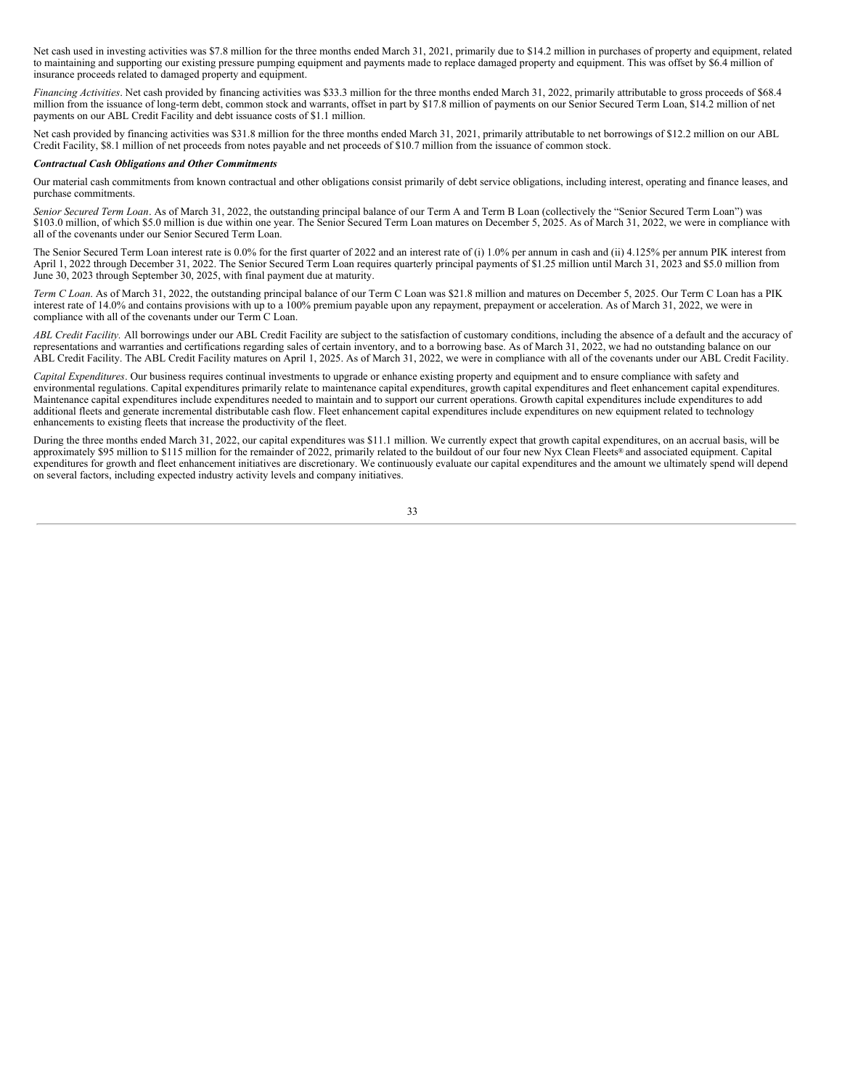Net cash used in investing activities was \$7.8 million for the three months ended March 31, 2021, primarily due to \$14.2 million in purchases of property and equipment, related to maintaining and supporting our existing pressure pumping equipment and payments made to replace damaged property and equipment. This was offset by \$6.4 million of insurance proceeds related to damaged property and equipment.

*Financing Activities*. Net cash provided by financing activities was \$33.3 million for the three months ended March 31, 2022, primarily attributable to gross proceeds of \$68.4 million from the issuance of long-term debt, common stock and warrants, offset in part by \$17.8 million of payments on our Senior Secured Term Loan, \$14.2 million of net payments on our ABL Credit Facility and debt issuance costs of \$1.1 million.

Net cash provided by financing activities was \$31.8 million for the three months ended March 31, 2021, primarily attributable to net borrowings of \$12.2 million on our ABL Credit Facility, \$8.1 million of net proceeds from notes payable and net proceeds of \$10.7 million from the issuance of common stock.

#### *Contractual Cash Obligations and Other Commitments*

Our material cash commitments from known contractual and other obligations consist primarily of debt service obligations, including interest, operating and finance leases, and purchase commitments.

*Senior Secured Term Loan*. As of March 31, 2022, the outstanding principal balance of our Term A and Term B Loan (collectively the "Senior Secured Term Loan") was \$103.0 million, of which \$5.0 million is due within one year. The Senior Secured Term Loan matures on December 5, 2025. As of March 31, 2022, we were in compliance with all of the covenants under our Senior Secured Term Loan.

The Senior Secured Term Loan interest rate is 0.0% for the first quarter of 2022 and an interest rate of (i) 1.0% per annum in cash and (ii) 4.125% per annum PIK interest from April 1, 2022 through December 31, 2022. The Senior Secured Term Loan requires quarterly principal payments of \$1.25 million until March 31, 2023 and \$5.0 million from June 30, 2023 through September 30, 2025, with final payment due at maturity.

*Term C Loan*. As of March 31, 2022, the outstanding principal balance of our Term C Loan was \$21.8 million and matures on December 5, 2025. Our Term C Loan has a PIK interest rate of 14.0% and contains provisions with up to a 100% premium payable upon any repayment, prepayment or acceleration. As of March 31, 2022, we were in compliance with all of the covenants under our Term C Loan.

*ABL Credit Facility.* All borrowings under our ABL Credit Facility are subject to the satisfaction of customary conditions, including the absence of a default and the accuracy of representations and warranties and certifications regarding sales of certain inventory, and to a borrowing base. As of March 31, 2022, we had no outstanding balance on our ABL Credit Facility. The ABL Credit Facility matures on April 1, 2025. As of March 31, 2022, we were in compliance with all of the covenants under our ABL Credit Facility.

*Capital Expenditures*. Our business requires continual investments to upgrade or enhance existing property and equipment and to ensure compliance with safety and environmental regulations. Capital expenditures primarily relate to maintenance capital expenditures, growth capital expenditures and fleet enhancement capital expenditures. Maintenance capital expenditures include expenditures needed to maintain and to support our current operations. Growth capital expenditures include expenditures to add additional fleets and generate incremental distributable cash flow. Fleet enhancement capital expenditures include expenditures on new equipment related to technology enhancements to existing fleets that increase the productivity of the fleet.

During the three months ended March 31, 2022, our capital expenditures was \$11.1 million. We currently expect that growth capital expenditures, on an accrual basis, will be approximately \$95 million to \$115 million for the remainder of 2022, primarily related to the buildout of our four new Nyx Clean Fleets® and associated equipment. Capital expenditures for growth and fleet enhancement initiatives are discretionary. We continuously evaluate our capital expenditures and the amount we ultimately spend will depend on several factors, including expected industry activity levels and company initiatives.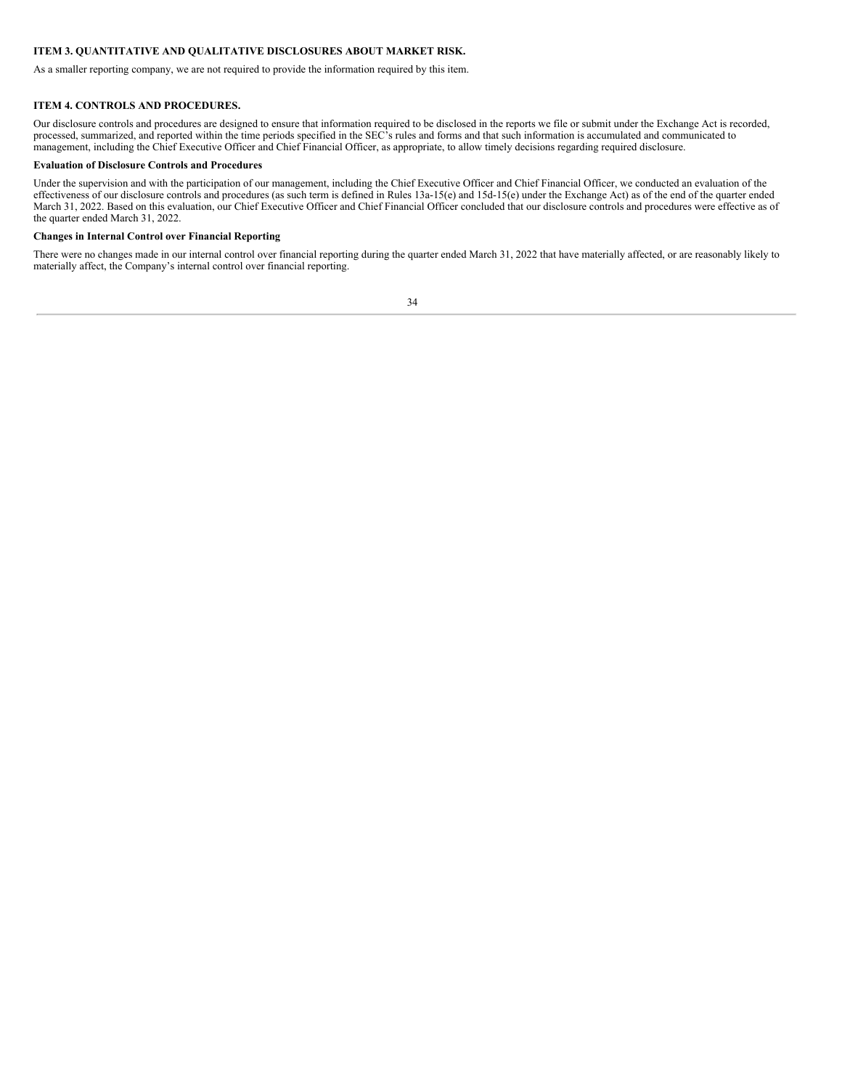## <span id="page-33-0"></span>**ITEM 3. QUANTITATIVE AND QUALITATIVE DISCLOSURES ABOUT MARKET RISK.**

As a smaller reporting company, we are not required to provide the information required by this item.

## <span id="page-33-1"></span>**ITEM 4. CONTROLS AND PROCEDURES.**

Our disclosure controls and procedures are designed to ensure that information required to be disclosed in the reports we file or submit under the Exchange Act is recorded, processed, summarized, and reported within the time periods specified in the SEC's rules and forms and that such information is accumulated and communicated to management, including the Chief Executive Officer and Chief Financial Officer, as appropriate, to allow timely decisions regarding required disclosure.

## **Evaluation of Disclosure Controls and Procedures**

Under the supervision and with the participation of our management, including the Chief Executive Officer and Chief Financial Officer, we conducted an evaluation of the effectiveness of our disclosure controls and procedures (as such term is defined in Rules 13a-15(e) and 15d-15(e) under the Exchange Act) as of the end of the quarter ended March 31, 2022. Based on this evaluation, our Chief Executive Officer and Chief Financial Officer concluded that our disclosure controls and procedures were effective as of the quarter ended March 31, 2022.

## **Changes in Internal Control over Financial Reporting**

There were no changes made in our internal control over financial reporting during the quarter ended March 31, 2022 that have materially affected, or are reasonably likely to materially affect, the Company's internal control over financial reporting.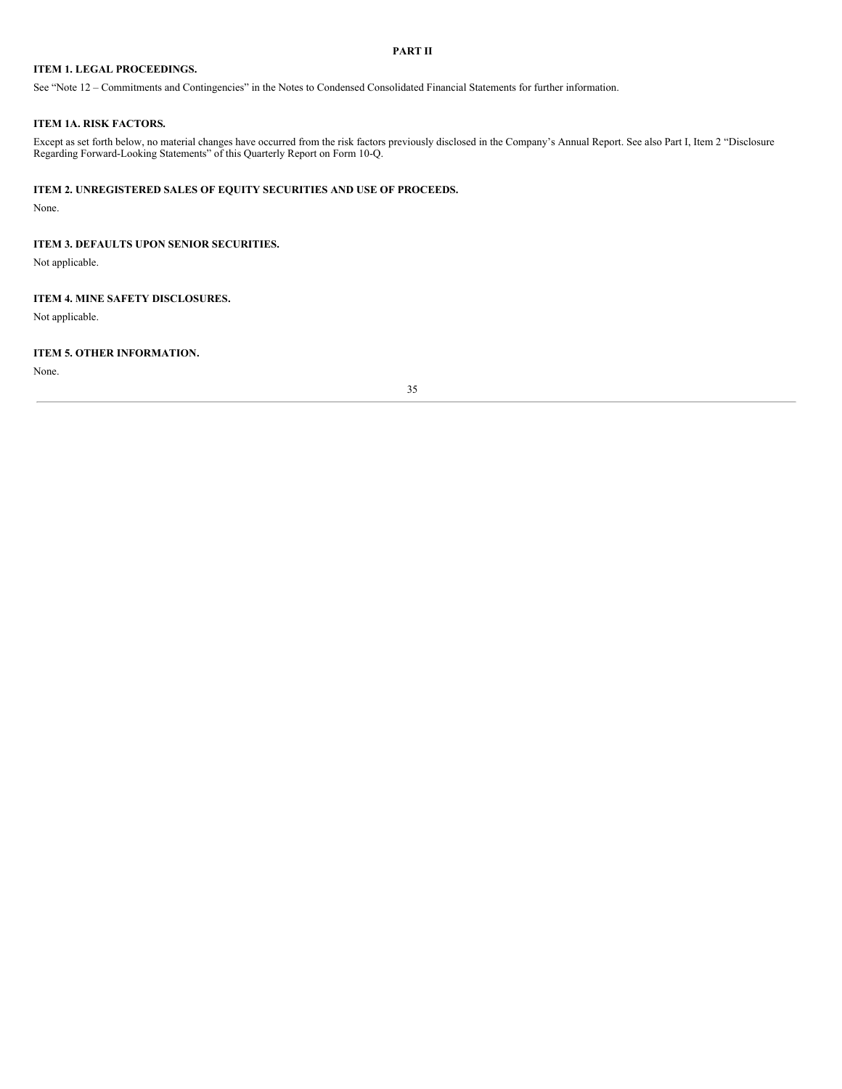## **PART II**

# <span id="page-34-1"></span><span id="page-34-0"></span>**ITEM 1. LEGAL PROCEEDINGS.**

See "Note 12 – Commitments and Contingencies" in the Notes to Condensed Consolidated Financial Statements for further information.

# <span id="page-34-2"></span>**ITEM 1A. RISK FACTORS.**

Except as set forth below, no material changes have occurred from the risk factors previously disclosed in the Company's Annual Report. See also Part I, Item 2 "Disclosure Regarding Forward-Looking Statements" of this Quarterly Report on Form 10-Q.

# <span id="page-34-3"></span>**ITEM 2. UNREGISTERED SALES OF EQUITY SECURITIES AND USE OF PROCEEDS.**

None.

# <span id="page-34-4"></span>**ITEM 3. DEFAULTS UPON SENIOR SECURITIES.**

Not applicable.

## <span id="page-34-5"></span>**ITEM 4. MINE SAFETY DISCLOSURES.**

Not applicable.

# <span id="page-34-6"></span>**ITEM 5. OTHER INFORMATION.**

None.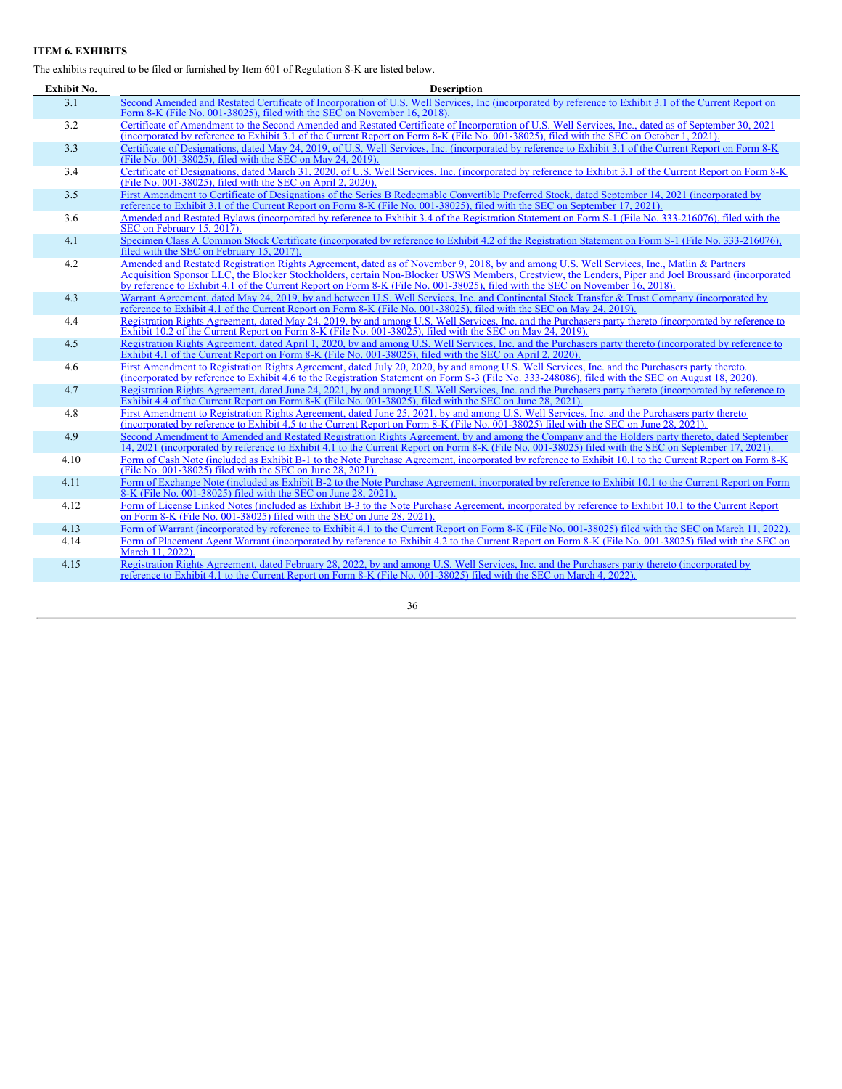# <span id="page-35-0"></span>**ITEM 6. EXHIBITS**

The exhibits required to be filed or furnished by Item 601 of Regulation S-K are listed below.

| <b>Exhibit No.</b> | <b>Description</b>                                                                                                                                                                                                                                                                                      |
|--------------------|---------------------------------------------------------------------------------------------------------------------------------------------------------------------------------------------------------------------------------------------------------------------------------------------------------|
| 3.1                | Second Amended and Restated Certificate of Incorporation of U.S. Well Services, Inc (incorporated by reference to Exhibit 3.1 of the Current Report on                                                                                                                                                  |
|                    | Form 8-K (File No. 001-38025), filed with the SEC on November 16, 2018).                                                                                                                                                                                                                                |
| 3.2                | Certificate of Amendment to the Second Amended and Restated Certificate of Incorporation of U.S. Well Services, Inc., dated as of September 30, 2021<br>(incorporated by reference to Exhibit 3.1 of the Current Report on Form 8-K (File No. 001-38025), filed with the SEC on October 1, 2021).       |
| 3.3                | Certificate of Designations, dated May 24, 2019, of U.S. Well Services, Inc. (incorporated by reference to Exhibit 3.1 of the Current Report on Form 8-K                                                                                                                                                |
|                    | (File No. 001-38025), filed with the SEC on May 24, 2019).                                                                                                                                                                                                                                              |
| 3.4                | Certificate of Designations, dated March 31, 2020, of U.S. Well Services, Inc. (incorporated by reference to Exhibit 3.1 of the Current Report on Form 8-K<br>(File No. 001-38025), filed with the SEC on April 2, 2020).                                                                               |
| 3.5                | First Amendment to Certificate of Designations of the Series B Redeemable Convertible Preferred Stock, dated September 14, 2021 (incorporated by<br>reference to Exhibit 3.1 of the Current Report on Form 8-K (File No. 001-38025), filed with the SEC on September 17, 2021).                         |
| 3.6                | Amended and Restated Bylaws (incorporated by reference to Exhibit 3.4 of the Registration Statement on Form S-1 (File No. 333-216076), filed with the<br>SEC on February 15, 2017).                                                                                                                     |
| 4.1                | Specimen Class A Common Stock Certificate (incorporated by reference to Exhibit 4.2 of the Registration Statement on Form S-1 (File No. 333-216076).<br>filed with the SEC on February 15, 2017).                                                                                                       |
| 4.2                | Amended and Restated Registration Rights Agreement, dated as of November 9, 2018, by and among U.S. Well Services, Inc., Matlin & Partners<br>Acquisition Sponsor LLC, the Blocker Stockholders, certain Non-Blocker USWS Members, Crestview, the Lenders, Piper and Joel Broussard (incorporated       |
|                    | by reference to Exhibit 4.1 of the Current Report on Form 8-K (File No. 001-38025), filed with the SEC on November 16, 2018).                                                                                                                                                                           |
| 4.3                | Warrant Agreement, dated May 24, 2019, by and between U.S. Well Services. Inc. and Continental Stock Transfer & Trust Company (incorporated by<br>reference to Exhibit 4.1 of the Current Report on Form 8-K (File No. 001-38025), filed with the SEC on May 24, 2019).                                 |
| 4.4                | Registration Rights Agreement, dated May 24, 2019, by and among U.S. Well Services, Inc. and the Purchasers party thereto (incorporated by reference to<br>Exhibit 10.2 of the Current Report on Form 8-K (File No. 001-38025), filed with the SEC on May 24, 2019).                                    |
| 4.5                | Registration Rights Agreement, dated April 1, 2020, by and among U.S. Well Services, Inc. and the Purchasers party thereto (incorporated by reference to<br>Exhibit 4.1 of the Current Report on Form 8-K (File No. 001-38025), filed with the SEC on April 2, 2020).                                   |
| 4.6                | First Amendment to Registration Rights Agreement, dated July 20, 2020, by and among U.S. Well Services, Inc. and the Purchasers party thereto.<br>(incorporated by reference to Exhibit 4.6 to the Registration Statement on Form S-3 (File No. 333-248086), filed with the SEC on August 18, 2020).    |
| 4.7                | Registration Rights Agreement, dated June 24, 2021, by and among U.S. Well Services. Inc. and the Purchasers party thereto (incorporated by reference to                                                                                                                                                |
|                    | Exhibit 4.4 of the Current Report on Form 8-K (File No. 001-38025), filed with the SEC on June 28, 2021).                                                                                                                                                                                               |
| 4.8                | First Amendment to Registration Rights Agreement, dated June 25, 2021, by and among U.S. Well Services, Inc. and the Purchasers party thereto<br>(incorporated by reference to Exhibit 4.5 to the Current Report on Form 8-K (File No. 001-38025) filed with the SEC on June 28, 2021).                 |
| 4.9                | Second Amendment to Amended and Restated Registration Rights Agreement, by and among the Company and the Holders party thereto, dated September<br>14, 2021 (incorporated by reference to Exhibit 4.1 to the Current Report on Form 8-K (File No. 001-38025) filed with the SEC on September 17, 2021). |
| 4.10               | Form of Cash Note (included as Exhibit B-1 to the Note Purchase Agreement, incorporated by reference to Exhibit 10.1 to the Current Report on Form 8-K<br>(File No. 001-38025) filed with the SEC on June 28, 2021).                                                                                    |
| 4.11               | Form of Exchange Note (included as Exhibit B-2 to the Note Purchase Agreement, incorporated by reference to Exhibit 10.1 to the Current Report on Form<br>8-K (File No. 001-38025) filed with the SEC on June 28, 2021).                                                                                |
| 4.12               | Form of License Linked Notes (included as Exhibit B-3 to the Note Purchase Agreement, incorporated by reference to Exhibit 10.1 to the Current Report<br>on Form 8-K (File No. 001-38025) filed with the SEC on June 28, 2021).                                                                         |
| 4.13               | Form of Warrant (incorporated by reference to Exhibit 4.1 to the Current Report on Form 8-K (File No. 001-38025) filed with the SEC on March 11, 2022).                                                                                                                                                 |
| 4.14               | Form of Placement Agent Warrant (incorporated by reference to Exhibit 4.2 to the Current Report on Form 8-K (File No. 001-38025) filed with the SEC on                                                                                                                                                  |
|                    | March 11, 2022).                                                                                                                                                                                                                                                                                        |
| 4.15               | Registration Rights Agreement, dated February 28, 2022, by and among U.S. Well Services. Inc. and the Purchasers party thereto (incorporated by<br>reference to Exhibit 4.1 to the Current Report on Form 8-K (File No. 001-38025) filed with the SEC on March 4, 2022).                                |
|                    |                                                                                                                                                                                                                                                                                                         |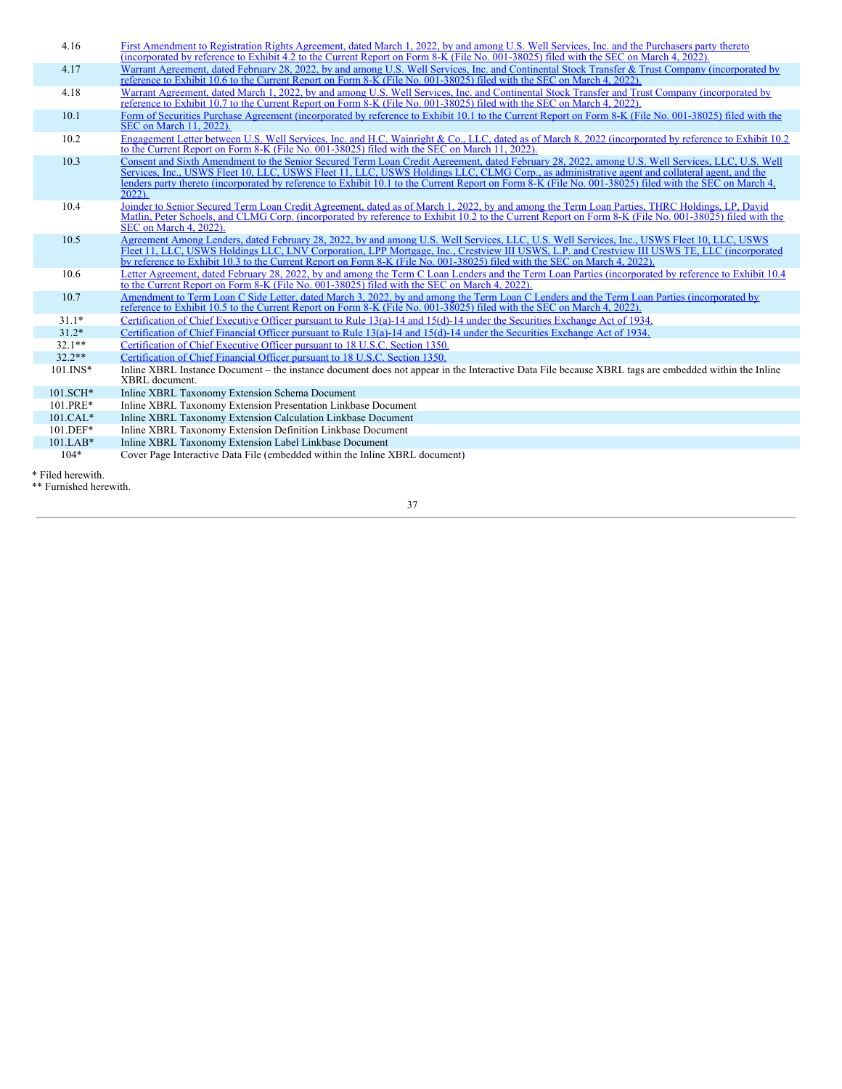| 4.16         | First Amendment to Registration Rights Agreement, dated March 1, 2022, by and among U.S. Well Services, Inc. and the Purchasers party thereto<br>(incorporated by reference to Exhibit 4.2 to the Current Report on Form 8-K (File No. 001-38025) filed with the SEC on March 4, 2022).                                                                                                                                                                                  |
|--------------|--------------------------------------------------------------------------------------------------------------------------------------------------------------------------------------------------------------------------------------------------------------------------------------------------------------------------------------------------------------------------------------------------------------------------------------------------------------------------|
| 4.17         | Warrant Agreement, dated February 28, 2022, by and among U.S. Well Services, Inc. and Continental Stock Transfer & Trust Company (incorporated by<br>reference to Exhibit 10.6 to the Current Report on Form 8-K (File No. 001-38025) filed with the SEC on March 4, 2022).                                                                                                                                                                                              |
| 4.18         | Warrant Agreement, dated March 1, 2022, by and among U.S. Well Services, Inc. and Continental Stock Transfer and Trust Company (incorporated by<br>reference to Exhibit 10.7 to the Current Report on Form 8-K (File No. 001-38025) filed with the SEC on March 4, 2022).                                                                                                                                                                                                |
| 10.1         | Form of Securities Purchase Agreement (incorporated by reference to Exhibit 10.1 to the Current Report on Form 8-K (File No. 001-38025) filed with the<br>SEC on March 11, 2022).                                                                                                                                                                                                                                                                                        |
| 10.2         | Engagement Letter between U.S. Well Services, Inc. and H.C. Wainright & Co., LLC, dated as of March 8, 2022 (incorporated by reference to Exhibit 10.2<br>to the Current Report on Form 8-K (File No. 001-38025) filed with the SEC on March 11, 2022).                                                                                                                                                                                                                  |
| 10.3         | Consent and Sixth Amendment to the Senior Secured Term Loan Credit Agreement, dated February 28, 2022, among U.S. Well Services, LLC, U.S. Well<br>Services, Inc., USWS Fleet 10, LLC, USWS Fleet 11, LLC, USWS Holdings LLC, CLMG Corp., as administrative agent and collateral agent, and the<br>lenders party thereto (incorporated by reference to Exhibit 10.1 to the Current Report on Form $\&K$ (File No. 001-38025) filed with the SEC on March 4,<br>$2022$ ). |
| 10.4         | Joinder to Senior Secured Term Loan Credit Agreement, dated as of March 1, 2022, by and among the Term Loan Parties, THRC Holdings, LP, David<br>Matlin, Peter Schoels, and CLMG Corp. (incorporated by reference to Exhibit 10.2 to the Current Report on Form 8-K (File No. 001-38025) filed with the<br>SEC on March 4, 2022).                                                                                                                                        |
| 10.5         | Agreement Among Lenders, dated February 28, 2022, by and among U.S. Well Services, LLC, U.S. Well Services, Inc., USWS Fleet 10, LLC, USWS<br>Fleet 11, LLC, USWS Holdings LLC, LNV Corporation, LPP Mortgage, Inc., Crestview III USWS, L.P. and Crestview III USWS TE, LLC (incorporated<br>by reference to Exhibit 10.3 to the Current Report on Form 8-K (File No. 001-38025) filed with the SEC on March 4, 2022).                                                  |
| 10.6         | Letter Agreement, dated February 28, 2022, by and among the Term C Loan Lenders and the Term Loan Parties (incorporated by reference to Exhibit 10.4<br>to the Current Report on Form 8-K (File No. 001-38025) filed with the SEC on March 4, 2022).                                                                                                                                                                                                                     |
| 10.7         | Amendment to Term Loan C Side Letter, dated March 3, 2022, by and among the Term Loan C Lenders and the Term Loan Parties (incorporated by<br>reference to Exhibit 10.5 to the Current Report on Form 8-K (File No. 001-38025) filed with the SEC on March 4, 2022).                                                                                                                                                                                                     |
| $31.1*$      | Certification of Chief Executive Officer pursuant to Rule 13(a)-14 and 15(d)-14 under the Securities Exchange Act of 1934.                                                                                                                                                                                                                                                                                                                                               |
| $31.2*$      | Certification of Chief Financial Officer pursuant to Rule 13(a)-14 and 15(d)-14 under the Securities Exchange Act of 1934.                                                                                                                                                                                                                                                                                                                                               |
| $32.1**$     | Certification of Chief Executive Officer pursuant to 18 U.S.C. Section 1350.                                                                                                                                                                                                                                                                                                                                                                                             |
| $32.2**$     | Certification of Chief Financial Officer pursuant to 18 U.S.C. Section 1350.                                                                                                                                                                                                                                                                                                                                                                                             |
| $101$ . INS* | Inline XBRL Instance Document – the instance document does not appear in the Interactive Data File because XBRL tags are embedded within the Inline<br>XBRL document.                                                                                                                                                                                                                                                                                                    |
| 101.SCH*     | Inline XBRL Taxonomy Extension Schema Document                                                                                                                                                                                                                                                                                                                                                                                                                           |
| 101.PRE*     | Inline XBRL Taxonomy Extension Presentation Linkbase Document                                                                                                                                                                                                                                                                                                                                                                                                            |
| $101.CAL*$   | Inline XBRL Taxonomy Extension Calculation Linkbase Document                                                                                                                                                                                                                                                                                                                                                                                                             |
| $101.DEF*$   | Inline XBRL Taxonomy Extension Definition Linkbase Document                                                                                                                                                                                                                                                                                                                                                                                                              |
| $101.LAB*$   | Inline XBRL Taxonomy Extension Label Linkbase Document                                                                                                                                                                                                                                                                                                                                                                                                                   |
| $104*$       | Cover Page Interactive Data File (embedded within the Inline XBRL document)                                                                                                                                                                                                                                                                                                                                                                                              |

\* Filed herewith.

\*\* Furnished herewith.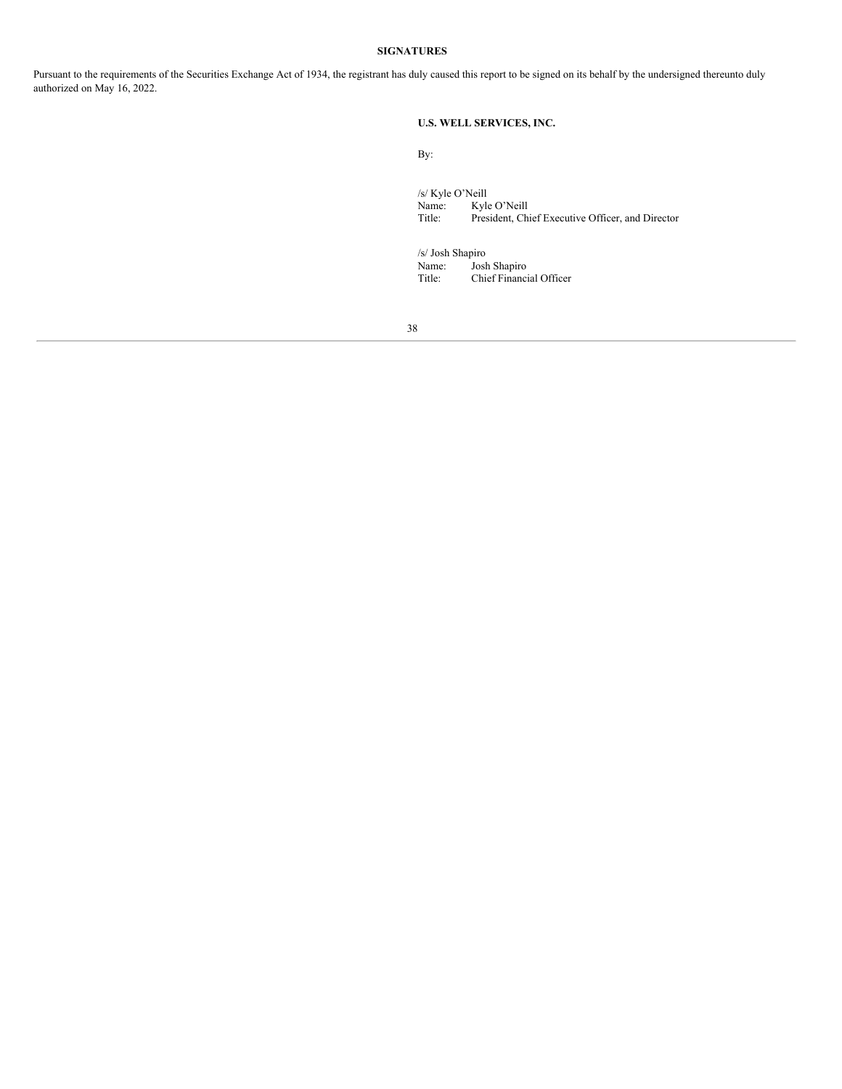## **SIGNATURES**

<span id="page-37-0"></span>Pursuant to the requirements of the Securities Exchange Act of 1934, the registrant has duly caused this report to be signed on its behalf by the undersigned thereunto duly authorized on May 16, 2022.

## **U.S. WELL SERVICES, INC.**

By:

/s/ Kyle O'Neill Name: Kyle O'Neill<br>Title: President, Ch President, Chief Executive Officer, and Director

/s/ Josh Shapiro Name: Josh Shapiro Title: Chief Financial Officer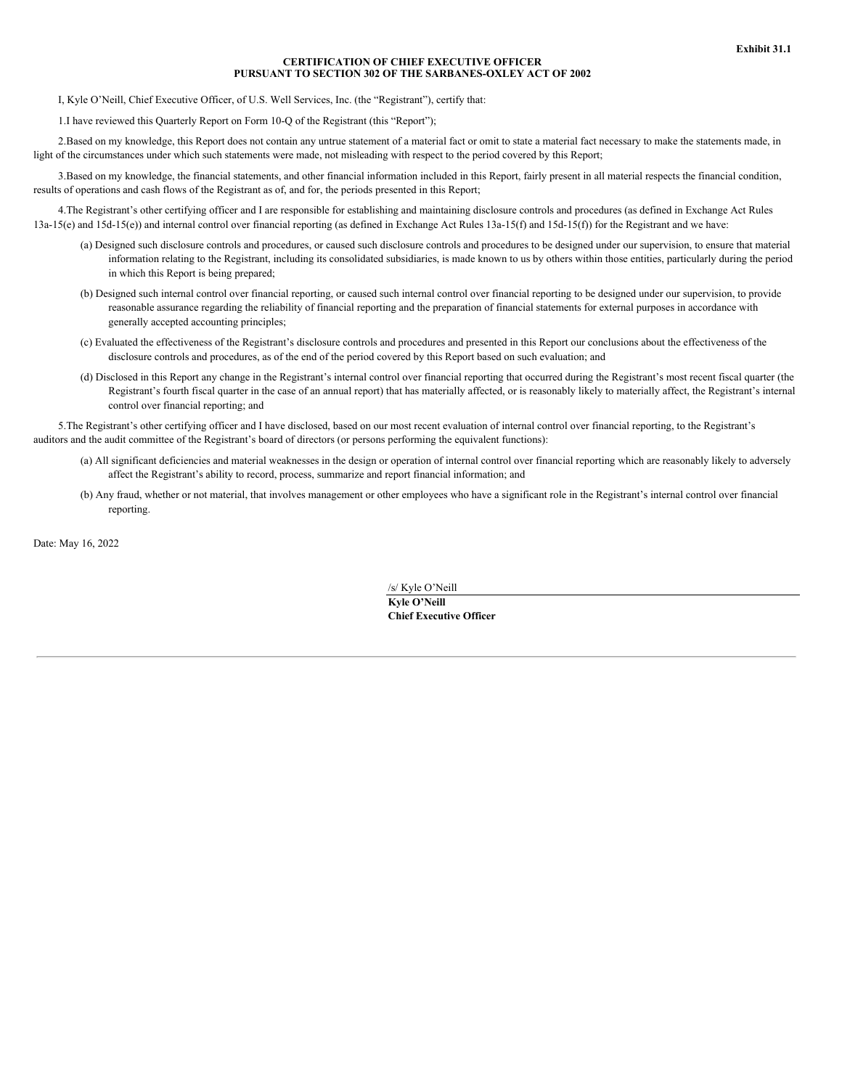## **CERTIFICATION OF CHIEF EXECUTIVE OFFICER PURSUANT TO SECTION 302 OF THE SARBANES-OXLEY ACT OF 2002**

<span id="page-39-0"></span>I, Kyle O'Neill, Chief Executive Officer, of U.S. Well Services, Inc. (the "Registrant"), certify that:

1.I have reviewed this Quarterly Report on Form 10-Q of the Registrant (this "Report");

2.Based on my knowledge, this Report does not contain any untrue statement of a material fact or omit to state a material fact necessary to make the statements made, in light of the circumstances under which such statements were made, not misleading with respect to the period covered by this Report;

3.Based on my knowledge, the financial statements, and other financial information included in this Report, fairly present in all material respects the financial condition, results of operations and cash flows of the Registrant as of, and for, the periods presented in this Report;

4.The Registrant's other certifying officer and I are responsible for establishing and maintaining disclosure controls and procedures (as defined in Exchange Act Rules 13a-15(e) and 15d-15(e)) and internal control over financial reporting (as defined in Exchange Act Rules 13a-15(f) and 15d-15(f)) for the Registrant and we have:

- (a) Designed such disclosure controls and procedures, or caused such disclosure controls and procedures to be designed under our supervision, to ensure that material information relating to the Registrant, including its consolidated subsidiaries, is made known to us by others within those entities, particularly during the period in which this Report is being prepared;
- (b) Designed such internal control over financial reporting, or caused such internal control over financial reporting to be designed under our supervision, to provide reasonable assurance regarding the reliability of financial reporting and the preparation of financial statements for external purposes in accordance with generally accepted accounting principles;
- (c) Evaluated the effectiveness of the Registrant's disclosure controls and procedures and presented in this Report our conclusions about the effectiveness of the disclosure controls and procedures, as of the end of the period covered by this Report based on such evaluation; and
- (d) Disclosed in this Report any change in the Registrant's internal control over financial reporting that occurred during the Registrant's most recent fiscal quarter (the Registrant's fourth fiscal quarter in the case of an annual report) that has materially affected, or is reasonably likely to materially affect, the Registrant's internal control over financial reporting; and

5.The Registrant's other certifying officer and I have disclosed, based on our most recent evaluation of internal control over financial reporting, to the Registrant's auditors and the audit committee of the Registrant's board of directors (or persons performing the equivalent functions):

- (a) All significant deficiencies and material weaknesses in the design or operation of internal control over financial reporting which are reasonably likely to adversely affect the Registrant's ability to record, process, summarize and report financial information; and
- (b) Any fraud, whether or not material, that involves management or other employees who have a significant role in the Registrant's internal control over financial reporting.

Date: May 16, 2022

/s/ Kyle O'Neill

**Kyle O'Neill Chief Executive Officer**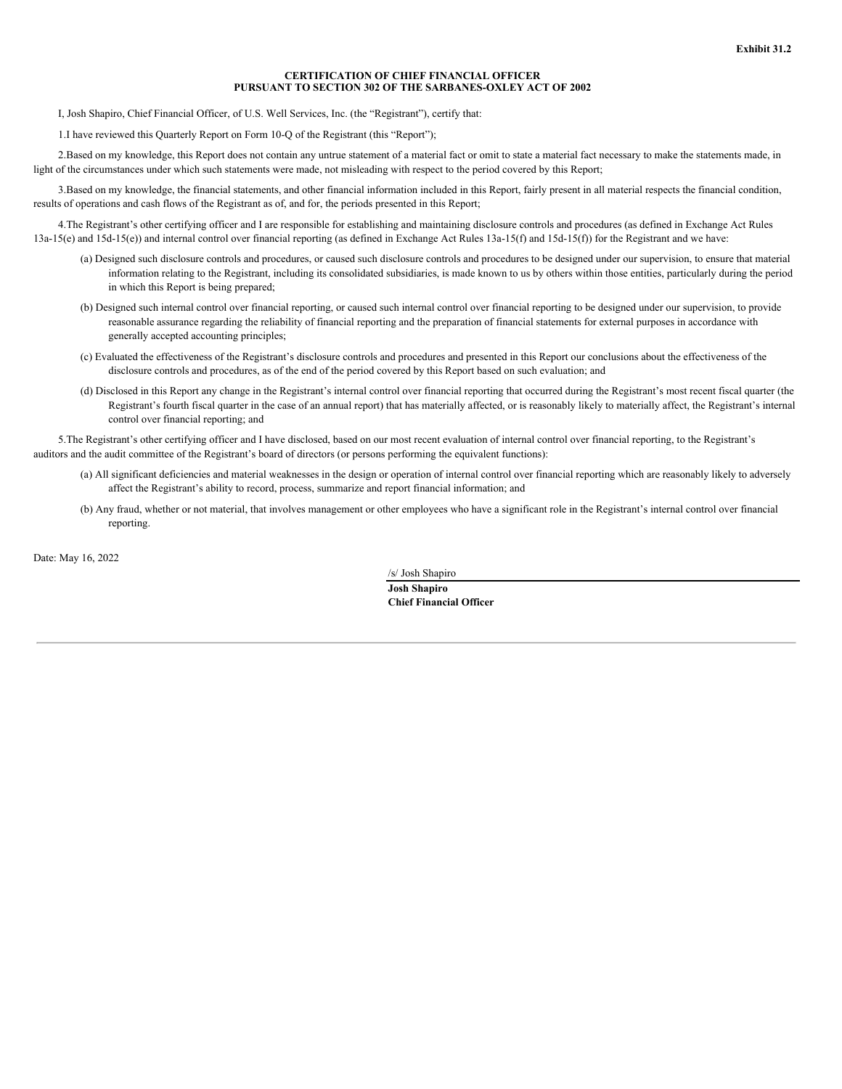## **CERTIFICATION OF CHIEF FINANCIAL OFFICER PURSUANT TO SECTION 302 OF THE SARBANES-OXLEY ACT OF 2002**

<span id="page-41-0"></span>I, Josh Shapiro, Chief Financial Officer, of U.S. Well Services, Inc. (the "Registrant"), certify that:

1.I have reviewed this Quarterly Report on Form 10-Q of the Registrant (this "Report");

2.Based on my knowledge, this Report does not contain any untrue statement of a material fact or omit to state a material fact necessary to make the statements made, in light of the circumstances under which such statements were made, not misleading with respect to the period covered by this Report;

3.Based on my knowledge, the financial statements, and other financial information included in this Report, fairly present in all material respects the financial condition, results of operations and cash flows of the Registrant as of, and for, the periods presented in this Report;

4.The Registrant's other certifying officer and I are responsible for establishing and maintaining disclosure controls and procedures (as defined in Exchange Act Rules  $13a-15(e)$  and  $15d-15(e)$ ) and internal control over financial reporting (as defined in Exchange Act Rules  $13a-15(f)$  and  $15d-15(f)$ ) for the Registrant and we have:

- (a) Designed such disclosure controls and procedures, or caused such disclosure controls and procedures to be designed under our supervision, to ensure that material information relating to the Registrant, including its consolidated subsidiaries, is made known to us by others within those entities, particularly during the period in which this Report is being prepared;
- (b) Designed such internal control over financial reporting, or caused such internal control over financial reporting to be designed under our supervision, to provide reasonable assurance regarding the reliability of financial reporting and the preparation of financial statements for external purposes in accordance with generally accepted accounting principles;
- (c) Evaluated the effectiveness of the Registrant's disclosure controls and procedures and presented in this Report our conclusions about the effectiveness of the disclosure controls and procedures, as of the end of the period covered by this Report based on such evaluation; and
- (d) Disclosed in this Report any change in the Registrant's internal control over financial reporting that occurred during the Registrant's most recent fiscal quarter (the Registrant's fourth fiscal quarter in the case of an annual report) that has materially affected, or is reasonably likely to materially affect, the Registrant's internal control over financial reporting; and

5.The Registrant's other certifying officer and I have disclosed, based on our most recent evaluation of internal control over financial reporting, to the Registrant's auditors and the audit committee of the Registrant's board of directors (or persons performing the equivalent functions):

- (a) All significant deficiencies and material weaknesses in the design or operation of internal control over financial reporting which are reasonably likely to adversely affect the Registrant's ability to record, process, summarize and report financial information; and
- (b) Any fraud, whether or not material, that involves management or other employees who have a significant role in the Registrant's internal control over financial reporting.

Date: May 16, 2022

/s/ Josh Shapiro

**Josh Shapiro Chief Financial Officer**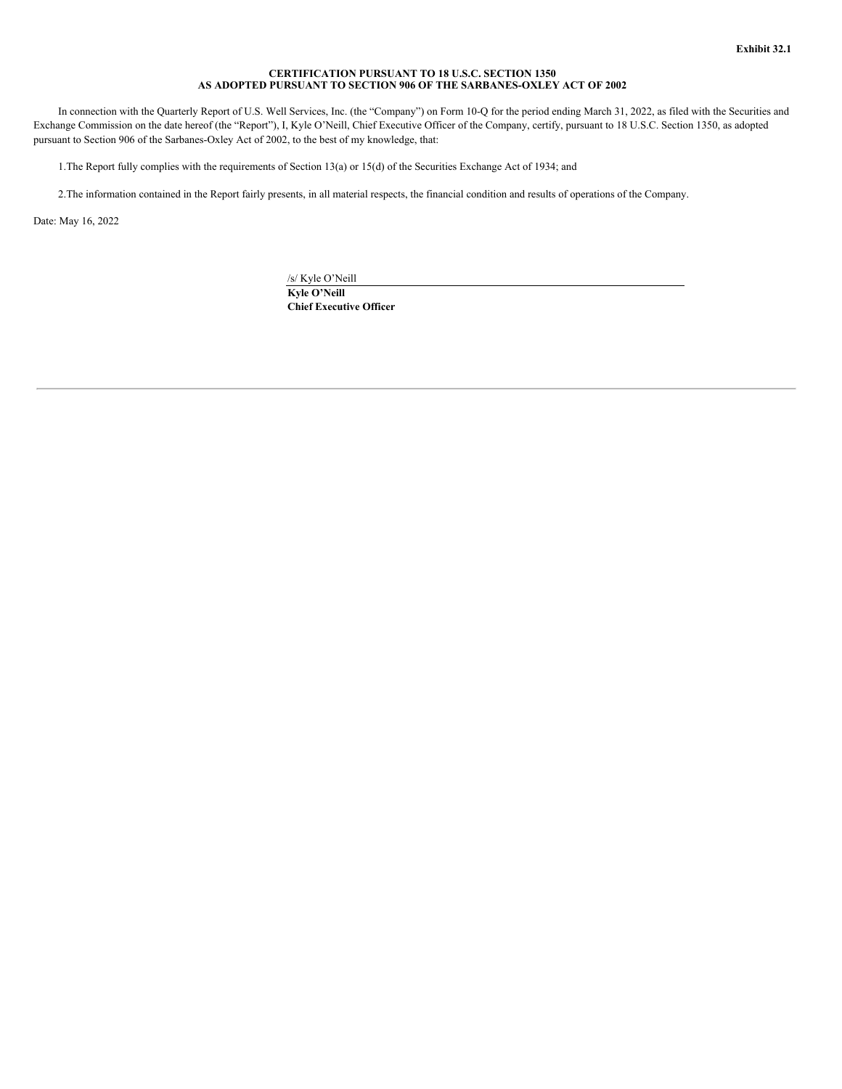## **CERTIFICATION PURSUANT TO 18 U.S.C. SECTION 1350 AS ADOPTED PURSUANT TO SECTION 906 OF THE SARBANES-OXLEY ACT OF 2002**

<span id="page-43-0"></span>In connection with the Quarterly Report of U.S. Well Services, Inc. (the "Company") on Form 10-Q for the period ending March 31, 2022, as filed with the Securities and Exchange Commission on the date hereof (the "Report"), I, Kyle O'Neill, Chief Executive Officer of the Company, certify, pursuant to 18 U.S.C. Section 1350, as adopted pursuant to Section 906 of the Sarbanes-Oxley Act of 2002, to the best of my knowledge, that:

1.The Report fully complies with the requirements of Section 13(a) or 15(d) of the Securities Exchange Act of 1934; and

2.The information contained in the Report fairly presents, in all material respects, the financial condition and results of operations of the Company.

Date: May 16, 2022

/s/ Kyle O'Neill

**Kyle O'Neill Chief Executive Officer**